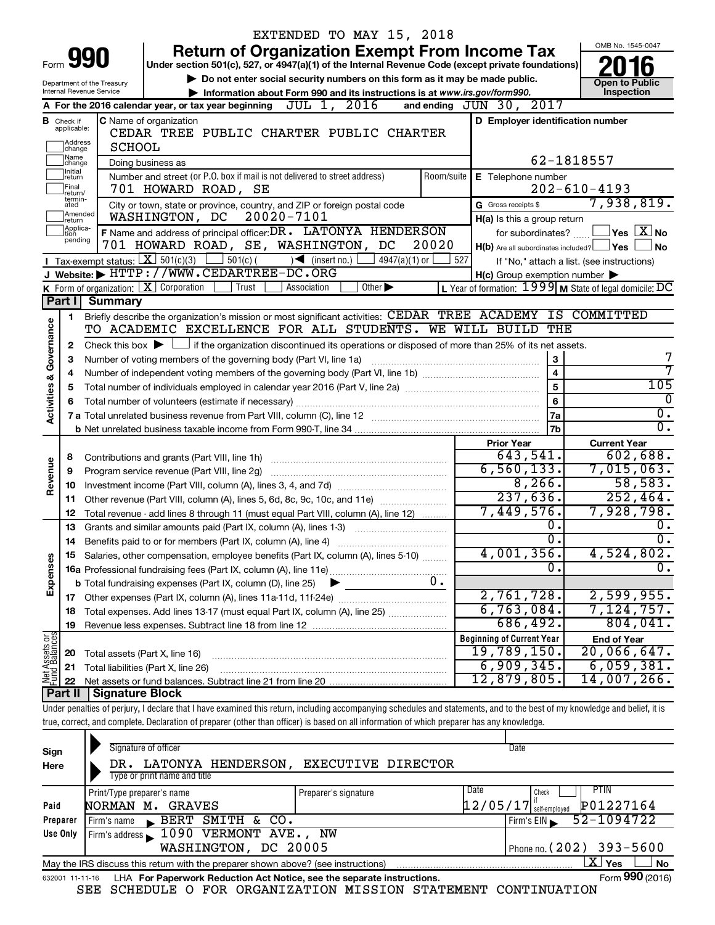|                         |                              | EXTENDED TO MAY 15, 2018                                                                                                                                                   |                                                           |                                                      |
|-------------------------|------------------------------|----------------------------------------------------------------------------------------------------------------------------------------------------------------------------|-----------------------------------------------------------|------------------------------------------------------|
|                         |                              | <b>Return of Organization Exempt From Income Tax</b>                                                                                                                       |                                                           | OMB No. 1545-0047                                    |
| Form                    |                              | Under section 501(c), 527, or 4947(a)(1) of the Internal Revenue Code (except private foundations)                                                                         |                                                           |                                                      |
|                         |                              | Do not enter social security numbers on this form as it may be made public.<br>Department of the Treasury                                                                  |                                                           | <b>Open to Public</b>                                |
|                         |                              | Internal Revenue Service<br>Information about Form 990 and its instructions is at www.irs.gov/form990.                                                                     |                                                           | Inspection                                           |
|                         |                              | A For the 2016 calendar year, or tax year beginning $JUL$ 1, $2016$                                                                                                        | and ending $JUN$ 30, $2017$                               |                                                      |
| в                       | Check if<br>applicable:      | <b>C</b> Name of organization                                                                                                                                              | D Employer identification number                          |                                                      |
|                         | Address                      | CEDAR TREE PUBLIC CHARTER PUBLIC CHARTER                                                                                                                                   |                                                           |                                                      |
|                         | change<br>Name               | <b>SCHOOL</b>                                                                                                                                                              |                                                           |                                                      |
|                         | change<br>Initial            | Doing business as                                                                                                                                                          |                                                           | 62-1818557                                           |
|                         | return<br>Final              | Number and street (or P.O. box if mail is not delivered to street address)<br>Room/suite                                                                                   | E Telephone number                                        | $202 - 610 - 4193$                                   |
|                         | return/<br>termin-           | 701 HOWARD ROAD, SE                                                                                                                                                        | G Gross receipts \$                                       | 7,938,819.                                           |
|                         | ated<br>Amended              | City or town, state or province, country, and ZIP or foreign postal code<br>20020-7101<br>WASHINGTON, DC                                                                   |                                                           |                                                      |
|                         | Ireturn<br>Applica-<br>Ition | F Name and address of principal officer: DR. LATONYA HENDERSON                                                                                                             | H(a) Is this a group return<br>for subordinates?          | $ {\mathsf Y}\mathsf{es}\ \overline{{\mathsf X}}$ No |
|                         | pending                      | 701 HOWARD ROAD, SE, WASHINGTON, DC<br>20020                                                                                                                               | $H(b)$ Are all subordinates included? $\Box$ Yes $\Box$   | No                                                   |
|                         |                              | <b>I</b> Tax-exempt status: $X \ 501(c)(3)$<br>$\frac{1}{2}$ 501(c) (<br>$\sqrt{\frac{1}{1}}$ (insert no.)<br>4947(a)(1) or                                                | 527                                                       | If "No," attach a list. (see instructions)           |
|                         |                              | J Website: FITTP://WWW.CEDARTREE-DC.ORG                                                                                                                                    | $H(c)$ Group exemption number $\blacktriangleright$       |                                                      |
|                         |                              | <b>K</b> Form of organization: $\boxed{\mathbf{X}}$ Corporation<br>  Trust<br>Association<br>Other $\blacktriangleright$                                                   | L Year of formation: $1999$ M State of legal domicile: DC |                                                      |
|                         | Part I                       | <b>Summary</b>                                                                                                                                                             |                                                           |                                                      |
|                         | 1.                           | Briefly describe the organization's mission or most significant activities: CEDAR TREE ACADEMY IS COMMITTED                                                                |                                                           |                                                      |
| Governance              |                              | TO ACADEMIC EXCELLENCE FOR ALL STUDENTS. WE WILL BUILD                                                                                                                     | THE                                                       |                                                      |
|                         | 2                            | Check this box $\blacktriangleright$ $\Box$ if the organization discontinued its operations or disposed of more than 25% of its net assets.                                |                                                           |                                                      |
|                         | З                            | Number of voting members of the governing body (Part VI, line 1a)                                                                                                          |                                                           |                                                      |
|                         | 4                            |                                                                                                                                                                            |                                                           |                                                      |
|                         | 5                            |                                                                                                                                                                            | 105                                                       |                                                      |
| <b>Activities &amp;</b> |                              |                                                                                                                                                                            | 6                                                         | $\Omega$                                             |
|                         |                              |                                                                                                                                                                            | 7a                                                        | $\overline{0}$ .                                     |
|                         |                              |                                                                                                                                                                            | 7b                                                        | σ.                                                   |
|                         |                              |                                                                                                                                                                            | <b>Prior Year</b>                                         | <b>Current Year</b>                                  |
|                         | 8                            |                                                                                                                                                                            | 643,541.                                                  | 602,688.                                             |
| Revenue                 | 9                            | Program service revenue (Part VIII, line 2g)                                                                                                                               | 6, 560, 133.<br>8,266.                                    | 7,015,063.<br>58,583.                                |
|                         | 10                           |                                                                                                                                                                            | 237,636.                                                  | 252,464.                                             |
|                         | 11                           | Other revenue (Part VIII, column (A), lines 5, 6d, 8c, 9c, 10c, and 11e)                                                                                                   | 7,449,576.                                                | 7,928,798.                                           |
|                         | 12                           | Total revenue - add lines 8 through 11 (must equal Part VIII, column (A), line 12)<br>Grants and similar amounts paid (Part IX, column (A), lines 1-3)                     | 0.                                                        | 0.                                                   |
|                         | 13<br>14                     | Benefits paid to or for members (Part IX, column (A), line 4)                                                                                                              | $\overline{0}$ .                                          | 0.                                                   |
|                         | 15                           | Salaries, other compensation, employee benefits (Part IX, column (A), lines 5-10)                                                                                          | 4,001,356.                                                | 4,524,802.                                           |
| Expenses                |                              |                                                                                                                                                                            | 0.                                                        | $\overline{0}$ .                                     |
|                         |                              | 0.<br><b>b</b> Total fundraising expenses (Part IX, column (D), line 25)                                                                                                   |                                                           |                                                      |
|                         |                              |                                                                                                                                                                            | 2,761,728.                                                | 2,599,955.                                           |
|                         | 18                           | Total expenses. Add lines 13-17 (must equal Part IX, column (A), line 25) [                                                                                                | 6,763,084.                                                | 7,124,757.                                           |
|                         | 19                           |                                                                                                                                                                            | 686,492.                                                  | 804,041.                                             |
|                         |                              |                                                                                                                                                                            | <b>Beginning of Current Year</b>                          | <b>End of Year</b>                                   |
|                         | 20                           | Total assets (Part X, line 16)                                                                                                                                             | <u>19,789,150.</u>                                        | $20,066,647$ .                                       |
|                         | 21                           | Total liabilities (Part X, line 26)                                                                                                                                        | 6,909,345.                                                | 6,059,381.                                           |
| Net Assets or           | 22                           |                                                                                                                                                                            | 12,879,805.                                               | 14,007,266.                                          |
|                         | Part II                      | <b>Signature Block</b>                                                                                                                                                     |                                                           |                                                      |
|                         |                              | Under penalties of perjury, I declare that I have examined this return, including accompanying schedules and statements, and to the best of my knowledge and belief, it is |                                                           |                                                      |
|                         |                              | true, correct, and complete. Declaration of preparer (other than officer) is based on all information of which preparer has any knowledge.                                 |                                                           |                                                      |
|                         |                              |                                                                                                                                                                            |                                                           |                                                      |
| Sign                    |                              | Signature of officer                                                                                                                                                       | Date                                                      |                                                      |

| Sign     | Signature of officer                                                                                         |                                       |      | Date                                   |                            |  |  |  |  |
|----------|--------------------------------------------------------------------------------------------------------------|---------------------------------------|------|----------------------------------------|----------------------------|--|--|--|--|
| Here     | DR.                                                                                                          | LATONYA HENDERSON, EXECUTIVE DIRECTOR |      |                                        |                            |  |  |  |  |
|          | Type or print name and title                                                                                 |                                       |      |                                        |                            |  |  |  |  |
|          | Print/Type preparer's name                                                                                   | Preparer's signature                  | Date | Check                                  | PIIN                       |  |  |  |  |
| Paid     | NORMAN M.<br>GRAVES                                                                                          |                                       |      | $\left[ 12/05/17\right]$ self-employed | P01227164                  |  |  |  |  |
| Preparer | BERT SMITH & CO.<br>Firm's name                                                                              |                                       |      | Firm's $EIN$                           | 52-1094722                 |  |  |  |  |
| Use Only | Firm's address 1090 VERMONT AVE., NW                                                                         |                                       |      |                                        |                            |  |  |  |  |
|          | WASHINGTON, DC 20005                                                                                         |                                       |      |                                        | Phone no. $(202)$ 393-5600 |  |  |  |  |
|          | x.<br>Yes<br><b>No</b><br>May the IRS discuss this return with the preparer shown above? (see instructions)  |                                       |      |                                        |                            |  |  |  |  |
|          | Form 990 (2016)<br>LHA For Paperwork Reduction Act Notice, see the separate instructions.<br>632001 11-11-16 |                                       |      |                                        |                            |  |  |  |  |

SEE SCHEDULE O FOR ORGANIZATION MISSION STATEMENT CONTINUATION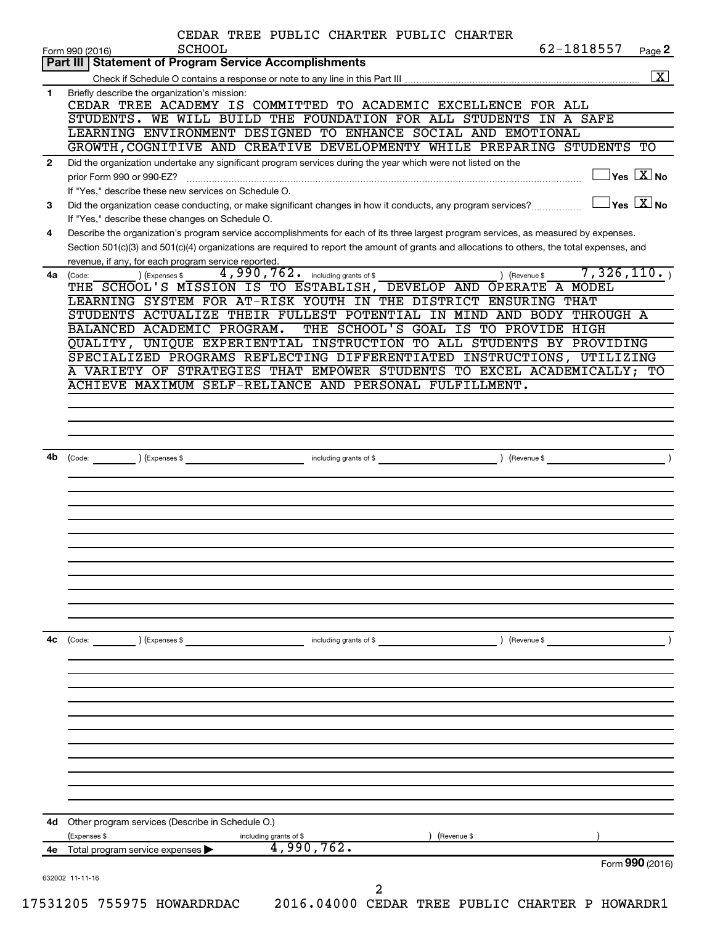|              | CEDAR TREE PUBLIC CHARTER PUBLIC CHARTER<br><b>SCHOOL</b><br>Form 990 (2016)                                                                                                            |               | 62-1818557                                      | Page 2                                  |
|--------------|-----------------------------------------------------------------------------------------------------------------------------------------------------------------------------------------|---------------|-------------------------------------------------|-----------------------------------------|
|              | Part III   Statement of Program Service Accomplishments                                                                                                                                 |               |                                                 |                                         |
|              |                                                                                                                                                                                         |               |                                                 | $\boxed{\text{X}}$                      |
| 1            | Briefly describe the organization's mission:<br>CEDAR TREE ACADEMY IS COMMITTED TO ACADEMIC EXCELLENCE FOR ALL                                                                          |               |                                                 |                                         |
|              | STUDENTS. WE WILL BUILD THE FOUNDATION FOR ALL STUDENTS IN A SAFE                                                                                                                       |               |                                                 |                                         |
|              | LEARNING ENVIRONMENT DESIGNED TO ENHANCE SOCIAL AND EMOTIONAL                                                                                                                           |               |                                                 |                                         |
|              | GROWTH, COGNITIVE AND CREATIVE DEVELOPMENTY WHILE PREPARING STUDENTS TO                                                                                                                 |               |                                                 |                                         |
| $\mathbf{2}$ | Did the organization undertake any significant program services during the year which were not listed on the<br>prior Form 990 or 990-EZ?                                               |               |                                                 | $\Box$ Yes $[\overline{\mathrm{X}}]$ No |
| 3            | If "Yes," describe these new services on Schedule O.<br>Did the organization cease conducting, or make significant changes in how it conducts, any program services?                    |               | $\boxed{\phantom{1}}$ Yes $\boxed{\text{X}}$ No |                                         |
| 4            | If "Yes," describe these changes on Schedule O.<br>Describe the organization's program service accomplishments for each of its three largest program services, as measured by expenses. |               |                                                 |                                         |
|              | Section 501(c)(3) and 501(c)(4) organizations are required to report the amount of grants and allocations to others, the total expenses, and                                            |               |                                                 |                                         |
|              | revenue, if any, for each program service reported.                                                                                                                                     |               |                                                 |                                         |
| 4a           | 4,990,762. including grants of \$<br>) (Expenses \$<br>(Code:                                                                                                                           | ) (Revenue \$ | 7,326,110.                                      |                                         |
|              | THE SCHOOL'S MISSION IS TO ESTABLISH, DEVELOP AND OPERATE A MODEL                                                                                                                       |               |                                                 |                                         |
|              | LEARNING SYSTEM FOR AT-RISK YOUTH IN THE DISTRICT ENSURING THAT                                                                                                                         |               |                                                 |                                         |
|              | STUDENTS ACTUALIZE THEIR FULLEST POTENTIAL IN MIND AND BODY THROUGH A                                                                                                                   |               |                                                 |                                         |
|              | THE SCHOOL'S GOAL IS TO PROVIDE HIGH<br>BALANCED ACADEMIC PROGRAM.                                                                                                                      |               |                                                 |                                         |
|              | QUALITY, UNIQUE EXPERIENTIAL INSTRUCTION TO ALL STUDENTS BY PROVIDING                                                                                                                   |               |                                                 |                                         |
|              | SPECIALIZED PROGRAMS REFLECTING DIFFERENTIATED INSTRUCTIONS, UTILIZING                                                                                                                  |               |                                                 |                                         |
|              | A VARIETY OF STRATEGIES THAT EMPOWER STUDENTS TO EXCEL ACADEMICALLY; TO                                                                                                                 |               |                                                 |                                         |
|              | ACHIEVE MAXIMUM SELF-RELIANCE AND PERSONAL FULFILLMENT.                                                                                                                                 |               |                                                 |                                         |
|              |                                                                                                                                                                                         |               |                                                 |                                         |
|              |                                                                                                                                                                                         |               |                                                 |                                         |
|              |                                                                                                                                                                                         |               |                                                 |                                         |
|              |                                                                                                                                                                                         |               |                                                 |                                         |
| 4b           |                                                                                                                                                                                         |               |                                                 |                                         |
|              |                                                                                                                                                                                         |               |                                                 |                                         |
|              |                                                                                                                                                                                         |               |                                                 |                                         |
|              |                                                                                                                                                                                         |               |                                                 |                                         |
|              |                                                                                                                                                                                         |               |                                                 |                                         |
|              |                                                                                                                                                                                         |               |                                                 |                                         |
|              |                                                                                                                                                                                         |               |                                                 |                                         |
|              |                                                                                                                                                                                         |               |                                                 |                                         |
|              |                                                                                                                                                                                         |               |                                                 |                                         |
|              |                                                                                                                                                                                         |               |                                                 |                                         |
|              |                                                                                                                                                                                         |               |                                                 |                                         |
|              |                                                                                                                                                                                         |               |                                                 |                                         |
|              |                                                                                                                                                                                         |               |                                                 |                                         |
|              |                                                                                                                                                                                         |               |                                                 |                                         |
| 4c           | (Code:<br>(Expenses \$<br>including grants of \$                                                                                                                                        | (Revenue \$   |                                                 |                                         |
|              |                                                                                                                                                                                         |               |                                                 |                                         |
|              |                                                                                                                                                                                         |               |                                                 |                                         |
|              |                                                                                                                                                                                         |               |                                                 |                                         |
|              |                                                                                                                                                                                         |               |                                                 |                                         |
|              |                                                                                                                                                                                         |               |                                                 |                                         |
|              |                                                                                                                                                                                         |               |                                                 |                                         |
|              |                                                                                                                                                                                         |               |                                                 |                                         |
|              |                                                                                                                                                                                         |               |                                                 |                                         |
|              |                                                                                                                                                                                         |               |                                                 |                                         |
|              |                                                                                                                                                                                         |               |                                                 |                                         |
|              |                                                                                                                                                                                         |               |                                                 |                                         |
|              |                                                                                                                                                                                         |               |                                                 |                                         |
| 4d           | Other program services (Describe in Schedule O.)                                                                                                                                        |               |                                                 |                                         |
|              | (Revenue \$<br>(Expenses \$                                                                                                                                                             |               |                                                 |                                         |
| 4e           | including grants of \$<br>4,990,762.<br>Total program service expenses >                                                                                                                |               |                                                 |                                         |
|              |                                                                                                                                                                                         |               |                                                 | Form 990 (2016)                         |
|              |                                                                                                                                                                                         |               |                                                 |                                         |
|              | 632002 11-11-16<br>2                                                                                                                                                                    |               |                                                 |                                         |
|              | 2016.04000 CEDAR TREE PUBLIC CHARTER P HOWARDR1                                                                                                                                         |               |                                                 |                                         |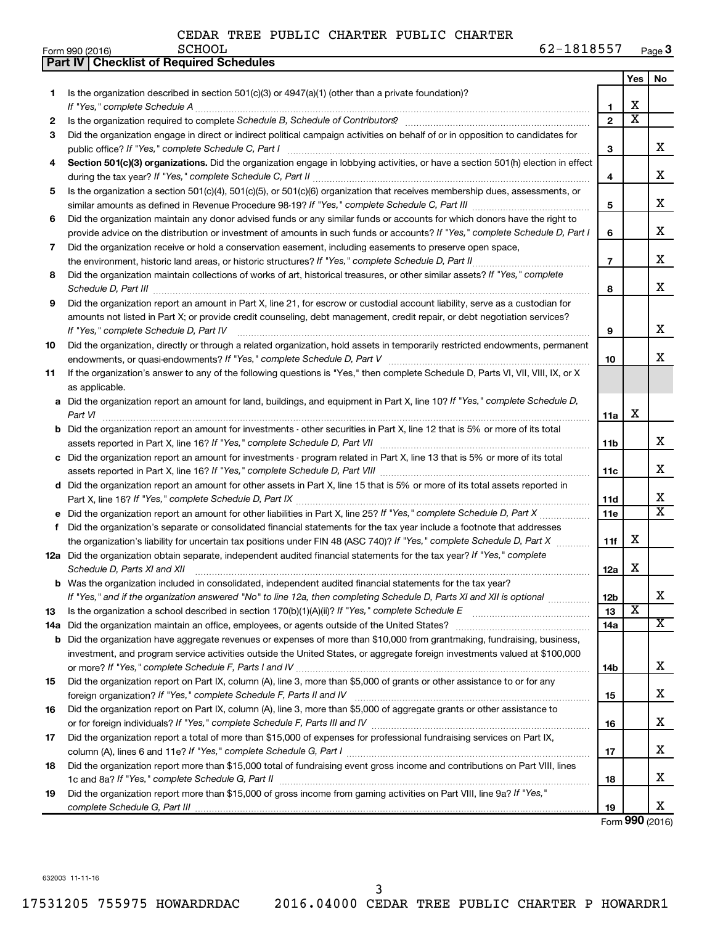|    | Part IV   Checklist of Required Schedules                                                                                                                                                                                                                                                                                                                            |                |                         |                         |  |  |  |  |  |
|----|----------------------------------------------------------------------------------------------------------------------------------------------------------------------------------------------------------------------------------------------------------------------------------------------------------------------------------------------------------------------|----------------|-------------------------|-------------------------|--|--|--|--|--|
|    |                                                                                                                                                                                                                                                                                                                                                                      |                | Yes                     | No                      |  |  |  |  |  |
| 1  | Is the organization described in section $501(c)(3)$ or $4947(a)(1)$ (other than a private foundation)?                                                                                                                                                                                                                                                              |                |                         |                         |  |  |  |  |  |
|    |                                                                                                                                                                                                                                                                                                                                                                      | 1              | х                       |                         |  |  |  |  |  |
| 2  | Is the organization required to complete Schedule B, Schedule of Contributors? [11] the organization required to complete Schedule B, Schedule of Contributors?                                                                                                                                                                                                      | $\overline{2}$ | $\overline{\text{x}}$   |                         |  |  |  |  |  |
| З  | Did the organization engage in direct or indirect political campaign activities on behalf of or in opposition to candidates for                                                                                                                                                                                                                                      |                |                         |                         |  |  |  |  |  |
|    |                                                                                                                                                                                                                                                                                                                                                                      | 3              |                         | x                       |  |  |  |  |  |
| 4  | Section 501(c)(3) organizations. Did the organization engage in lobbying activities, or have a section 501(h) election in effect                                                                                                                                                                                                                                     |                |                         |                         |  |  |  |  |  |
|    |                                                                                                                                                                                                                                                                                                                                                                      | 4              |                         | X                       |  |  |  |  |  |
| 5  | Is the organization a section 501(c)(4), 501(c)(5), or 501(c)(6) organization that receives membership dues, assessments, or                                                                                                                                                                                                                                         |                |                         |                         |  |  |  |  |  |
|    |                                                                                                                                                                                                                                                                                                                                                                      | 5              |                         | X                       |  |  |  |  |  |
| 6  | Did the organization maintain any donor advised funds or any similar funds or accounts for which donors have the right to                                                                                                                                                                                                                                            |                |                         |                         |  |  |  |  |  |
|    | provide advice on the distribution or investment of amounts in such funds or accounts? If "Yes," complete Schedule D, Part I                                                                                                                                                                                                                                         |                |                         |                         |  |  |  |  |  |
| 7  | Did the organization receive or hold a conservation easement, including easements to preserve open space,                                                                                                                                                                                                                                                            |                |                         |                         |  |  |  |  |  |
|    |                                                                                                                                                                                                                                                                                                                                                                      | $\overline{7}$ |                         | x                       |  |  |  |  |  |
| 8  | Did the organization maintain collections of works of art, historical treasures, or other similar assets? If "Yes," complete                                                                                                                                                                                                                                         |                |                         |                         |  |  |  |  |  |
|    |                                                                                                                                                                                                                                                                                                                                                                      | 8              |                         | x                       |  |  |  |  |  |
| 9  | Schedule D, Part III <b>Marting Communities</b> and the contract of the contract of the contract of the contract of the contract of the contract of the contract of the contract of the contract of the contract of the contract of<br>Did the organization report an amount in Part X, line 21, for escrow or custodial account liability, serve as a custodian for |                |                         |                         |  |  |  |  |  |
|    | amounts not listed in Part X; or provide credit counseling, debt management, credit repair, or debt negotiation services?                                                                                                                                                                                                                                            |                |                         |                         |  |  |  |  |  |
|    | If "Yes," complete Schedule D, Part IV                                                                                                                                                                                                                                                                                                                               | 9              |                         | X                       |  |  |  |  |  |
| 10 | Did the organization, directly or through a related organization, hold assets in temporarily restricted endowments, permanent                                                                                                                                                                                                                                        |                |                         |                         |  |  |  |  |  |
|    |                                                                                                                                                                                                                                                                                                                                                                      | 10             |                         | x                       |  |  |  |  |  |
|    | If the organization's answer to any of the following questions is "Yes," then complete Schedule D, Parts VI, VII, VIII, IX, or X                                                                                                                                                                                                                                     |                |                         |                         |  |  |  |  |  |
| 11 | as applicable.                                                                                                                                                                                                                                                                                                                                                       |                |                         |                         |  |  |  |  |  |
|    |                                                                                                                                                                                                                                                                                                                                                                      |                |                         |                         |  |  |  |  |  |
|    | a Did the organization report an amount for land, buildings, and equipment in Part X, line 10? If "Yes," complete Schedule D,                                                                                                                                                                                                                                        |                | х                       |                         |  |  |  |  |  |
|    | Part VI                                                                                                                                                                                                                                                                                                                                                              | 11a            |                         |                         |  |  |  |  |  |
|    | <b>b</b> Did the organization report an amount for investments - other securities in Part X, line 12 that is 5% or more of its total                                                                                                                                                                                                                                 |                |                         | x                       |  |  |  |  |  |
|    |                                                                                                                                                                                                                                                                                                                                                                      | 11b            |                         |                         |  |  |  |  |  |
|    | c Did the organization report an amount for investments - program related in Part X, line 13 that is 5% or more of its total                                                                                                                                                                                                                                         |                |                         | x                       |  |  |  |  |  |
|    |                                                                                                                                                                                                                                                                                                                                                                      | 11c            |                         |                         |  |  |  |  |  |
|    | d Did the organization report an amount for other assets in Part X, line 15 that is 5% or more of its total assets reported in                                                                                                                                                                                                                                       |                |                         | х                       |  |  |  |  |  |
|    |                                                                                                                                                                                                                                                                                                                                                                      | 11d            |                         | $\overline{\mathbf{X}}$ |  |  |  |  |  |
|    | e Did the organization report an amount for other liabilities in Part X, line 25? If "Yes," complete Schedule D, Part X                                                                                                                                                                                                                                              | 11e            |                         |                         |  |  |  |  |  |
| f  | Did the organization's separate or consolidated financial statements for the tax year include a footnote that addresses                                                                                                                                                                                                                                              |                | х                       |                         |  |  |  |  |  |
|    | the organization's liability for uncertain tax positions under FIN 48 (ASC 740)? If "Yes," complete Schedule D, Part X                                                                                                                                                                                                                                               | 11f            |                         |                         |  |  |  |  |  |
|    | 12a Did the organization obtain separate, independent audited financial statements for the tax year? If "Yes," complete                                                                                                                                                                                                                                              |                | х                       |                         |  |  |  |  |  |
|    | Schedule D, Parts XI and XII <b>continuum continuum continuum continuum continuum continuum continuum continuum</b> continuum continuum continuum continuum continuum continuum continuum continuum continuum continuum continuum c                                                                                                                                  | 12a            |                         |                         |  |  |  |  |  |
|    | b Was the organization included in consolidated, independent audited financial statements for the tax year?                                                                                                                                                                                                                                                          |                |                         |                         |  |  |  |  |  |
|    | If "Yes," and if the organization answered "No" to line 12a, then completing Schedule D, Parts XI and XII is optional                                                                                                                                                                                                                                                | 12b            | $\overline{\textbf{x}}$ | х                       |  |  |  |  |  |
| 13 |                                                                                                                                                                                                                                                                                                                                                                      | 13             |                         | х                       |  |  |  |  |  |
|    |                                                                                                                                                                                                                                                                                                                                                                      | 14a            |                         |                         |  |  |  |  |  |
|    | <b>b</b> Did the organization have aggregate revenues or expenses of more than \$10,000 from grantmaking, fundraising, business,                                                                                                                                                                                                                                     |                |                         |                         |  |  |  |  |  |
|    | investment, and program service activities outside the United States, or aggregate foreign investments valued at \$100,000                                                                                                                                                                                                                                           |                |                         |                         |  |  |  |  |  |
|    |                                                                                                                                                                                                                                                                                                                                                                      | 14b            |                         | x                       |  |  |  |  |  |
| 15 | Did the organization report on Part IX, column (A), line 3, more than \$5,000 of grants or other assistance to or for any                                                                                                                                                                                                                                            |                |                         |                         |  |  |  |  |  |
|    |                                                                                                                                                                                                                                                                                                                                                                      | 15             |                         | х                       |  |  |  |  |  |
| 16 | Did the organization report on Part IX, column (A), line 3, more than \$5,000 of aggregate grants or other assistance to                                                                                                                                                                                                                                             |                |                         |                         |  |  |  |  |  |
|    |                                                                                                                                                                                                                                                                                                                                                                      | 16             |                         | х                       |  |  |  |  |  |
| 17 | Did the organization report a total of more than \$15,000 of expenses for professional fundraising services on Part IX,                                                                                                                                                                                                                                              |                |                         |                         |  |  |  |  |  |
|    |                                                                                                                                                                                                                                                                                                                                                                      | 17             |                         | х                       |  |  |  |  |  |
| 18 | Did the organization report more than \$15,000 total of fundraising event gross income and contributions on Part VIII, lines                                                                                                                                                                                                                                         |                |                         | x                       |  |  |  |  |  |
|    |                                                                                                                                                                                                                                                                                                                                                                      | 18             |                         |                         |  |  |  |  |  |
| 19 | Did the organization report more than \$15,000 of gross income from gaming activities on Part VIII, line 9a? If "Yes,"                                                                                                                                                                                                                                               |                |                         | x                       |  |  |  |  |  |
|    |                                                                                                                                                                                                                                                                                                                                                                      | 19             |                         |                         |  |  |  |  |  |

Form (2016) **990**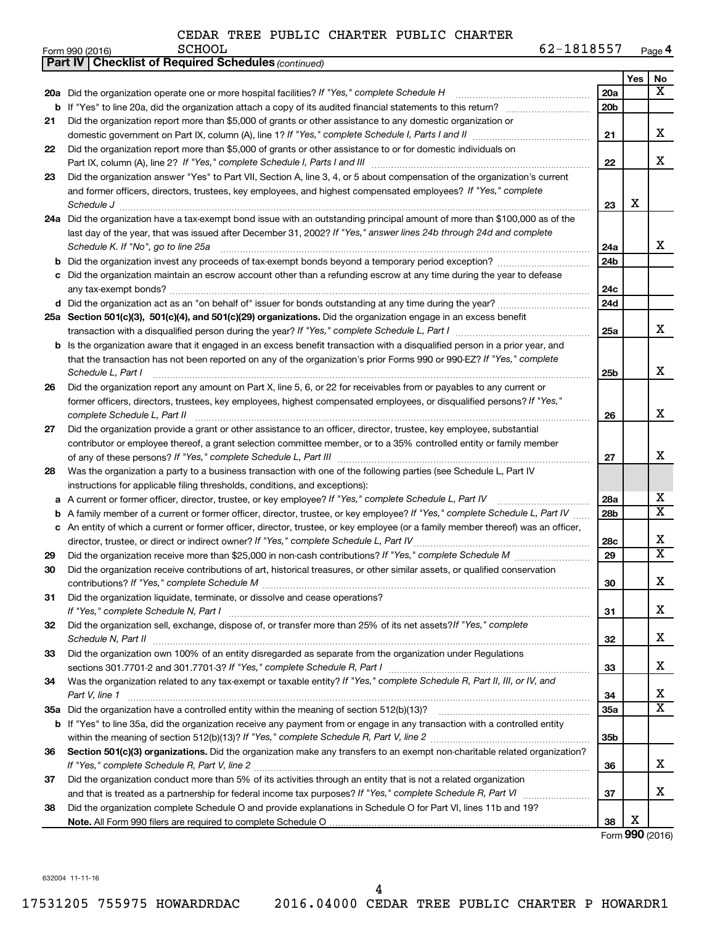|    | <b>Part IV   Checklist of Required Schedules (continued)</b>                                                                        |                 |     |                         |
|----|-------------------------------------------------------------------------------------------------------------------------------------|-----------------|-----|-------------------------|
|    |                                                                                                                                     |                 | Yes | No                      |
|    | 20a Did the organization operate one or more hospital facilities? If "Yes," complete Schedule H                                     | 20a             |     | x                       |
|    |                                                                                                                                     | 20 <sub>b</sub> |     |                         |
| 21 | Did the organization report more than \$5,000 of grants or other assistance to any domestic organization or                         |                 |     |                         |
|    |                                                                                                                                     | 21              |     | х                       |
| 22 | Did the organization report more than \$5,000 of grants or other assistance to or for domestic individuals on                       |                 |     |                         |
|    |                                                                                                                                     | 22              |     | x                       |
| 23 | Did the organization answer "Yes" to Part VII, Section A, line 3, 4, or 5 about compensation of the organization's current          |                 |     |                         |
|    | and former officers, directors, trustees, key employees, and highest compensated employees? If "Yes," complete                      | 23              |     |                         |
|    | Schedule J <b>Execute Schedule J Execute Schedule J</b>                                                                             |                 | X   |                         |
|    | 24a Did the organization have a tax-exempt bond issue with an outstanding principal amount of more than \$100,000 as of the         |                 |     |                         |
|    | last day of the year, that was issued after December 31, 2002? If "Yes," answer lines 24b through 24d and complete                  |                 |     |                         |
|    | Schedule K. If "No", go to line 25a                                                                                                 | 24a             |     | x                       |
| b  |                                                                                                                                     | 24 <sub>b</sub> |     |                         |
|    | Did the organization maintain an escrow account other than a refunding escrow at any time during the year to defease                |                 |     |                         |
|    |                                                                                                                                     | 24c             |     |                         |
|    | d Did the organization act as an "on behalf of" issuer for bonds outstanding at any time during the year?                           | 24d             |     |                         |
|    | 25a Section 501(c)(3), 501(c)(4), and 501(c)(29) organizations. Did the organization engage in an excess benefit                    |                 |     |                         |
|    |                                                                                                                                     | 25a             |     | x                       |
|    | <b>b</b> Is the organization aware that it engaged in an excess benefit transaction with a disqualified person in a prior year, and |                 |     |                         |
|    | that the transaction has not been reported on any of the organization's prior Forms 990 or 990-EZ? If "Yes," complete               |                 |     |                         |
|    | Schedule L, Part I                                                                                                                  | 25b             |     | х                       |
| 26 | Did the organization report any amount on Part X, line 5, 6, or 22 for receivables from or payables to any current or               |                 |     |                         |
|    | former officers, directors, trustees, key employees, highest compensated employees, or disqualified persons? If "Yes,"              |                 |     |                         |
|    | complete Schedule L, Part II                                                                                                        | 26              |     | х                       |
| 27 | Did the organization provide a grant or other assistance to an officer, director, trustee, key employee, substantial                |                 |     |                         |
|    | contributor or employee thereof, a grant selection committee member, or to a 35% controlled entity or family member                 |                 |     |                         |
|    |                                                                                                                                     | 27              |     | х                       |
| 28 | Was the organization a party to a business transaction with one of the following parties (see Schedule L, Part IV                   |                 |     |                         |
|    | instructions for applicable filing thresholds, conditions, and exceptions):                                                         |                 |     |                         |
| а  | A current or former officer, director, trustee, or key employee? If "Yes," complete Schedule L, Part IV                             | 28a             |     | x                       |
| b  | A family member of a current or former officer, director, trustee, or key employee? If "Yes," complete Schedule L, Part IV          | 28b             |     | $\overline{\textbf{X}}$ |
|    | c An entity of which a current or former officer, director, trustee, or key employee (or a family member thereof) was an officer,   |                 |     |                         |
|    | director, trustee, or direct or indirect owner? If "Yes," complete Schedule L, Part IV                                              | 28c             |     | х                       |
| 29 |                                                                                                                                     | 29              |     | $\overline{\textbf{X}}$ |
| 30 | Did the organization receive contributions of art, historical treasures, or other similar assets, or qualified conservation         |                 |     |                         |
|    |                                                                                                                                     | 30              |     | Χ                       |
| 31 | Did the organization liquidate, terminate, or dissolve and cease operations?                                                        |                 |     |                         |
|    |                                                                                                                                     | 31              |     | x.                      |
| 32 | Did the organization sell, exchange, dispose of, or transfer more than 25% of its net assets? If "Yes," complete                    |                 |     |                         |
|    |                                                                                                                                     | 32              |     | х                       |
| 33 | Did the organization own 100% of an entity disregarded as separate from the organization under Regulations                          |                 |     |                         |
|    |                                                                                                                                     | 33              |     | x                       |
| 34 | Was the organization related to any tax-exempt or taxable entity? If "Yes," complete Schedule R, Part II, III, or IV, and           |                 |     |                         |
|    | Part V, line 1                                                                                                                      | 34              |     | х                       |
|    |                                                                                                                                     | <b>35a</b>      |     | X                       |
|    | b If "Yes" to line 35a, did the organization receive any payment from or engage in any transaction with a controlled entity         |                 |     |                         |
|    |                                                                                                                                     | 35b             |     |                         |
| 36 | Section 501(c)(3) organizations. Did the organization make any transfers to an exempt non-charitable related organization?          |                 |     |                         |
|    |                                                                                                                                     | 36              |     | x                       |
| 37 | Did the organization conduct more than 5% of its activities through an entity that is not a related organization                    |                 |     |                         |
|    |                                                                                                                                     | 37              |     | x                       |
| 38 | Did the organization complete Schedule O and provide explanations in Schedule O for Part VI, lines 11b and 19?                      |                 |     |                         |
|    |                                                                                                                                     | 38              | х   |                         |

Form (2016) **990**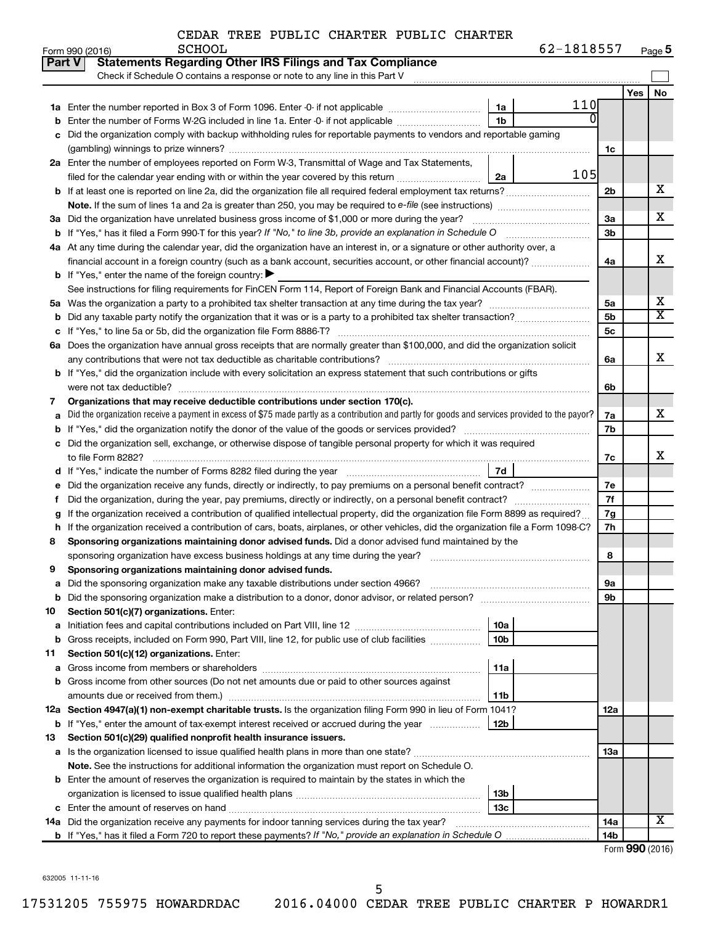| 62-1818557<br>Page 5 |
|----------------------|
|----------------------|

|               | Form 990 (2016)<br><b>PCHOOT</b>                                                                                                                |                 | $02 - 1818251$ |                 |                       | Page 5                |
|---------------|-------------------------------------------------------------------------------------------------------------------------------------------------|-----------------|----------------|-----------------|-----------------------|-----------------------|
| <b>Part V</b> | <b>Statements Regarding Other IRS Filings and Tax Compliance</b>                                                                                |                 |                |                 |                       |                       |
|               | Check if Schedule O contains a response or note to any line in this Part V                                                                      |                 |                |                 |                       |                       |
|               |                                                                                                                                                 |                 |                |                 | Yes                   | No                    |
|               |                                                                                                                                                 | 1a              | 110            |                 |                       |                       |
| b             | Enter the number of Forms W-2G included in line 1a. Enter -0- if not applicable                                                                 | 1b              | 0              |                 |                       |                       |
| с             | Did the organization comply with backup withholding rules for reportable payments to vendors and reportable gaming                              |                 |                |                 |                       |                       |
|               |                                                                                                                                                 |                 |                | 1c              |                       |                       |
|               | 2a Enter the number of employees reported on Form W-3, Transmittal of Wage and Tax Statements,                                                  |                 |                |                 |                       |                       |
|               | filed for the calendar year ending with or within the year covered by this return <i></i>                                                       | 2a              | 105            |                 |                       |                       |
|               |                                                                                                                                                 |                 |                | 2 <sub>b</sub>  |                       | х                     |
|               |                                                                                                                                                 |                 |                |                 |                       |                       |
|               | 3a Did the organization have unrelated business gross income of \$1,000 or more during the year?                                                |                 |                | 3a              |                       | х                     |
|               | <b>b</b> If "Yes," has it filed a Form 990-T for this year? If "No," to line 3b, provide an explanation in Schedule O manumerroom               |                 |                | 3 <sub>b</sub>  |                       |                       |
|               | 4a At any time during the calendar year, did the organization have an interest in, or a signature or other authority over, a                    |                 |                |                 |                       |                       |
|               | financial account in a foreign country (such as a bank account, securities account, or other financial account)?                                |                 |                | 4a              |                       | x                     |
|               | <b>b</b> If "Yes," enter the name of the foreign country: $\blacktriangleright$                                                                 |                 |                |                 |                       |                       |
|               | See instructions for filing requirements for FinCEN Form 114, Report of Foreign Bank and Financial Accounts (FBAR).                             |                 |                |                 |                       |                       |
|               |                                                                                                                                                 |                 |                |                 |                       | х                     |
|               |                                                                                                                                                 |                 |                | 5a              |                       | $\overline{\text{X}}$ |
| b             |                                                                                                                                                 |                 |                | 5 <sub>b</sub>  |                       |                       |
| с             |                                                                                                                                                 |                 |                | 5 <sub>c</sub>  |                       |                       |
|               | 6a Does the organization have annual gross receipts that are normally greater than \$100,000, and did the organization solicit                  |                 |                |                 |                       |                       |
|               |                                                                                                                                                 |                 |                | 6а              |                       | х                     |
|               | <b>b</b> If "Yes," did the organization include with every solicitation an express statement that such contributions or gifts                   |                 |                |                 |                       |                       |
|               |                                                                                                                                                 |                 |                | 6b              |                       |                       |
| 7             | Organizations that may receive deductible contributions under section 170(c).                                                                   |                 |                |                 |                       |                       |
| а             | Did the organization receive a payment in excess of \$75 made partly as a contribution and partly for goods and services provided to the payor? |                 |                | 7a              |                       | х                     |
| b             |                                                                                                                                                 |                 |                | 7b              |                       |                       |
| с             | Did the organization sell, exchange, or otherwise dispose of tangible personal property for which it was required                               |                 |                |                 |                       |                       |
|               |                                                                                                                                                 |                 |                | 7c              |                       | х                     |
|               |                                                                                                                                                 | 7d              |                |                 |                       |                       |
| е             | Did the organization receive any funds, directly or indirectly, to pay premiums on a personal benefit contract?                                 |                 |                | 7e              |                       |                       |
| f             |                                                                                                                                                 |                 |                | 7f              |                       |                       |
| g             | If the organization received a contribution of qualified intellectual property, did the organization file Form 8899 as required?                |                 |                | 7g              |                       |                       |
| h             | If the organization received a contribution of cars, boats, airplanes, or other vehicles, did the organization file a Form 1098-C?              |                 |                | 7h              |                       |                       |
| 8             | Sponsoring organizations maintaining donor advised funds. Did a donor advised fund maintained by the                                            |                 |                |                 |                       |                       |
|               |                                                                                                                                                 |                 |                | 8               |                       |                       |
| 9             | Sponsoring organizations maintaining donor advised funds.                                                                                       |                 |                |                 |                       |                       |
| а             |                                                                                                                                                 |                 |                | 9а              |                       |                       |
| b             |                                                                                                                                                 |                 |                | 9b              |                       |                       |
| 10            | Section 501(c)(7) organizations. Enter:                                                                                                         |                 |                |                 |                       |                       |
| а             |                                                                                                                                                 | 10a             |                |                 |                       |                       |
| b             | Gross receipts, included on Form 990, Part VIII, line 12, for public use of club facilities                                                     | 10 <sub>b</sub> |                |                 |                       |                       |
| 11            | Section 501(c)(12) organizations. Enter:                                                                                                        |                 |                |                 |                       |                       |
| а             |                                                                                                                                                 | 11a             |                |                 |                       |                       |
| b             | Gross income from other sources (Do not net amounts due or paid to other sources against                                                        |                 |                |                 |                       |                       |
|               |                                                                                                                                                 | 11b             |                |                 |                       |                       |
|               | 12a Section 4947(a)(1) non-exempt charitable trusts. Is the organization filing Form 990 in lieu of Form 1041?                                  |                 |                |                 |                       |                       |
|               |                                                                                                                                                 |                 |                | 12a             |                       |                       |
|               | <b>b</b> If "Yes," enter the amount of tax-exempt interest received or accrued during the year                                                  | 12b             |                |                 |                       |                       |
| 13            | Section 501(c)(29) qualified nonprofit health insurance issuers.                                                                                |                 |                |                 |                       |                       |
| а             |                                                                                                                                                 |                 |                | 13a             |                       |                       |
|               | Note. See the instructions for additional information the organization must report on Schedule O.                                               |                 |                |                 |                       |                       |
|               | <b>b</b> Enter the amount of reserves the organization is required to maintain by the states in which the                                       |                 |                |                 |                       |                       |
|               |                                                                                                                                                 | 13b             |                |                 |                       |                       |
| с             |                                                                                                                                                 | 13 <sub>c</sub> |                |                 |                       |                       |
|               | 14a Did the organization receive any payments for indoor tanning services during the tax year?                                                  |                 |                | 14a             |                       | x                     |
|               |                                                                                                                                                 |                 |                | 14 <sub>b</sub> |                       |                       |
|               |                                                                                                                                                 |                 |                |                 | Enrm $QQ \cap (2016)$ |                       |

Form (2016) **990**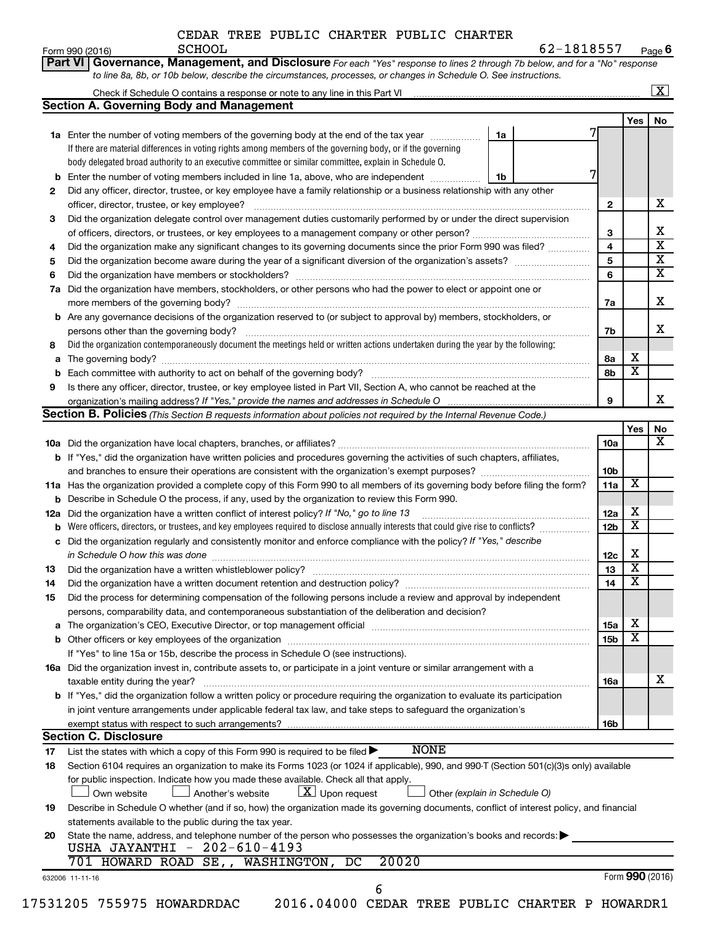| CEDAR TREE PUBLIC CHARTER PUBLIC CHARTER |  |  |  |  |  |  |
|------------------------------------------|--|--|--|--|--|--|
|------------------------------------------|--|--|--|--|--|--|

|          |                                                                                                                                              |    |                 |                         | $\boxed{\textbf{X}}$ |
|----------|----------------------------------------------------------------------------------------------------------------------------------------------|----|-----------------|-------------------------|----------------------|
|          | <b>Section A. Governing Body and Management</b>                                                                                              |    |                 |                         |                      |
|          |                                                                                                                                              |    |                 | Yes                     | No                   |
|          | 1a Enter the number of voting members of the governing body at the end of the tax year                                                       | 1a |                 |                         |                      |
|          | If there are material differences in voting rights among members of the governing body, or if the governing                                  |    |                 |                         |                      |
|          | body delegated broad authority to an executive committee or similar committee, explain in Schedule O.                                        |    |                 |                         |                      |
|          | Enter the number of voting members included in line 1a, above, who are independent                                                           | 1b |                 |                         |                      |
| 2        | Did any officer, director, trustee, or key employee have a family relationship or a business relationship with any other                     |    |                 |                         |                      |
|          |                                                                                                                                              |    | $\mathbf{2}$    |                         |                      |
| 3        | Did the organization delegate control over management duties customarily performed by or under the direct supervision                        |    |                 |                         |                      |
|          |                                                                                                                                              |    | 3               |                         |                      |
| 4        | Did the organization make any significant changes to its governing documents since the prior Form 990 was filed?                             |    | 4               |                         |                      |
| 5        |                                                                                                                                              |    | 5               |                         |                      |
| 6        |                                                                                                                                              |    | 6               |                         |                      |
| 7a       | Did the organization have members, stockholders, or other persons who had the power to elect or appoint one or                               |    |                 |                         |                      |
|          |                                                                                                                                              |    | 7a              |                         |                      |
|          | <b>b</b> Are any governance decisions of the organization reserved to (or subject to approval by) members, stockholders, or                  |    |                 |                         |                      |
|          |                                                                                                                                              |    | 7b              |                         |                      |
| 8        | Did the organization contemporaneously document the meetings held or written actions undertaken during the year by the following:            |    |                 |                         |                      |
| а        |                                                                                                                                              |    | 8а              | х                       |                      |
|          |                                                                                                                                              |    | 8b              | $\overline{\textbf{x}}$ |                      |
| 9        | Is there any officer, director, trustee, or key employee listed in Part VII, Section A, who cannot be reached at the                         |    |                 |                         |                      |
|          |                                                                                                                                              |    | 9               |                         |                      |
|          | Section B. Policies (This Section B requests information about policies not required by the Internal Revenue Code.)                          |    |                 |                         |                      |
|          |                                                                                                                                              |    |                 | Yes                     |                      |
|          |                                                                                                                                              |    | <b>10a</b>      |                         |                      |
|          | b If "Yes," did the organization have written policies and procedures governing the activities of such chapters, affiliates,                 |    |                 |                         |                      |
|          |                                                                                                                                              |    | 10 <sub>b</sub> |                         |                      |
|          | 11a Has the organization provided a complete copy of this Form 990 to all members of its governing body before filing the form?              |    | 11a             | X                       |                      |
|          | <b>b</b> Describe in Schedule O the process, if any, used by the organization to review this Form 990.                                       |    |                 |                         |                      |
|          | 12a Did the organization have a written conflict of interest policy? If "No," go to line 13                                                  |    | 12a             | х                       |                      |
|          | <b>b</b> Were officers, directors, or trustees, and key employees required to disclose annually interests that could give rise to conflicts? |    | 12 <sub>b</sub> | $\overline{\textbf{x}}$ |                      |
|          | c Did the organization regularly and consistently monitor and enforce compliance with the policy? If "Yes," describe                         |    |                 |                         |                      |
|          | in Schedule O how this was done manufactured and continuum and contact the was done manufactured and contact t                               |    | 12c             | Х                       |                      |
| 13       |                                                                                                                                              |    | 13              | $\overline{\textbf{x}}$ |                      |
|          | Did the organization have a written document retention and destruction policy? [111] manufaction policy?                                     |    | 14              | $\overline{\mathtt{x}}$ |                      |
| 14<br>15 | Did the process for determining compensation of the following persons include a review and approval by independent                           |    |                 |                         |                      |
|          | persons, comparability data, and contemporaneous substantiation of the deliberation and decision?                                            |    |                 |                         |                      |
|          |                                                                                                                                              |    |                 | х                       |                      |
| а        |                                                                                                                                              |    | 15a             | $\overline{\text{X}}$   |                      |
|          |                                                                                                                                              |    | 15b             |                         |                      |
|          | If "Yes" to line 15a or 15b, describe the process in Schedule O (see instructions).                                                          |    |                 |                         |                      |
|          | 16a Did the organization invest in, contribute assets to, or participate in a joint venture or similar arrangement with a                    |    |                 |                         |                      |
|          | taxable entity during the year?                                                                                                              |    | 16a             |                         |                      |
|          | <b>b</b> If "Yes," did the organization follow a written policy or procedure requiring the organization to evaluate its participation        |    |                 |                         |                      |
|          | in joint venture arrangements under applicable federal tax law, and take steps to safeguard the organization's                               |    |                 |                         |                      |
|          | exempt status with respect to such arrangements?                                                                                             |    | 16b             |                         |                      |
|          | <b>Section C. Disclosure</b>                                                                                                                 |    |                 |                         |                      |
| 17       | <b>NONE</b><br>List the states with which a copy of this Form 990 is required to be filed $\blacktriangleright$                              |    |                 |                         |                      |
| 18       | Section 6104 requires an organization to make its Forms 1023 (or 1024 if applicable), 990, and 990-T (Section 501(c)(3)s only) available     |    |                 |                         |                      |
|          | for public inspection. Indicate how you made these available. Check all that apply.                                                          |    |                 |                         |                      |
|          | $\lfloor x \rfloor$ Upon request<br>Another's website<br>Other (explain in Schedule O)<br>Own website                                        |    |                 |                         |                      |
| 19       | Describe in Schedule O whether (and if so, how) the organization made its governing documents, conflict of interest policy, and financial    |    |                 |                         |                      |
|          | statements available to the public during the tax year.                                                                                      |    |                 |                         |                      |
| 20       | State the name, address, and telephone number of the person who possesses the organization's books and records:                              |    |                 |                         |                      |
|          | USHA JAYANTHI - 202-610-4193                                                                                                                 |    |                 |                         |                      |
|          |                                                                                                                                              |    |                 |                         |                      |
|          | 20020<br>701 HOWARD ROAD SE,, WASHINGTON, DC                                                                                                 |    |                 | Form 990 (2016)         |                      |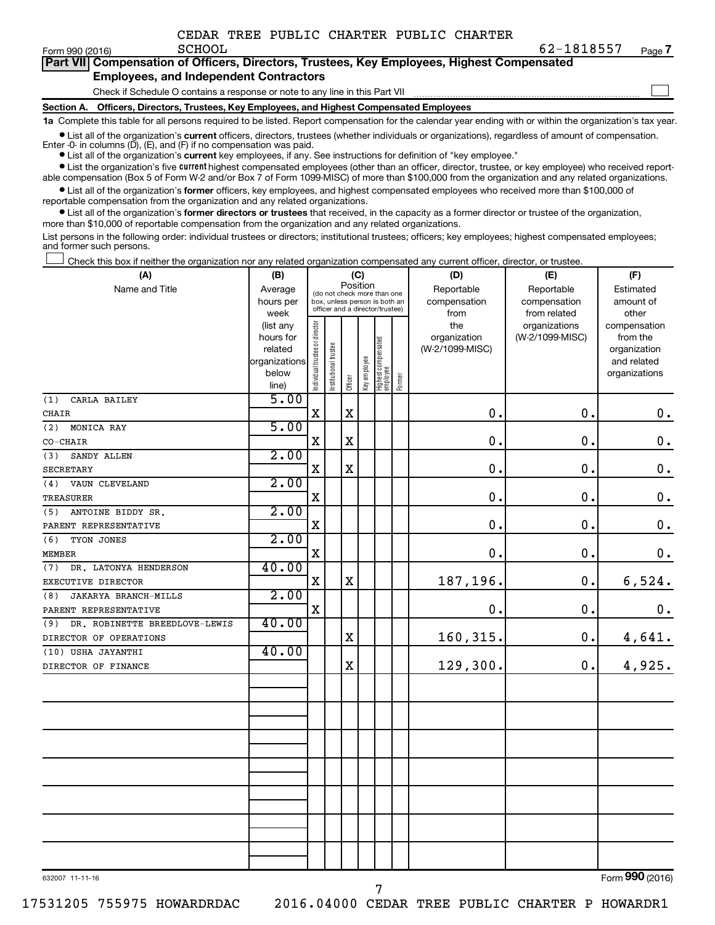|  | CEDAR TREE PUBLIC CHARTER PUBLIC CHARTER |  |
|--|------------------------------------------|--|
|  |                                          |  |

| Form 990 (2016)                               | <b>SCHOOL</b>                                                                              | 62-1818557 | Page 7 |  |  |
|-----------------------------------------------|--------------------------------------------------------------------------------------------|------------|--------|--|--|
|                                               | Part VII Compensation of Officers, Directors, Trustees, Key Employees, Highest Compensated |            |        |  |  |
| <b>Employees, and Independent Contractors</b> |                                                                                            |            |        |  |  |
|                                               | Check if Schedule O contains a response or note to any line in this Part VII               |            |        |  |  |

**Section A. Officers, Directors, Trustees, Key Employees, and Highest Compensated Employees**

**1a**  Complete this table for all persons required to be listed. Report compensation for the calendar year ending with or within the organization's tax year.

**•** List all of the organization's current officers, directors, trustees (whether individuals or organizations), regardless of amount of compensation.

Enter -0- in columns  $(D)$ ,  $(E)$ , and  $(F)$  if no compensation was paid.

**•** List all of the organization's **current** key employees, if any. See instructions for definition of "key employee."

**•** List the organization's five current highest compensated employees (other than an officer, director, trustee, or key employee) who received reportable compensation (Box 5 of Form W-2 and/or Box 7 of Form 1099-MISC) of more than \$100,000 from the organization and any related organizations.

**•** List all of the organization's former officers, key employees, and highest compensated employees who received more than \$100,000 of reportable compensation from the organization and any related organizations.

**•** List all of the organization's former directors or trustees that received, in the capacity as a former director or trustee of the organization, more than \$10,000 of reportable compensation from the organization and any related organizations.

List persons in the following order: individual trustees or directors; institutional trustees; officers; key employees; highest compensated employees; and former such persons.

|  |  |  | Check this box if neither the organization nor any related organization compensated any current officer, director, or trustee |  |  |
|--|--|--|-------------------------------------------------------------------------------------------------------------------------------|--|--|
|  |  |  |                                                                                                                               |  |  |

| (A)                                  | (B)                    | (C)                                     |                                                                  |             |              |                                 |        | (D)                 | (E)                              | (F)                      |  |  |
|--------------------------------------|------------------------|-----------------------------------------|------------------------------------------------------------------|-------------|--------------|---------------------------------|--------|---------------------|----------------------------------|--------------------------|--|--|
| Name and Title                       | Average                | Position<br>(do not check more than one |                                                                  |             |              |                                 |        | Reportable          | Reportable                       | Estimated                |  |  |
|                                      | hours per              |                                         | box, unless person is both an<br>officer and a director/trustee) |             |              |                                 |        | compensation        | compensation                     | amount of                |  |  |
|                                      | week                   |                                         |                                                                  |             |              |                                 |        | from                | from related                     | other                    |  |  |
|                                      | (list any<br>hours for |                                         |                                                                  |             |              |                                 |        | the<br>organization | organizations<br>(W-2/1099-MISC) | compensation<br>from the |  |  |
|                                      | related                |                                         |                                                                  |             |              |                                 |        | (W-2/1099-MISC)     |                                  | organization             |  |  |
|                                      | organizations          |                                         |                                                                  |             |              |                                 |        |                     |                                  | and related              |  |  |
|                                      | below                  | Individual trustee or director          | Institutional trustee                                            |             | Key employee | Highest compensated<br>employee |        |                     |                                  | organizations            |  |  |
|                                      | line)                  |                                         |                                                                  | Officer     |              |                                 | Former |                     |                                  |                          |  |  |
| (1)<br>CARLA BAILEY                  | 5.00                   |                                         |                                                                  |             |              |                                 |        |                     |                                  |                          |  |  |
| CHAIR                                |                        | $\mathbf X$                             |                                                                  | $\mathbf X$ |              |                                 |        | $\mathbf 0$ .       | 0.                               | $\mathbf 0$ .            |  |  |
| (2)<br>MONICA RAY                    | 5.00                   |                                         |                                                                  |             |              |                                 |        |                     |                                  |                          |  |  |
| CO-CHAIR                             |                        | X                                       |                                                                  | $\mathbf X$ |              |                                 |        | 0.                  | 0.                               | $\mathbf 0$ .            |  |  |
| (3)<br>SANDY ALLEN                   | 2.00                   |                                         |                                                                  |             |              |                                 |        |                     |                                  |                          |  |  |
| <b>SECRETARY</b>                     |                        | $\mathbf X$                             |                                                                  | $\mathbf X$ |              |                                 |        | 0.                  | 0.                               | $\boldsymbol{0}$ .       |  |  |
| VAUN CLEVELAND<br>(4)                | 2.00                   |                                         |                                                                  |             |              |                                 |        |                     |                                  |                          |  |  |
| <b>TREASURER</b>                     |                        | $\mathbf X$                             |                                                                  |             |              |                                 |        | 0.                  | 0.                               | $\mathbf 0$ .            |  |  |
| ANTOINE BIDDY SR.<br>(5)             | 2.00                   |                                         |                                                                  |             |              |                                 |        |                     |                                  |                          |  |  |
| PARENT REPRESENTATIVE                |                        | $\mathbf X$                             |                                                                  |             |              |                                 |        | 0.                  | 0.                               | $\mathbf 0$ .            |  |  |
| (6)<br>TYON JONES                    | 2.00                   |                                         |                                                                  |             |              |                                 |        |                     |                                  |                          |  |  |
| <b>MEMBER</b>                        |                        | $\mathbf X$                             |                                                                  |             |              |                                 |        | $\mathbf 0$ .       | $\mathbf 0$ .                    | 0.                       |  |  |
| (7) DR. LATONYA HENDERSON            | 40.00                  |                                         |                                                                  |             |              |                                 |        |                     |                                  |                          |  |  |
| EXECUTIVE DIRECTOR                   |                        | $\mathbf X$                             |                                                                  | $\mathbf X$ |              |                                 |        | 187,196.            | 0.                               | 6,524.                   |  |  |
| JAKARYA BRANCH-MILLS<br>(8)          | 2.00                   |                                         |                                                                  |             |              |                                 |        |                     |                                  |                          |  |  |
| PARENT REPRESENTATIVE                |                        | $\mathbf X$                             |                                                                  |             |              |                                 |        | 0.                  | 0.                               | 0.                       |  |  |
| DR. ROBINETTE BREEDLOVE-LEWIS<br>(9) | 40.00                  |                                         |                                                                  |             |              |                                 |        |                     |                                  |                          |  |  |
| DIRECTOR OF OPERATIONS               |                        |                                         |                                                                  | $\mathbf X$ |              |                                 |        | 160, 315.           | 0.                               | 4,641.                   |  |  |
| (10) USHA JAYANTHI                   | 40.00                  |                                         |                                                                  |             |              |                                 |        |                     |                                  |                          |  |  |
| DIRECTOR OF FINANCE                  |                        |                                         |                                                                  | $\mathbf X$ |              |                                 |        | 129,300.            | 0.                               | 4,925.                   |  |  |
|                                      |                        |                                         |                                                                  |             |              |                                 |        |                     |                                  |                          |  |  |
|                                      |                        |                                         |                                                                  |             |              |                                 |        |                     |                                  |                          |  |  |
|                                      |                        |                                         |                                                                  |             |              |                                 |        |                     |                                  |                          |  |  |
|                                      |                        |                                         |                                                                  |             |              |                                 |        |                     |                                  |                          |  |  |
|                                      |                        |                                         |                                                                  |             |              |                                 |        |                     |                                  |                          |  |  |
|                                      |                        |                                         |                                                                  |             |              |                                 |        |                     |                                  |                          |  |  |
|                                      |                        |                                         |                                                                  |             |              |                                 |        |                     |                                  |                          |  |  |
|                                      |                        |                                         |                                                                  |             |              |                                 |        |                     |                                  |                          |  |  |
|                                      |                        |                                         |                                                                  |             |              |                                 |        |                     |                                  |                          |  |  |
|                                      |                        |                                         |                                                                  |             |              |                                 |        |                     |                                  |                          |  |  |
|                                      |                        |                                         |                                                                  |             |              |                                 |        |                     |                                  |                          |  |  |
|                                      |                        |                                         |                                                                  |             |              |                                 |        |                     |                                  |                          |  |  |
|                                      |                        |                                         |                                                                  |             |              |                                 |        |                     |                                  |                          |  |  |

632007 11-11-16

Form (2016) **990**

17531205 755975 HOWARDRDAC 2016.04000 CEDAR TREE PUBLIC CHARTER P HOWARDR1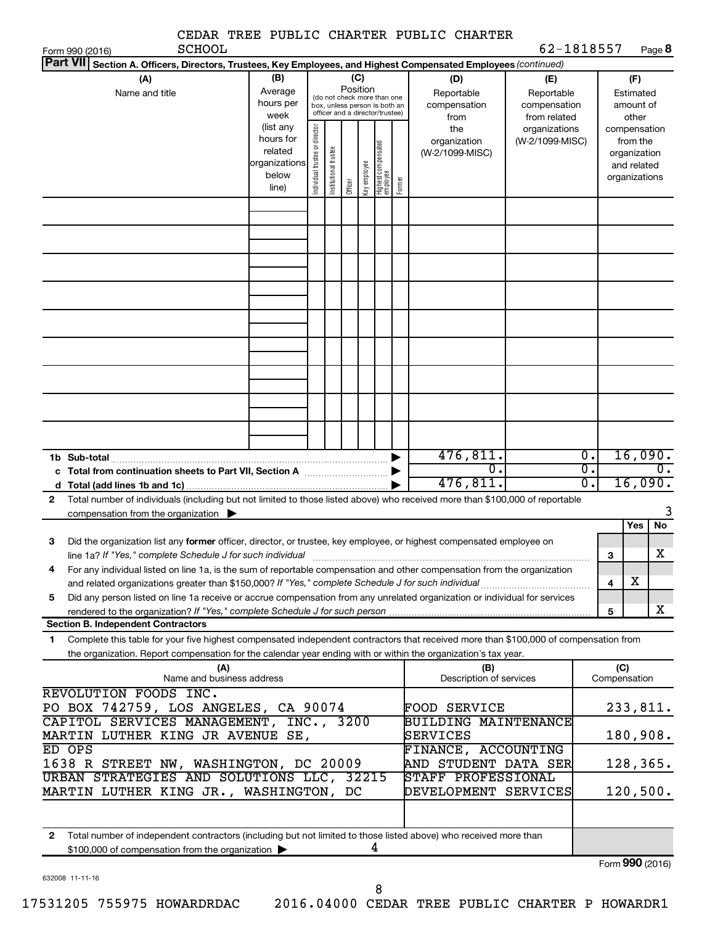| <b>SCHOOL</b>                                                                                                                                                                                                                                               |                                                                      |                                |                       |                 |              |                                                                                                 |        | CEDAR TREE PUBLIC CHARTER PUBLIC CHARTER            | 62-1818557                                        |                                                          |                                     |                                                          |                       |
|-------------------------------------------------------------------------------------------------------------------------------------------------------------------------------------------------------------------------------------------------------------|----------------------------------------------------------------------|--------------------------------|-----------------------|-----------------|--------------|-------------------------------------------------------------------------------------------------|--------|-----------------------------------------------------|---------------------------------------------------|----------------------------------------------------------|-------------------------------------|----------------------------------------------------------|-----------------------|
| Form 990 (2016)<br><b>Part VII</b><br>Section A. Officers, Directors, Trustees, Key Employees, and Highest Compensated Employees (continued)                                                                                                                |                                                                      |                                |                       |                 |              |                                                                                                 |        |                                                     |                                                   |                                                          |                                     | Page 8                                                   |                       |
| (A)<br>Name and title                                                                                                                                                                                                                                       | (B)<br>Average<br>hours per<br>week                                  |                                |                       | (C)<br>Position |              | (do not check more than one<br>box, unless person is both an<br>officer and a director/trustee) |        | (D)<br>Reportable<br>compensation<br>from           | (E)<br>Reportable<br>compensation<br>from related |                                                          |                                     | (F)<br>Estimated<br>amount of<br>other                   |                       |
|                                                                                                                                                                                                                                                             | (list any<br>hours for<br>related<br>organizations<br>below<br>line) | Individual trustee or director | Institutional trustee | Officer         | Key employee | Highest compensated<br>  employee                                                               | Former | the<br>organization<br>(W-2/1099-MISC)              | organizations<br>(W-2/1099-MISC)                  | compensation                                             |                                     | from the<br>organization<br>and related<br>organizations |                       |
|                                                                                                                                                                                                                                                             |                                                                      |                                |                       |                 |              |                                                                                                 |        |                                                     |                                                   |                                                          |                                     |                                                          |                       |
|                                                                                                                                                                                                                                                             |                                                                      |                                |                       |                 |              |                                                                                                 |        |                                                     |                                                   |                                                          |                                     |                                                          |                       |
|                                                                                                                                                                                                                                                             |                                                                      |                                |                       |                 |              |                                                                                                 |        |                                                     |                                                   |                                                          |                                     |                                                          |                       |
|                                                                                                                                                                                                                                                             |                                                                      |                                |                       |                 |              |                                                                                                 |        |                                                     |                                                   |                                                          |                                     |                                                          |                       |
|                                                                                                                                                                                                                                                             |                                                                      |                                |                       |                 |              |                                                                                                 |        |                                                     |                                                   |                                                          |                                     |                                                          |                       |
| 1b Sub-total                                                                                                                                                                                                                                                |                                                                      |                                |                       |                 |              |                                                                                                 |        | 476,811.<br>$\overline{\mathfrak{o}}$ .<br>476,811. |                                                   | $\overline{0}$ .<br>$\overline{0}$ .<br>$\overline{0}$ . | 16,090.<br>$\mathbf 0$ .<br>16,090. |                                                          |                       |
| Total number of individuals (including but not limited to those listed above) who received more than \$100,000 of reportable<br>2<br>compensation from the organization $\blacktriangleright$                                                               |                                                                      |                                |                       |                 |              |                                                                                                 |        |                                                     |                                                   |                                                          |                                     |                                                          |                       |
| з<br>Did the organization list any <b>former</b> officer, director, or trustee, key employee, or highest compensated employee on                                                                                                                            |                                                                      |                                |                       |                 |              |                                                                                                 |        |                                                     |                                                   |                                                          |                                     | Yes                                                      | No                    |
| line 1a? If "Yes," complete Schedule J for such individual manufactured contained and the complete schedule J<br>For any individual listed on line 1a, is the sum of reportable compensation and other compensation from the organization<br>4              |                                                                      |                                |                       |                 |              |                                                                                                 |        |                                                     |                                                   |                                                          | 3<br>$\overline{\mathbf{4}}$        | x                                                        | $\overline{\text{X}}$ |
| Did any person listed on line 1a receive or accrue compensation from any unrelated organization or individual for services<br>5                                                                                                                             |                                                                      |                                |                       |                 |              |                                                                                                 |        |                                                     |                                                   |                                                          | 5                                   |                                                          | x                     |
| <b>Section B. Independent Contractors</b>                                                                                                                                                                                                                   |                                                                      |                                |                       |                 |              |                                                                                                 |        |                                                     |                                                   |                                                          |                                     |                                                          |                       |
| Complete this table for your five highest compensated independent contractors that received more than \$100,000 of compensation from<br>1<br>the organization. Report compensation for the calendar year ending with or within the organization's tax year. |                                                                      |                                |                       |                 |              |                                                                                                 |        |                                                     |                                                   |                                                          |                                     |                                                          |                       |
| (A)<br>Name and business address                                                                                                                                                                                                                            |                                                                      |                                |                       |                 |              |                                                                                                 |        | (B)<br>Description of services                      |                                                   |                                                          | (C)                                 | Compensation                                             |                       |
| REVOLUTION FOODS INC.<br>PO BOX 742759, LOS ANGELES, CA 90074                                                                                                                                                                                               |                                                                      |                                |                       |                 |              |                                                                                                 |        | <b>FOOD SERVICE</b>                                 |                                                   |                                                          |                                     | 233,811.                                                 |                       |
| CAPITOL SERVICES MANAGEMENT, INC., 3200<br>MARTIN LUTHER KING JR AVENUE SE,                                                                                                                                                                                 |                                                                      |                                |                       |                 |              |                                                                                                 |        | <b>BUILDING MAINTENANCE</b><br>SERVICES             |                                                   |                                                          |                                     | 180,908.                                                 |                       |
| ED OPS<br>1638 R STREET NW, WASHINGTON, DC 20009                                                                                                                                                                                                            |                                                                      |                                |                       |                 |              |                                                                                                 |        | FINANCE, ACCOUNTING<br>AND STUDENT DATA SER         |                                                   |                                                          |                                     | 128,365.                                                 |                       |
| URBAN STRATEGIES AND SOLUTIONS LLC, 32215<br>MARTIN LUTHER KING JR., WASHINGTON, DC                                                                                                                                                                         |                                                                      |                                |                       |                 |              |                                                                                                 |        | STAFF PROFESSIONAL<br>DEVELOPMENT SERVICES          |                                                   |                                                          |                                     | 120,500.                                                 |                       |
| $\mathbf{2}$<br>Total number of independent contractors (including but not limited to those listed above) who received more than                                                                                                                            |                                                                      |                                |                       |                 |              |                                                                                                 |        |                                                     |                                                   |                                                          |                                     |                                                          |                       |
| \$100,000 of compensation from the organization >                                                                                                                                                                                                           |                                                                      |                                |                       |                 |              | 4                                                                                               |        |                                                     |                                                   |                                                          |                                     | $F_{\text{O}}$ QQ $\Omega$ (2016)                        |                       |

632008 11-11-16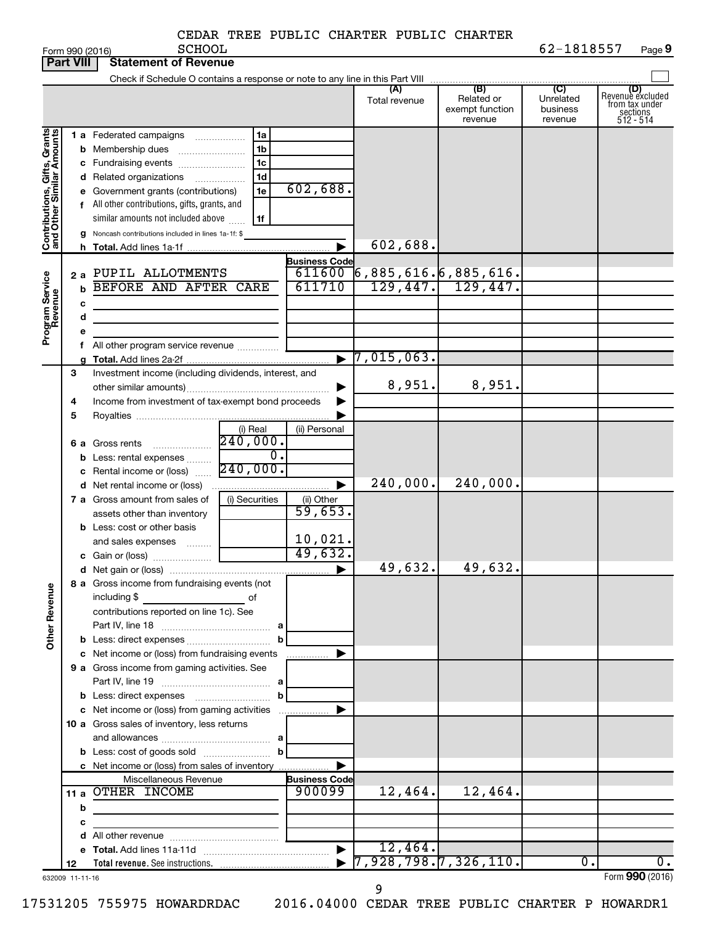|                 |        |  | CEDAR TREE PUBLIC CHARTER PUBLIC CHARTER |  |
|-----------------|--------|--|------------------------------------------|--|
| Form 990 (2016) | SCHOOL |  |                                          |  |
| $\sim$ $\sim$   |        |  |                                          |  |

|                                                           | <b>Part VIII</b> | Statement of Revenue                                                                                                                                                                                                                                                                        |                                                                      |                       |                                       |                                                 |                                         |                                                                    |
|-----------------------------------------------------------|------------------|---------------------------------------------------------------------------------------------------------------------------------------------------------------------------------------------------------------------------------------------------------------------------------------------|----------------------------------------------------------------------|-----------------------|---------------------------------------|-------------------------------------------------|-----------------------------------------|--------------------------------------------------------------------|
|                                                           |                  |                                                                                                                                                                                                                                                                                             |                                                                      |                       | (A)<br>Total revenue                  | (B)<br>Related or<br>exempt function<br>revenue | (C)<br>Unrelated<br>business<br>revenue | (D)<br>Revenue excluded<br>from tax under<br>sections<br>512 - 514 |
| Contributions, Gifts, Grants<br>and Other Similar Amounts |                  | 1 a Federated campaigns<br><b>b</b> Membership dues<br>c Fundraising events<br>d Related organizations<br>e Government grants (contributions)<br>f All other contributions, gifts, grants, and<br>similar amounts not included above<br>g Noncash contributions included in lines 1a-1f: \$ | 1a<br>1 <sub>b</sub><br>1 <sub>c</sub><br>1 <sub>d</sub><br>1e<br>1f | 602,688.              | 602,688.                              |                                                 |                                         |                                                                    |
|                                                           |                  |                                                                                                                                                                                                                                                                                             |                                                                      | <b>Business Code</b>  |                                       |                                                 |                                         |                                                                    |
|                                                           |                  | 2 a PUPIL ALLOTMENTS                                                                                                                                                                                                                                                                        |                                                                      | 611600                | 6,885,616. 6,885,616.                 |                                                 |                                         |                                                                    |
| Program Service<br>Revenue                                |                  | BEFORE AND AFTER CARE                                                                                                                                                                                                                                                                       |                                                                      | 611710                | 129,447.                              | 129,447.                                        |                                         |                                                                    |
|                                                           | с                |                                                                                                                                                                                                                                                                                             |                                                                      |                       |                                       |                                                 |                                         |                                                                    |
|                                                           | d                |                                                                                                                                                                                                                                                                                             |                                                                      |                       |                                       |                                                 |                                         |                                                                    |
|                                                           |                  |                                                                                                                                                                                                                                                                                             |                                                                      |                       |                                       |                                                 |                                         |                                                                    |
|                                                           |                  | f All other program service revenue                                                                                                                                                                                                                                                         |                                                                      |                       |                                       |                                                 |                                         |                                                                    |
|                                                           |                  |                                                                                                                                                                                                                                                                                             |                                                                      |                       | 7,015,063.                            |                                                 |                                         |                                                                    |
|                                                           | З                | Investment income (including dividends, interest, and                                                                                                                                                                                                                                       |                                                                      |                       | 8,951.                                | 8,951.                                          |                                         |                                                                    |
|                                                           |                  |                                                                                                                                                                                                                                                                                             |                                                                      | ▶                     |                                       |                                                 |                                         |                                                                    |
|                                                           | 4<br>5           | Income from investment of tax-exempt bond proceeds                                                                                                                                                                                                                                          |                                                                      | ▶                     |                                       |                                                 |                                         |                                                                    |
|                                                           |                  |                                                                                                                                                                                                                                                                                             | (i) Real                                                             | (ii) Personal         |                                       |                                                 |                                         |                                                                    |
|                                                           |                  |                                                                                                                                                                                                                                                                                             |                                                                      |                       |                                       |                                                 |                                         |                                                                    |
|                                                           |                  | <b>b</b> Less: rental expenses                                                                                                                                                                                                                                                              | $\overline{0}$ .                                                     |                       |                                       |                                                 |                                         |                                                                    |
|                                                           |                  | <b>c</b> Rental income or (loss) $\frac{240,000}{3}$                                                                                                                                                                                                                                        |                                                                      |                       |                                       |                                                 |                                         |                                                                    |
|                                                           |                  |                                                                                                                                                                                                                                                                                             |                                                                      | ▶                     | 240,000.                              | 240,000.                                        |                                         |                                                                    |
|                                                           |                  | 7 a Gross amount from sales of                                                                                                                                                                                                                                                              | (i) Securities                                                       | (ii) Other            |                                       |                                                 |                                         |                                                                    |
|                                                           |                  | assets other than inventory                                                                                                                                                                                                                                                                 |                                                                      | 59,653.               |                                       |                                                 |                                         |                                                                    |
|                                                           |                  | <b>b</b> Less: cost or other basis                                                                                                                                                                                                                                                          |                                                                      |                       |                                       |                                                 |                                         |                                                                    |
|                                                           |                  | and sales expenses                                                                                                                                                                                                                                                                          |                                                                      | 10,021.               |                                       |                                                 |                                         |                                                                    |
|                                                           |                  |                                                                                                                                                                                                                                                                                             |                                                                      | 49,632.               |                                       |                                                 |                                         |                                                                    |
|                                                           |                  |                                                                                                                                                                                                                                                                                             |                                                                      | $\blacktriangleright$ | 49,632.                               | 49,632.                                         |                                         |                                                                    |
| <b>Other Revenue</b>                                      |                  | <b>8 a</b> Gross income from fundraising events (not<br>including \$ of<br>contributions reported on line 1c). See                                                                                                                                                                          |                                                                      |                       |                                       |                                                 |                                         |                                                                    |
|                                                           |                  |                                                                                                                                                                                                                                                                                             | b                                                                    |                       |                                       |                                                 |                                         |                                                                    |
|                                                           |                  | c Net income or (loss) from fundraising events                                                                                                                                                                                                                                              |                                                                      | ▶<br>.                |                                       |                                                 |                                         |                                                                    |
|                                                           |                  | 9 a Gross income from gaming activities. See                                                                                                                                                                                                                                                |                                                                      |                       |                                       |                                                 |                                         |                                                                    |
|                                                           |                  |                                                                                                                                                                                                                                                                                             |                                                                      |                       |                                       |                                                 |                                         |                                                                    |
|                                                           |                  |                                                                                                                                                                                                                                                                                             | $\mathbf{b}$                                                         |                       |                                       |                                                 |                                         |                                                                    |
|                                                           |                  | c Net income or (loss) from gaming activities                                                                                                                                                                                                                                               |                                                                      | ▶                     |                                       |                                                 |                                         |                                                                    |
|                                                           |                  | 10 a Gross sales of inventory, less returns                                                                                                                                                                                                                                                 |                                                                      |                       |                                       |                                                 |                                         |                                                                    |
|                                                           |                  |                                                                                                                                                                                                                                                                                             | b                                                                    |                       |                                       |                                                 |                                         |                                                                    |
|                                                           |                  | c Net income or (loss) from sales of inventory                                                                                                                                                                                                                                              |                                                                      | ▶                     |                                       |                                                 |                                         |                                                                    |
|                                                           |                  | Miscellaneous Revenue                                                                                                                                                                                                                                                                       |                                                                      | <b>Business Code</b>  |                                       |                                                 |                                         |                                                                    |
|                                                           |                  | 11 a OTHER INCOME                                                                                                                                                                                                                                                                           |                                                                      | 900099                | 12,464.                               | 12,464.                                         |                                         |                                                                    |
|                                                           | b                | the control of the control of the control of the control of the control of                                                                                                                                                                                                                  |                                                                      |                       |                                       |                                                 |                                         |                                                                    |
|                                                           | с                |                                                                                                                                                                                                                                                                                             |                                                                      |                       |                                       |                                                 |                                         |                                                                    |
|                                                           |                  | d All other revenue <i>manually contained</i> and the set of the set of the set of the set of the set of the set of the                                                                                                                                                                     |                                                                      |                       |                                       |                                                 |                                         |                                                                    |
|                                                           |                  |                                                                                                                                                                                                                                                                                             |                                                                      | $\blacktriangleright$ | 12,464.                               |                                                 |                                         |                                                                    |
|                                                           | 12               |                                                                                                                                                                                                                                                                                             |                                                                      |                       | $\triangleright$ 7,928,798.7,326,110. |                                                 | $0$ .                                   | 0.                                                                 |
| 632009 11-11-16                                           |                  |                                                                                                                                                                                                                                                                                             |                                                                      |                       |                                       |                                                 |                                         | Form 990 (2016)                                                    |

17531205 755975 HOWARDRDAC 2016.04000 CEDAR TREE PUBLIC CHARTER P HOWARDR1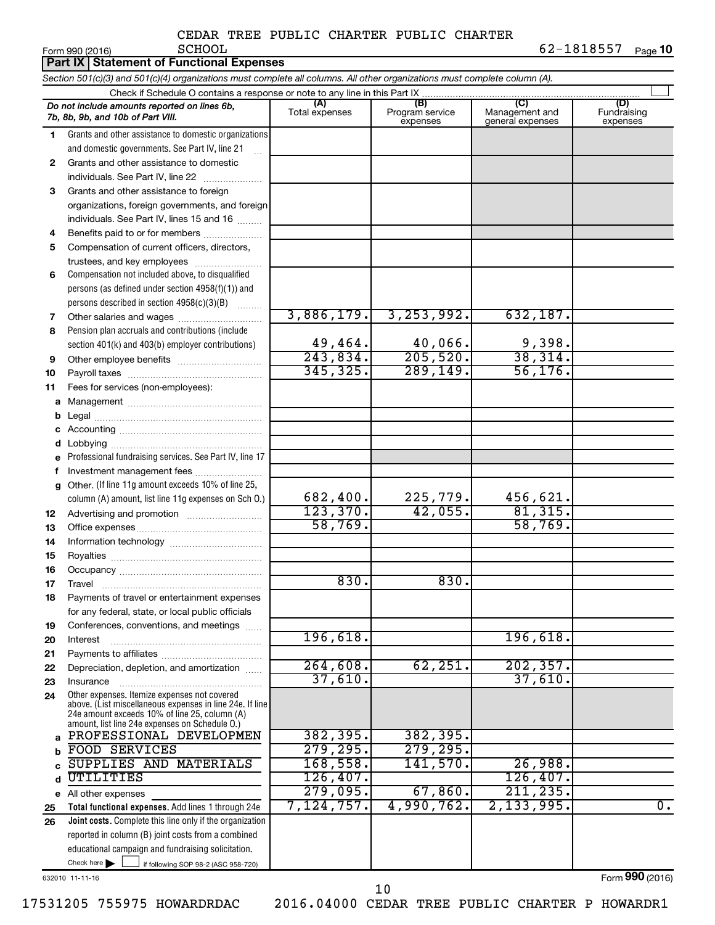|    | Part IX   Statement of Functional Expenses                                                                                                                                                                  |                       |                                    |                                           |                                |
|----|-------------------------------------------------------------------------------------------------------------------------------------------------------------------------------------------------------------|-----------------------|------------------------------------|-------------------------------------------|--------------------------------|
|    | Section 501(c)(3) and 501(c)(4) organizations must complete all columns. All other organizations must complete column (A).                                                                                  |                       |                                    |                                           |                                |
|    | Check if Schedule O contains a response or note to any line in this Part IX                                                                                                                                 |                       |                                    |                                           |                                |
|    | Do not include amounts reported on lines 6b,<br>7b, 8b, 9b, and 10b of Part VIII.                                                                                                                           | (A)<br>Total expenses | (B)<br>Program service<br>expenses | (C)<br>Management and<br>general expenses | (D)<br>Fundraising<br>expenses |
| 1  | Grants and other assistance to domestic organizations                                                                                                                                                       |                       |                                    |                                           |                                |
|    | and domestic governments. See Part IV, line 21                                                                                                                                                              |                       |                                    |                                           |                                |
| 2  | Grants and other assistance to domestic                                                                                                                                                                     |                       |                                    |                                           |                                |
|    | individuals. See Part IV, line 22                                                                                                                                                                           |                       |                                    |                                           |                                |
| 3  | Grants and other assistance to foreign                                                                                                                                                                      |                       |                                    |                                           |                                |
|    | organizations, foreign governments, and foreign                                                                                                                                                             |                       |                                    |                                           |                                |
|    | individuals. See Part IV, lines 15 and 16                                                                                                                                                                   |                       |                                    |                                           |                                |
| 4  | Benefits paid to or for members                                                                                                                                                                             |                       |                                    |                                           |                                |
| 5  | Compensation of current officers, directors,                                                                                                                                                                |                       |                                    |                                           |                                |
|    | trustees, and key employees                                                                                                                                                                                 |                       |                                    |                                           |                                |
| 6  | Compensation not included above, to disqualified                                                                                                                                                            |                       |                                    |                                           |                                |
|    | persons (as defined under section $4958(f)(1)$ ) and                                                                                                                                                        |                       |                                    |                                           |                                |
|    | persons described in section 4958(c)(3)(B)                                                                                                                                                                  |                       |                                    |                                           |                                |
| 7  | Other salaries and wages                                                                                                                                                                                    | 3,886,179.            | 3, 253, 992.                       | 632,187.                                  |                                |
| 8  | Pension plan accruals and contributions (include                                                                                                                                                            |                       |                                    |                                           |                                |
|    | section 401(k) and 403(b) employer contributions)                                                                                                                                                           | 49,464.<br>243,834.   | $\frac{40,066}{205,520}$           | $\frac{9,398}{38,314}$                    |                                |
| 9  | Other employee benefits                                                                                                                                                                                     | 345, 325.             | 289, 149.                          | 56, 176.                                  |                                |
| 10 |                                                                                                                                                                                                             |                       |                                    |                                           |                                |
| 11 | Fees for services (non-employees):                                                                                                                                                                          |                       |                                    |                                           |                                |
| a  |                                                                                                                                                                                                             |                       |                                    |                                           |                                |
| b  |                                                                                                                                                                                                             |                       |                                    |                                           |                                |
| d  |                                                                                                                                                                                                             |                       |                                    |                                           |                                |
| е  | Professional fundraising services. See Part IV, line 17                                                                                                                                                     |                       |                                    |                                           |                                |
| f  | Investment management fees                                                                                                                                                                                  |                       |                                    |                                           |                                |
| g  | Other. (If line 11g amount exceeds 10% of line 25,                                                                                                                                                          |                       |                                    |                                           |                                |
|    | column (A) amount, list line 11g expenses on Sch O.)                                                                                                                                                        | 682,400.              |                                    |                                           |                                |
| 12 |                                                                                                                                                                                                             | 123, 370.             | $\frac{225,779.}{42,055.}$         | $\frac{456,621}{81,315}$                  |                                |
| 13 |                                                                                                                                                                                                             | 58,769.               |                                    | 58,769.                                   |                                |
| 14 |                                                                                                                                                                                                             |                       |                                    |                                           |                                |
| 15 |                                                                                                                                                                                                             |                       |                                    |                                           |                                |
| 16 |                                                                                                                                                                                                             |                       |                                    |                                           |                                |
| 17 | Travel                                                                                                                                                                                                      | 830.                  | 830.                               |                                           |                                |
| 18 | Payments of travel or entertainment expenses                                                                                                                                                                |                       |                                    |                                           |                                |
|    | for any federal, state, or local public officials                                                                                                                                                           |                       |                                    |                                           |                                |
| 19 | Conferences, conventions, and meetings                                                                                                                                                                      |                       |                                    |                                           |                                |
| 20 | Interest                                                                                                                                                                                                    | 196,618.              |                                    | 196,618.                                  |                                |
| 21 |                                                                                                                                                                                                             |                       |                                    |                                           |                                |
| 22 | Depreciation, depletion, and amortization                                                                                                                                                                   | 264,608.              | 62, 251.                           | 202, 357.                                 |                                |
| 23 | Insurance                                                                                                                                                                                                   | 37,610.               |                                    | 37,610.                                   |                                |
| 24 | Other expenses. Itemize expenses not covered<br>above. (List miscellaneous expenses in line 24e. If line<br>24e amount exceeds 10% of line 25, column (A)<br>amount, list line 24e expenses on Schedule O.) |                       |                                    |                                           |                                |
| a  | PROFESSIONAL DEVELOPMEN                                                                                                                                                                                     | 382, 395.             | 382, 395.                          |                                           |                                |
| b  | FOOD SERVICES                                                                                                                                                                                               | 279, 295.             | 279, 295.                          |                                           |                                |
| C  | SUPPLIES AND MATERIALS                                                                                                                                                                                      | 168,558.              | 141,570.                           | 26,988.                                   |                                |
| d  | UTILITIES                                                                                                                                                                                                   | 126,407.              |                                    | 126,407.                                  |                                |
|    | e All other expenses                                                                                                                                                                                        | 279,095.              | 67,860.                            | 211, 235.                                 |                                |
| 25 | Total functional expenses. Add lines 1 through 24e                                                                                                                                                          | 7,124,757.            | 4,990,762.                         | 2, 133, 995.                              | $\overline{0}$ .               |
| 26 | Joint costs. Complete this line only if the organization                                                                                                                                                    |                       |                                    |                                           |                                |
|    | reported in column (B) joint costs from a combined                                                                                                                                                          |                       |                                    |                                           |                                |
|    | educational campaign and fundraising solicitation.<br>Check here $\blacktriangleright$                                                                                                                      |                       |                                    |                                           |                                |
|    | if following SOP 98-2 (ASC 958-720)                                                                                                                                                                         |                       |                                    |                                           |                                |

632010 11-11-16

Form (2016) **990**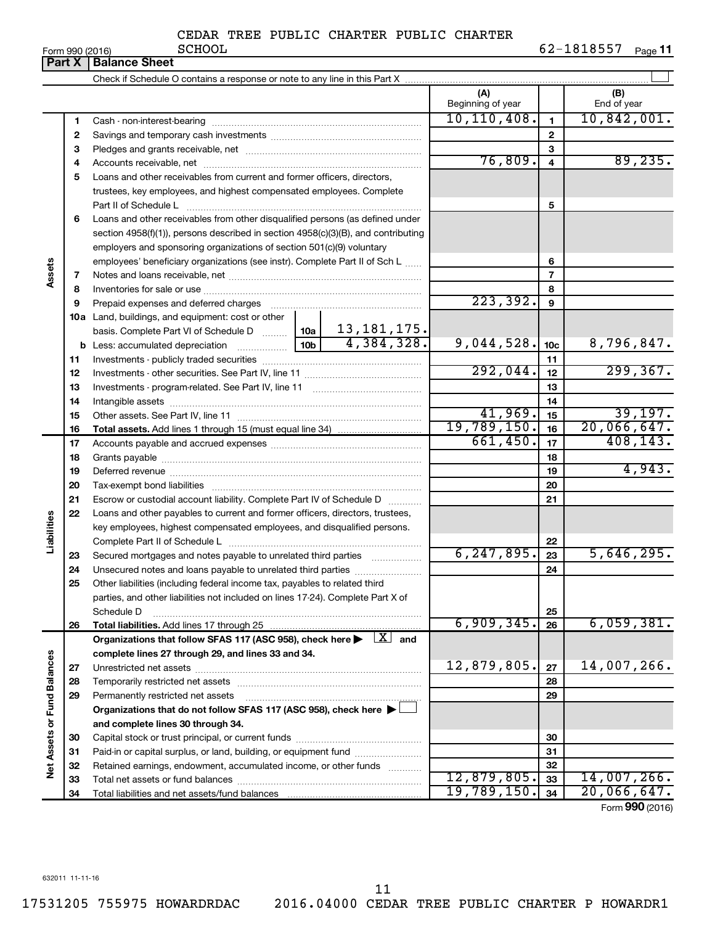| Form 990 (2016) |  |  |
|-----------------|--|--|

|                             | U(1113301)<br><b>Part X</b> | <b>Balance Sheet</b>                                                                                                                                             |          |                                  |                          |                         | r ayo ri                 |
|-----------------------------|-----------------------------|------------------------------------------------------------------------------------------------------------------------------------------------------------------|----------|----------------------------------|--------------------------|-------------------------|--------------------------|
|                             |                             |                                                                                                                                                                  |          |                                  |                          |                         |                          |
|                             |                             |                                                                                                                                                                  |          |                                  | (A)<br>Beginning of year |                         | (B)<br>End of year       |
|                             | 1                           |                                                                                                                                                                  |          |                                  | 10, 110, 408.            | $\mathbf{1}$            | 10,842,001.              |
|                             | 2                           |                                                                                                                                                                  |          |                                  |                          | 2                       |                          |
|                             | 3                           |                                                                                                                                                                  |          |                                  |                          | 3                       |                          |
|                             | 4                           |                                                                                                                                                                  |          |                                  | 76,809.                  | $\overline{\mathbf{4}}$ | 89, 235.                 |
|                             | 5                           | Loans and other receivables from current and former officers, directors,                                                                                         |          |                                  |                          |                         |                          |
|                             |                             | trustees, key employees, and highest compensated employees. Complete                                                                                             |          |                                  |                          |                         |                          |
|                             |                             | Part II of Schedule L                                                                                                                                            |          |                                  |                          | 5                       |                          |
|                             | 6                           | Loans and other receivables from other disqualified persons (as defined under                                                                                    |          |                                  |                          |                         |                          |
|                             |                             | section 4958(f)(1)), persons described in section 4958(c)(3)(B), and contributing                                                                                |          |                                  |                          |                         |                          |
|                             |                             | employers and sponsoring organizations of section 501(c)(9) voluntary                                                                                            |          |                                  |                          |                         |                          |
|                             |                             | employees' beneficiary organizations (see instr). Complete Part II of Sch L                                                                                      |          |                                  |                          | 6                       |                          |
| Assets                      | 7                           |                                                                                                                                                                  |          |                                  |                          | $\overline{7}$          |                          |
|                             | 8                           |                                                                                                                                                                  |          |                                  |                          | 8                       |                          |
|                             | 9                           |                                                                                                                                                                  |          |                                  | 223, 392.                | 9                       |                          |
|                             | 10a                         | Land, buildings, and equipment: cost or other                                                                                                                    |          |                                  |                          |                         |                          |
|                             |                             | basis. Complete Part VI of Schedule D $\begin{array}{ c c c c c }\n\hline\n10a & 13,181,175. \text{Less: accumulated depreciation} & & & \\ \hline\n\end{array}$ |          |                                  |                          |                         |                          |
|                             |                             | <b>b</b> Less: accumulated depreciation                                                                                                                          |          |                                  | 9,044,528.               | 10 <sub>c</sub>         | 8,796,847.               |
|                             | 11                          |                                                                                                                                                                  |          |                                  |                          | 11                      |                          |
|                             | 12                          |                                                                                                                                                                  | 292,044. | 12                               | 299, 367.                |                         |                          |
|                             | 13                          |                                                                                                                                                                  |          | 13                               |                          |                         |                          |
|                             | 14                          |                                                                                                                                                                  |          |                                  | 14                       |                         |                          |
|                             | 15                          |                                                                                                                                                                  |          |                                  | 41,969.                  | 15                      | 39,197.                  |
|                             | 16                          |                                                                                                                                                                  |          |                                  | 19,789,150.<br>661,450.  | 16                      | 20,066,647.<br>408, 143. |
|                             | 17                          |                                                                                                                                                                  |          | 17                               |                          |                         |                          |
|                             | 18                          |                                                                                                                                                                  |          | 18                               | 4,943.                   |                         |                          |
|                             | 19                          |                                                                                                                                                                  |          |                                  |                          | 19                      |                          |
|                             | 20                          |                                                                                                                                                                  |          |                                  |                          | 20                      |                          |
|                             | 21                          | Escrow or custodial account liability. Complete Part IV of Schedule D                                                                                            |          |                                  |                          | 21                      |                          |
| Liabilities                 | 22                          | Loans and other payables to current and former officers, directors, trustees,                                                                                    |          |                                  |                          |                         |                          |
|                             |                             | key employees, highest compensated employees, and disqualified persons.                                                                                          |          |                                  |                          | 22                      |                          |
|                             | 23                          | Secured mortgages and notes payable to unrelated third parties                                                                                                   |          |                                  | 6, 247, 895.             | 23                      | 5,646,295.               |
|                             | 24                          | Unsecured notes and loans payable to unrelated third parties                                                                                                     |          |                                  |                          | 24                      |                          |
|                             | 25                          | Other liabilities (including federal income tax, payables to related third                                                                                       |          |                                  |                          |                         |                          |
|                             |                             | parties, and other liabilities not included on lines 17-24). Complete Part X of                                                                                  |          |                                  |                          |                         |                          |
|                             |                             | Schedule D                                                                                                                                                       |          |                                  |                          | 25                      |                          |
|                             | 26                          |                                                                                                                                                                  |          |                                  | 6,909,345.               | 26                      | 6,059,381.               |
|                             |                             | Organizations that follow SFAS 117 (ASC 958), check here                                                                                                         |          | $\lfloor \mathbf{X} \rfloor$ and |                          |                         |                          |
|                             |                             | complete lines 27 through 29, and lines 33 and 34.                                                                                                               |          |                                  |                          |                         |                          |
|                             | 27                          |                                                                                                                                                                  |          |                                  | 12,879,805.              | 27                      | 14,007,266.              |
|                             | 28                          |                                                                                                                                                                  |          |                                  |                          | 28                      |                          |
|                             | 29                          | Permanently restricted net assets                                                                                                                                |          |                                  |                          | 29                      |                          |
|                             |                             | Organizations that do not follow SFAS 117 (ASC 958), check here ▶ L                                                                                              |          |                                  |                          |                         |                          |
|                             |                             | and complete lines 30 through 34.                                                                                                                                |          |                                  |                          |                         |                          |
|                             | 30                          |                                                                                                                                                                  |          |                                  |                          | 30                      |                          |
|                             | 31                          | Paid-in or capital surplus, or land, building, or equipment fund                                                                                                 |          |                                  |                          | 31                      |                          |
| Net Assets or Fund Balances | 32                          | Retained earnings, endowment, accumulated income, or other funds                                                                                                 |          |                                  |                          | 32                      |                          |
|                             | 33                          |                                                                                                                                                                  |          |                                  | 12,879,805.              | 33                      | 14,007,266.              |
|                             | 34                          |                                                                                                                                                                  |          |                                  | 19,789,150.              | 34                      | 20,066,647.              |

Form (2016) **990**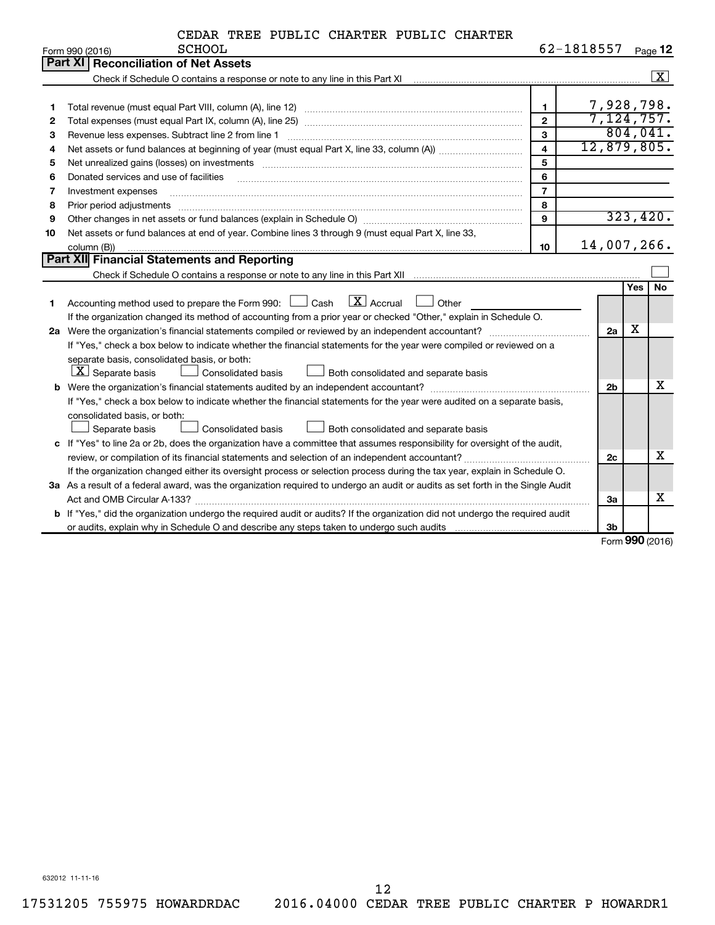|         |  | CEDAR TREE PUBLIC CHARTER PUBLIC CHARTER |  |            |          |
|---------|--|------------------------------------------|--|------------|----------|
| SCHOOL. |  |                                          |  | 62-1818557 | $\Gamma$ |

|    | Form 990 (2016)<br><b>PCHOOT</b>                                                                                                                                                                                                                                                                                                                                                                                                                                                                    |                         | $02 - 1818557$ |     | Page 12      |  |  |
|----|-----------------------------------------------------------------------------------------------------------------------------------------------------------------------------------------------------------------------------------------------------------------------------------------------------------------------------------------------------------------------------------------------------------------------------------------------------------------------------------------------------|-------------------------|----------------|-----|--------------|--|--|
|    | Part XI   Reconciliation of Net Assets                                                                                                                                                                                                                                                                                                                                                                                                                                                              |                         |                |     |              |  |  |
|    |                                                                                                                                                                                                                                                                                                                                                                                                                                                                                                     |                         |                |     | $\mathbf{X}$ |  |  |
|    |                                                                                                                                                                                                                                                                                                                                                                                                                                                                                                     |                         |                |     |              |  |  |
| 1  |                                                                                                                                                                                                                                                                                                                                                                                                                                                                                                     | $\mathbf{1}$            | 7,928,798.     |     |              |  |  |
| 2  |                                                                                                                                                                                                                                                                                                                                                                                                                                                                                                     | $\overline{2}$          | 7,124,757.     |     |              |  |  |
| 3  |                                                                                                                                                                                                                                                                                                                                                                                                                                                                                                     | 3                       |                |     | 804,041.     |  |  |
| 4  |                                                                                                                                                                                                                                                                                                                                                                                                                                                                                                     | $\overline{\mathbf{4}}$ | 12,879,805.    |     |              |  |  |
| 5  | Net unrealized gains (losses) on investments [11] matter contracts and the state of the state of the state of the state of the state of the state of the state of the state of the state of the state of the state of the stat                                                                                                                                                                                                                                                                      | 5                       |                |     |              |  |  |
| 6  | Donated services and use of facilities                                                                                                                                                                                                                                                                                                                                                                                                                                                              | 6                       |                |     |              |  |  |
| 7  | Investment expenses                                                                                                                                                                                                                                                                                                                                                                                                                                                                                 | $\overline{7}$          |                |     |              |  |  |
| 8  | Prior period adjustments www.communication.communication.communication.com/                                                                                                                                                                                                                                                                                                                                                                                                                         | 8                       |                |     |              |  |  |
| 9  |                                                                                                                                                                                                                                                                                                                                                                                                                                                                                                     | 9                       |                |     | 323,420.     |  |  |
| 10 | Net assets or fund balances at end of year. Combine lines 3 through 9 (must equal Part X, line 33,                                                                                                                                                                                                                                                                                                                                                                                                  |                         |                |     |              |  |  |
|    | column (B))<br>$\begin{minipage}{0.9\linewidth} \begin{tabular}{l} \hline \textbf{0.01} \end{tabular} \end{minipage} \begin{tabular}{l} \hline \textbf{1.01} \end{tabular} \end{minipage} \begin{tabular}{l} \hline \textbf{1.01} \end{tabular} \end{minipage} \begin{minipage}{0.9\linewidth} \textbf{1.01} \end{minipage} \begin{tabular}{l} \hline \textbf{1.01} \end{tabular} \end{minipage} \begin{minipage}{0.9\linewidth} \textbf{1.01} \end{minipage} \begin{tabular}{l} \hline \textbf{1.$ | 10                      | 14,007,266.    |     |              |  |  |
|    | Part XII Financial Statements and Reporting                                                                                                                                                                                                                                                                                                                                                                                                                                                         |                         |                |     |              |  |  |
|    |                                                                                                                                                                                                                                                                                                                                                                                                                                                                                                     |                         |                |     |              |  |  |
|    |                                                                                                                                                                                                                                                                                                                                                                                                                                                                                                     |                         |                | Yes | <b>No</b>    |  |  |
| 1  | Accounting method used to prepare the Form 990: $\Box$ Cash $\Box$ Accrual $\Box$ Other                                                                                                                                                                                                                                                                                                                                                                                                             |                         |                |     |              |  |  |
|    | If the organization changed its method of accounting from a prior year or checked "Other," explain in Schedule O.                                                                                                                                                                                                                                                                                                                                                                                   |                         |                |     |              |  |  |
|    |                                                                                                                                                                                                                                                                                                                                                                                                                                                                                                     |                         | 2a             | х   |              |  |  |
|    | If "Yes," check a box below to indicate whether the financial statements for the year were compiled or reviewed on a                                                                                                                                                                                                                                                                                                                                                                                |                         |                |     |              |  |  |
|    | separate basis, consolidated basis, or both:                                                                                                                                                                                                                                                                                                                                                                                                                                                        |                         |                |     |              |  |  |
|    | $ \mathbf{X} $ Separate basis<br>Both consolidated and separate basis<br><b>Consolidated basis</b>                                                                                                                                                                                                                                                                                                                                                                                                  |                         |                |     |              |  |  |
|    |                                                                                                                                                                                                                                                                                                                                                                                                                                                                                                     |                         | 2 <sub>b</sub> |     | X            |  |  |
|    | If "Yes," check a box below to indicate whether the financial statements for the year were audited on a separate basis,                                                                                                                                                                                                                                                                                                                                                                             |                         |                |     |              |  |  |
|    | consolidated basis, or both:                                                                                                                                                                                                                                                                                                                                                                                                                                                                        |                         |                |     |              |  |  |
|    | Consolidated basis<br>Separate basis<br>Both consolidated and separate basis                                                                                                                                                                                                                                                                                                                                                                                                                        |                         |                |     |              |  |  |
|    | c If "Yes" to line 2a or 2b, does the organization have a committee that assumes responsibility for oversight of the audit,                                                                                                                                                                                                                                                                                                                                                                         |                         |                |     | x            |  |  |
|    | review, or compilation of its financial statements and selection of an independent accountant?                                                                                                                                                                                                                                                                                                                                                                                                      |                         |                |     |              |  |  |
|    | If the organization changed either its oversight process or selection process during the tax year, explain in Schedule O.                                                                                                                                                                                                                                                                                                                                                                           |                         |                |     |              |  |  |
|    | 3a As a result of a federal award, was the organization required to undergo an audit or audits as set forth in the Single Audit                                                                                                                                                                                                                                                                                                                                                                     |                         |                |     |              |  |  |
|    |                                                                                                                                                                                                                                                                                                                                                                                                                                                                                                     |                         | За             |     | X            |  |  |
|    | <b>b</b> If "Yes," did the organization undergo the required audit or audits? If the organization did not undergo the required audit                                                                                                                                                                                                                                                                                                                                                                |                         |                |     |              |  |  |
|    |                                                                                                                                                                                                                                                                                                                                                                                                                                                                                                     |                         | 3 <sub>b</sub> |     |              |  |  |

Form (2016) **990**

632012 11-11-16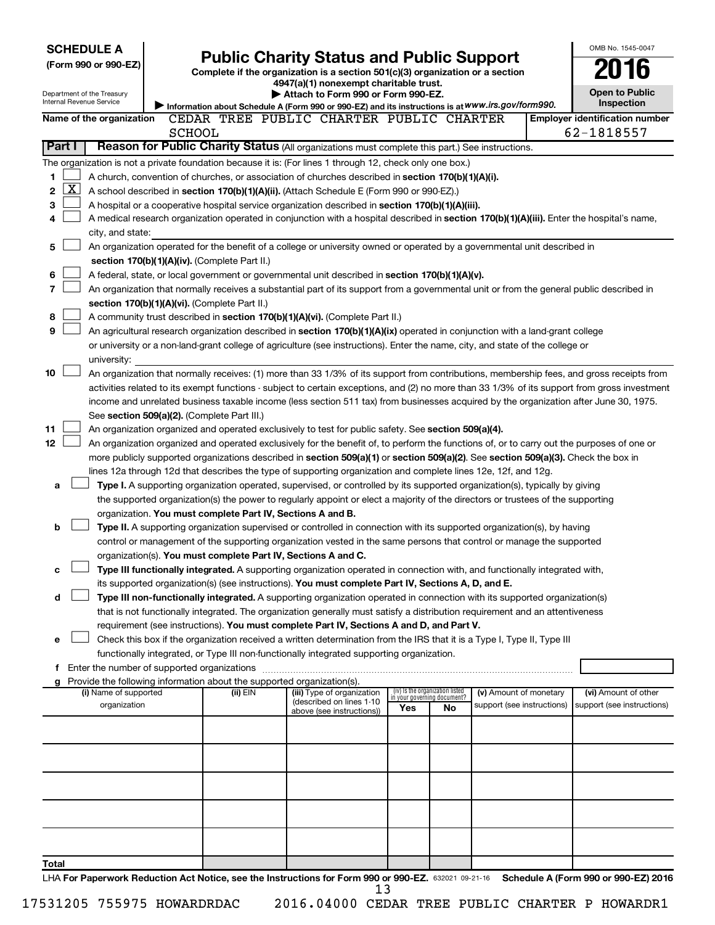| <b>SCHEDULE A</b>                                                                                              |                                                                        |          |                                                                                                                                                                                                                                                                 |     |                                                                |                            | OMB No. 1545-0047                     |
|----------------------------------------------------------------------------------------------------------------|------------------------------------------------------------------------|----------|-----------------------------------------------------------------------------------------------------------------------------------------------------------------------------------------------------------------------------------------------------------------|-----|----------------------------------------------------------------|----------------------------|---------------------------------------|
| (Form 990 or 990-EZ)                                                                                           |                                                                        |          | <b>Public Charity Status and Public Support</b>                                                                                                                                                                                                                 |     |                                                                |                            |                                       |
|                                                                                                                |                                                                        |          | Complete if the organization is a section 501(c)(3) organization or a section<br>4947(a)(1) nonexempt charitable trust.                                                                                                                                         |     |                                                                |                            |                                       |
| Department of the Treasury                                                                                     |                                                                        |          | Attach to Form 990 or Form 990-EZ.                                                                                                                                                                                                                              |     |                                                                |                            | <b>Open to Public</b>                 |
| Internal Revenue Service                                                                                       |                                                                        |          | Information about Schedule A (Form 990 or 990-EZ) and its instructions is at WWW.irs.gov/form990.                                                                                                                                                               |     |                                                                |                            | Inspection                            |
| Name of the organization                                                                                       |                                                                        |          | CEDAR TREE PUBLIC CHARTER PUBLIC CHARTER                                                                                                                                                                                                                        |     |                                                                |                            | <b>Employer identification number</b> |
| Part I                                                                                                         | <b>SCHOOL</b>                                                          |          | Reason for Public Charity Status (All organizations must complete this part.) See instructions.                                                                                                                                                                 |     |                                                                |                            | 62-1818557                            |
|                                                                                                                |                                                                        |          |                                                                                                                                                                                                                                                                 |     |                                                                |                            |                                       |
| The organization is not a private foundation because it is: (For lines 1 through 12, check only one box.)<br>1 |                                                                        |          | A church, convention of churches, or association of churches described in section 170(b)(1)(A)(i).                                                                                                                                                              |     |                                                                |                            |                                       |
| $\mathbf{X}$<br>2                                                                                              |                                                                        |          | A school described in section 170(b)(1)(A)(ii). (Attach Schedule E (Form 990 or 990-EZ).)                                                                                                                                                                       |     |                                                                |                            |                                       |
| 3                                                                                                              |                                                                        |          | A hospital or a cooperative hospital service organization described in section 170(b)(1)(A)(iii).                                                                                                                                                               |     |                                                                |                            |                                       |
| 4                                                                                                              |                                                                        |          | A medical research organization operated in conjunction with a hospital described in section 170(b)(1)(A)(iii). Enter the hospital's name,                                                                                                                      |     |                                                                |                            |                                       |
| city, and state:                                                                                               |                                                                        |          |                                                                                                                                                                                                                                                                 |     |                                                                |                            |                                       |
| 5                                                                                                              |                                                                        |          | An organization operated for the benefit of a college or university owned or operated by a governmental unit described in                                                                                                                                       |     |                                                                |                            |                                       |
|                                                                                                                | section 170(b)(1)(A)(iv). (Complete Part II.)                          |          |                                                                                                                                                                                                                                                                 |     |                                                                |                            |                                       |
| 6                                                                                                              |                                                                        |          | A federal, state, or local government or governmental unit described in section 170(b)(1)(A)(v).                                                                                                                                                                |     |                                                                |                            |                                       |
| 7                                                                                                              |                                                                        |          | An organization that normally receives a substantial part of its support from a governmental unit or from the general public described in                                                                                                                       |     |                                                                |                            |                                       |
|                                                                                                                | section 170(b)(1)(A)(vi). (Complete Part II.)                          |          |                                                                                                                                                                                                                                                                 |     |                                                                |                            |                                       |
| 8<br>9                                                                                                         |                                                                        |          | A community trust described in section 170(b)(1)(A)(vi). (Complete Part II.)                                                                                                                                                                                    |     |                                                                |                            |                                       |
|                                                                                                                |                                                                        |          | An agricultural research organization described in section 170(b)(1)(A)(ix) operated in conjunction with a land-grant college<br>or university or a non-land-grant college of agriculture (see instructions). Enter the name, city, and state of the college or |     |                                                                |                            |                                       |
| university:                                                                                                    |                                                                        |          |                                                                                                                                                                                                                                                                 |     |                                                                |                            |                                       |
| 10                                                                                                             |                                                                        |          | An organization that normally receives: (1) more than 33 1/3% of its support from contributions, membership fees, and gross receipts from                                                                                                                       |     |                                                                |                            |                                       |
|                                                                                                                |                                                                        |          | activities related to its exempt functions - subject to certain exceptions, and (2) no more than 33 1/3% of its support from gross investment                                                                                                                   |     |                                                                |                            |                                       |
|                                                                                                                |                                                                        |          | income and unrelated business taxable income (less section 511 tax) from businesses acquired by the organization after June 30, 1975.                                                                                                                           |     |                                                                |                            |                                       |
|                                                                                                                | See section 509(a)(2). (Complete Part III.)                            |          |                                                                                                                                                                                                                                                                 |     |                                                                |                            |                                       |
| 11                                                                                                             |                                                                        |          | An organization organized and operated exclusively to test for public safety. See section 509(a)(4).                                                                                                                                                            |     |                                                                |                            |                                       |
| 12                                                                                                             |                                                                        |          | An organization organized and operated exclusively for the benefit of, to perform the functions of, or to carry out the purposes of one or                                                                                                                      |     |                                                                |                            |                                       |
|                                                                                                                |                                                                        |          | more publicly supported organizations described in section 509(a)(1) or section 509(a)(2). See section 509(a)(3). Check the box in                                                                                                                              |     |                                                                |                            |                                       |
|                                                                                                                |                                                                        |          | lines 12a through 12d that describes the type of supporting organization and complete lines 12e, 12f, and 12g.                                                                                                                                                  |     |                                                                |                            |                                       |
| a                                                                                                              |                                                                        |          | Type I. A supporting organization operated, supervised, or controlled by its supported organization(s), typically by giving<br>the supported organization(s) the power to regularly appoint or elect a majority of the directors or trustees of the supporting  |     |                                                                |                            |                                       |
|                                                                                                                | organization. You must complete Part IV, Sections A and B.             |          |                                                                                                                                                                                                                                                                 |     |                                                                |                            |                                       |
| b                                                                                                              |                                                                        |          | Type II. A supporting organization supervised or controlled in connection with its supported organization(s), by having                                                                                                                                         |     |                                                                |                            |                                       |
|                                                                                                                |                                                                        |          | control or management of the supporting organization vested in the same persons that control or manage the supported                                                                                                                                            |     |                                                                |                            |                                       |
|                                                                                                                | organization(s). You must complete Part IV, Sections A and C.          |          |                                                                                                                                                                                                                                                                 |     |                                                                |                            |                                       |
| с                                                                                                              |                                                                        |          | Type III functionally integrated. A supporting organization operated in connection with, and functionally integrated with,                                                                                                                                      |     |                                                                |                            |                                       |
|                                                                                                                |                                                                        |          | its supported organization(s) (see instructions). You must complete Part IV, Sections A, D, and E.                                                                                                                                                              |     |                                                                |                            |                                       |
| d                                                                                                              |                                                                        |          | Type III non-functionally integrated. A supporting organization operated in connection with its supported organization(s)                                                                                                                                       |     |                                                                |                            |                                       |
|                                                                                                                |                                                                        |          | that is not functionally integrated. The organization generally must satisfy a distribution requirement and an attentiveness                                                                                                                                    |     |                                                                |                            |                                       |
|                                                                                                                |                                                                        |          | requirement (see instructions). You must complete Part IV, Sections A and D, and Part V.<br>Check this box if the organization received a written determination from the IRS that it is a Type I, Type II, Type III                                             |     |                                                                |                            |                                       |
| е                                                                                                              |                                                                        |          | functionally integrated, or Type III non-functionally integrated supporting organization.                                                                                                                                                                       |     |                                                                |                            |                                       |
| f Enter the number of supported organizations                                                                  |                                                                        |          |                                                                                                                                                                                                                                                                 |     |                                                                |                            |                                       |
| g                                                                                                              | Provide the following information about the supported organization(s). |          |                                                                                                                                                                                                                                                                 |     |                                                                |                            |                                       |
| (i) Name of supported                                                                                          |                                                                        | (ii) EIN | (iii) Type of organization                                                                                                                                                                                                                                      |     | (iv) Is the organization listed<br>in your governing document? | (v) Amount of monetary     | (vi) Amount of other                  |
| organization                                                                                                   |                                                                        |          | (described on lines 1-10<br>above (see instructions))                                                                                                                                                                                                           | Yes | No                                                             | support (see instructions) | support (see instructions)            |
|                                                                                                                |                                                                        |          |                                                                                                                                                                                                                                                                 |     |                                                                |                            |                                       |
|                                                                                                                |                                                                        |          |                                                                                                                                                                                                                                                                 |     |                                                                |                            |                                       |
|                                                                                                                |                                                                        |          |                                                                                                                                                                                                                                                                 |     |                                                                |                            |                                       |
|                                                                                                                |                                                                        |          |                                                                                                                                                                                                                                                                 |     |                                                                |                            |                                       |
|                                                                                                                |                                                                        |          |                                                                                                                                                                                                                                                                 |     |                                                                |                            |                                       |
|                                                                                                                |                                                                        |          |                                                                                                                                                                                                                                                                 |     |                                                                |                            |                                       |
|                                                                                                                |                                                                        |          |                                                                                                                                                                                                                                                                 |     |                                                                |                            |                                       |
|                                                                                                                |                                                                        |          |                                                                                                                                                                                                                                                                 |     |                                                                |                            |                                       |
|                                                                                                                |                                                                        |          |                                                                                                                                                                                                                                                                 |     |                                                                |                            |                                       |
| Total                                                                                                          |                                                                        |          |                                                                                                                                                                                                                                                                 |     |                                                                |                            |                                       |
|                                                                                                                |                                                                        |          | LHA For Paperwork Reduction Act Notice, see the Instructions for Form 990 or 990-EZ, 632021 09-21-16 Schedule A (Form 990 or 990-EZ) 2016                                                                                                                       |     |                                                                |                            |                                       |

632021 09-21-16 **For Paperwork Reduction Act Notice, see the Instructions for Form 990 or 990-EZ. Schedule A (Form 990 or 990-EZ) 2016** LHA 13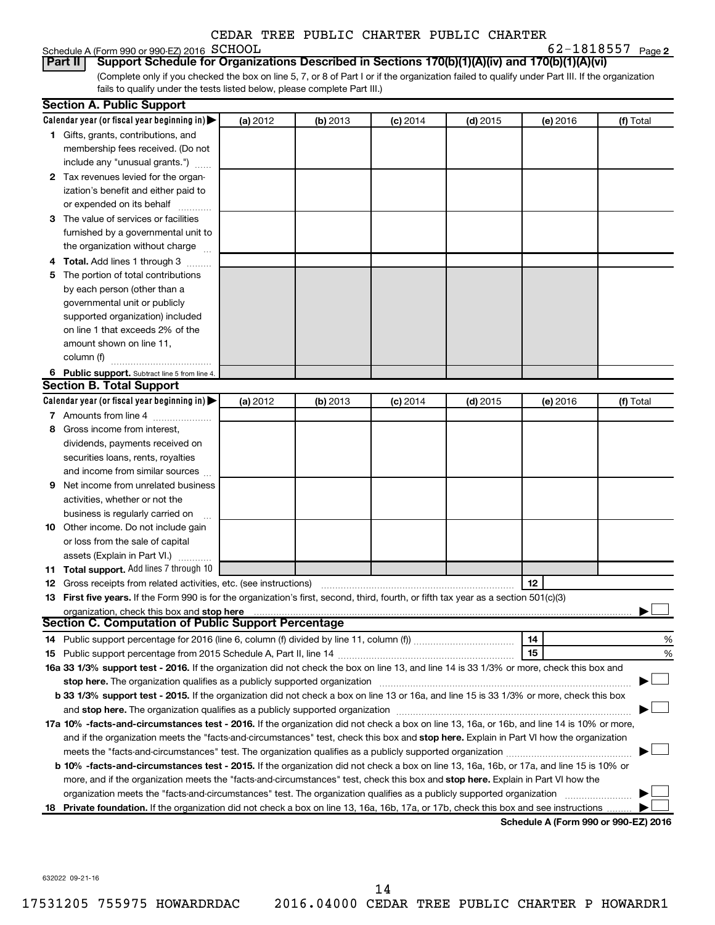# Schedule A (Form 990 or 990-EZ) 2016 SCHOOL<br>**Part II** Support Schedule for Organiz

**2** SCHOOL 62-1818557

(Complete only if you checked the box on line 5, 7, or 8 of Part I or if the organization failed to qualify under Part III. If the organization fails to qualify under the tests listed below, please complete Part III.) **Bupport Schedule for Organizations Described in Sections 170(b)(1)(A)(iv) and 170(b)(1)(A)(vi)** 

| Calendar year (or fiscal year beginning in)<br>(a) 2012<br>(b) 2013<br>$(c)$ 2014<br>$(d)$ 2015<br>(e) 2016<br>1 Gifts, grants, contributions, and<br>membership fees received. (Do not<br>include any "unusual grants.")<br>2 Tax revenues levied for the organ-<br>ization's benefit and either paid to<br>or expended on its behalf<br>3 The value of services or facilities<br>furnished by a governmental unit to<br>the organization without charge<br>4 Total. Add lines 1 through 3 | (f) Total |
|---------------------------------------------------------------------------------------------------------------------------------------------------------------------------------------------------------------------------------------------------------------------------------------------------------------------------------------------------------------------------------------------------------------------------------------------------------------------------------------------|-----------|
|                                                                                                                                                                                                                                                                                                                                                                                                                                                                                             |           |
|                                                                                                                                                                                                                                                                                                                                                                                                                                                                                             |           |
|                                                                                                                                                                                                                                                                                                                                                                                                                                                                                             |           |
|                                                                                                                                                                                                                                                                                                                                                                                                                                                                                             |           |
|                                                                                                                                                                                                                                                                                                                                                                                                                                                                                             |           |
|                                                                                                                                                                                                                                                                                                                                                                                                                                                                                             |           |
|                                                                                                                                                                                                                                                                                                                                                                                                                                                                                             |           |
|                                                                                                                                                                                                                                                                                                                                                                                                                                                                                             |           |
|                                                                                                                                                                                                                                                                                                                                                                                                                                                                                             |           |
|                                                                                                                                                                                                                                                                                                                                                                                                                                                                                             |           |
|                                                                                                                                                                                                                                                                                                                                                                                                                                                                                             |           |
| 5 The portion of total contributions                                                                                                                                                                                                                                                                                                                                                                                                                                                        |           |
| by each person (other than a                                                                                                                                                                                                                                                                                                                                                                                                                                                                |           |
| governmental unit or publicly                                                                                                                                                                                                                                                                                                                                                                                                                                                               |           |
| supported organization) included                                                                                                                                                                                                                                                                                                                                                                                                                                                            |           |
| on line 1 that exceeds 2% of the                                                                                                                                                                                                                                                                                                                                                                                                                                                            |           |
| amount shown on line 11,                                                                                                                                                                                                                                                                                                                                                                                                                                                                    |           |
| column (f)                                                                                                                                                                                                                                                                                                                                                                                                                                                                                  |           |
| 6 Public support. Subtract line 5 from line 4.                                                                                                                                                                                                                                                                                                                                                                                                                                              |           |
| <b>Section B. Total Support</b>                                                                                                                                                                                                                                                                                                                                                                                                                                                             |           |
| Calendar year (or fiscal year beginning in)<br>(a) 2012<br>(b) 2013<br>$(d)$ 2015<br>$(c)$ 2014<br>(e) 2016                                                                                                                                                                                                                                                                                                                                                                                 | (f) Total |
| 7 Amounts from line 4                                                                                                                                                                                                                                                                                                                                                                                                                                                                       |           |
| Gross income from interest,<br>8                                                                                                                                                                                                                                                                                                                                                                                                                                                            |           |
| dividends, payments received on                                                                                                                                                                                                                                                                                                                                                                                                                                                             |           |
| securities loans, rents, royalties                                                                                                                                                                                                                                                                                                                                                                                                                                                          |           |
| and income from similar sources                                                                                                                                                                                                                                                                                                                                                                                                                                                             |           |
| Net income from unrelated business<br>9                                                                                                                                                                                                                                                                                                                                                                                                                                                     |           |
| activities, whether or not the                                                                                                                                                                                                                                                                                                                                                                                                                                                              |           |
| business is regularly carried on                                                                                                                                                                                                                                                                                                                                                                                                                                                            |           |
| 10 Other income. Do not include gain                                                                                                                                                                                                                                                                                                                                                                                                                                                        |           |
| or loss from the sale of capital                                                                                                                                                                                                                                                                                                                                                                                                                                                            |           |
| assets (Explain in Part VI.)                                                                                                                                                                                                                                                                                                                                                                                                                                                                |           |
| 11 Total support. Add lines 7 through 10                                                                                                                                                                                                                                                                                                                                                                                                                                                    |           |
| 12<br><b>12</b> Gross receipts from related activities, etc. (see instructions)                                                                                                                                                                                                                                                                                                                                                                                                             |           |
| 13 First five years. If the Form 990 is for the organization's first, second, third, fourth, or fifth tax year as a section 501(c)(3)                                                                                                                                                                                                                                                                                                                                                       |           |
| organization, check this box and stop here                                                                                                                                                                                                                                                                                                                                                                                                                                                  |           |
| <b>Section C. Computation of Public Support Percentage</b>                                                                                                                                                                                                                                                                                                                                                                                                                                  |           |
| 14                                                                                                                                                                                                                                                                                                                                                                                                                                                                                          | %         |
| 15                                                                                                                                                                                                                                                                                                                                                                                                                                                                                          | %         |
| 16a 33 1/3% support test - 2016. If the organization did not check the box on line 13, and line 14 is 33 1/3% or more, check this box and                                                                                                                                                                                                                                                                                                                                                   |           |
| stop here. The organization qualifies as a publicly supported organization manufaction manufacture or the organization manufacture or the organization manufacture or the organization manufacture or the state of the state o                                                                                                                                                                                                                                                              |           |
| b 33 1/3% support test - 2015. If the organization did not check a box on line 13 or 16a, and line 15 is 33 1/3% or more, check this box                                                                                                                                                                                                                                                                                                                                                    |           |
|                                                                                                                                                                                                                                                                                                                                                                                                                                                                                             |           |
| 17a 10% -facts-and-circumstances test - 2016. If the organization did not check a box on line 13, 16a, or 16b, and line 14 is 10% or more,                                                                                                                                                                                                                                                                                                                                                  |           |
| and if the organization meets the "facts-and-circumstances" test, check this box and stop here. Explain in Part VI how the organization                                                                                                                                                                                                                                                                                                                                                     |           |
|                                                                                                                                                                                                                                                                                                                                                                                                                                                                                             |           |
| b 10% -facts-and-circumstances test - 2015. If the organization did not check a box on line 13, 16a, 16b, or 17a, and line 15 is 10% or                                                                                                                                                                                                                                                                                                                                                     |           |
| more, and if the organization meets the "facts-and-circumstances" test, check this box and stop here. Explain in Part VI how the                                                                                                                                                                                                                                                                                                                                                            |           |
| organization meets the "facts-and-circumstances" test. The organization qualifies as a publicly supported organization                                                                                                                                                                                                                                                                                                                                                                      |           |
| 18 Private foundation. If the organization did not check a box on line 13, 16a, 16b, 17a, or 17b, check this box and see instructions<br>Schodule A (Form 990 or 990-F7) 2016                                                                                                                                                                                                                                                                                                               |           |

**Schedule A (Form 990 or 990-EZ) 2016**

632022 09-21-16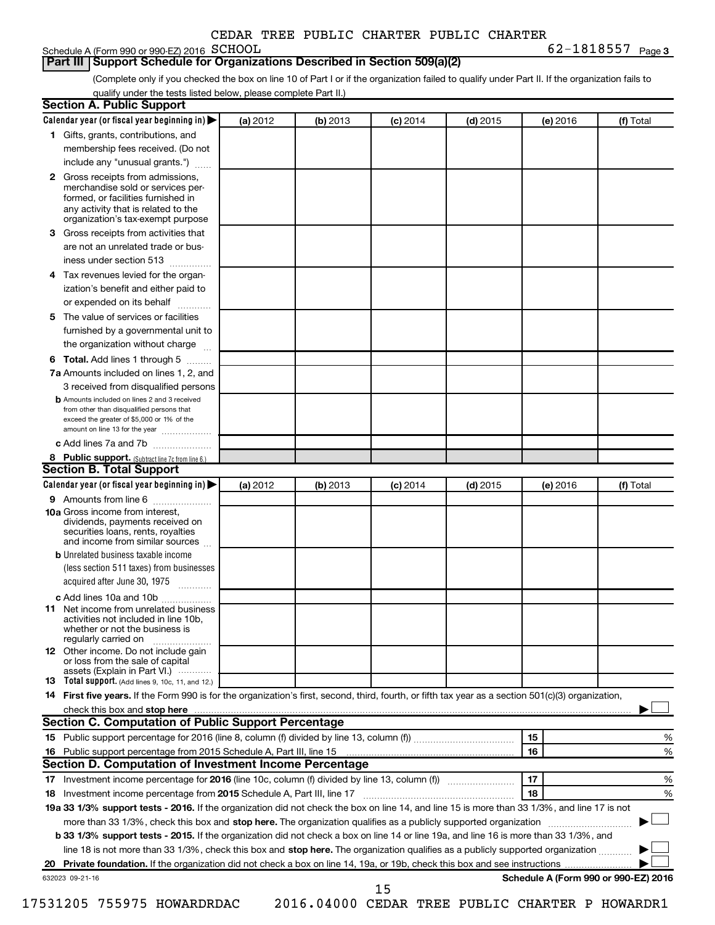# Schedule A (Form 990 or 990-EZ) 2016 SCHOOL

**Part III Support Schedule for Organizations Described in Section 509(a)(2)** 

**SCHOOL** 62-1818557  $_{\text{Page 3}}$ 

(Complete only if you checked the box on line 10 of Part I or if the organization failed to qualify under Part II. If the organization fails to qualify under the tests listed below, please complete Part II.)

| <b>Section A. Public Support</b>                                                                                                                                                         |          |          |            |            |          |                                      |
|------------------------------------------------------------------------------------------------------------------------------------------------------------------------------------------|----------|----------|------------|------------|----------|--------------------------------------|
| Calendar year (or fiscal year beginning in)                                                                                                                                              | (a) 2012 | (b) 2013 | $(c)$ 2014 | $(d)$ 2015 | (e) 2016 | (f) Total                            |
| 1 Gifts, grants, contributions, and                                                                                                                                                      |          |          |            |            |          |                                      |
| membership fees received. (Do not                                                                                                                                                        |          |          |            |            |          |                                      |
| include any "unusual grants.")                                                                                                                                                           |          |          |            |            |          |                                      |
| 2 Gross receipts from admissions,<br>merchandise sold or services per-<br>formed, or facilities furnished in<br>any activity that is related to the<br>organization's tax-exempt purpose |          |          |            |            |          |                                      |
| 3 Gross receipts from activities that                                                                                                                                                    |          |          |            |            |          |                                      |
| are not an unrelated trade or bus-                                                                                                                                                       |          |          |            |            |          |                                      |
| iness under section 513                                                                                                                                                                  |          |          |            |            |          |                                      |
| 4 Tax revenues levied for the organ-                                                                                                                                                     |          |          |            |            |          |                                      |
| ization's benefit and either paid to                                                                                                                                                     |          |          |            |            |          |                                      |
| or expended on its behalf                                                                                                                                                                |          |          |            |            |          |                                      |
| 5 The value of services or facilities                                                                                                                                                    |          |          |            |            |          |                                      |
| furnished by a governmental unit to                                                                                                                                                      |          |          |            |            |          |                                      |
| the organization without charge                                                                                                                                                          |          |          |            |            |          |                                      |
| 6 Total. Add lines 1 through 5                                                                                                                                                           |          |          |            |            |          |                                      |
| 7a Amounts included on lines 1, 2, and                                                                                                                                                   |          |          |            |            |          |                                      |
| 3 received from disqualified persons                                                                                                                                                     |          |          |            |            |          |                                      |
| <b>b</b> Amounts included on lines 2 and 3 received<br>from other than disqualified persons that<br>exceed the greater of \$5,000 or 1% of the<br>amount on line 13 for the year         |          |          |            |            |          |                                      |
| c Add lines 7a and 7b                                                                                                                                                                    |          |          |            |            |          |                                      |
| 8 Public support. (Subtract line 7c from line 6.)                                                                                                                                        |          |          |            |            |          |                                      |
| <b>Section B. Total Support</b>                                                                                                                                                          |          |          |            |            |          |                                      |
| Calendar year (or fiscal year beginning in)                                                                                                                                              | (a) 2012 | (b) 2013 | $(c)$ 2014 | $(d)$ 2015 | (e) 2016 | (f) Total                            |
| <b>9</b> Amounts from line 6                                                                                                                                                             |          |          |            |            |          |                                      |
| <b>10a</b> Gross income from interest,<br>dividends, payments received on<br>securities loans, rents, royalties<br>and income from similar sources                                       |          |          |            |            |          |                                      |
| <b>b</b> Unrelated business taxable income                                                                                                                                               |          |          |            |            |          |                                      |
| (less section 511 taxes) from businesses                                                                                                                                                 |          |          |            |            |          |                                      |
| acquired after June 30, 1975                                                                                                                                                             |          |          |            |            |          |                                      |
| c Add lines 10a and 10b                                                                                                                                                                  |          |          |            |            |          |                                      |
| 11 Net income from unrelated business<br>activities not included in line 10b.<br>whether or not the business is<br>regularly carried on                                                  |          |          |            |            |          |                                      |
| <b>12</b> Other income. Do not include gain<br>or loss from the sale of capital<br>assets (Explain in Part VI.)                                                                          |          |          |            |            |          |                                      |
| <b>13</b> Total support. (Add lines 9, 10c, 11, and 12.)                                                                                                                                 |          |          |            |            |          |                                      |
| 14 First five years. If the Form 990 is for the organization's first, second, third, fourth, or fifth tax year as a section 501(c)(3) organization,                                      |          |          |            |            |          |                                      |
|                                                                                                                                                                                          |          |          |            |            |          |                                      |
| Section C. Computation of Public Support Percentage                                                                                                                                      |          |          |            |            |          |                                      |
|                                                                                                                                                                                          |          |          |            |            | 15       | ℅                                    |
| 16 Public support percentage from 2015 Schedule A, Part III, line 15                                                                                                                     |          |          |            |            | 16       | %                                    |
| Section D. Computation of Investment Income Percentage                                                                                                                                   |          |          |            |            |          |                                      |
|                                                                                                                                                                                          |          |          |            |            | 17       | %                                    |
| 18 Investment income percentage from 2015 Schedule A, Part III, line 17                                                                                                                  |          |          |            |            | 18       | %                                    |
| 19a 33 1/3% support tests - 2016. If the organization did not check the box on line 14, and line 15 is more than 33 1/3%, and line 17 is not                                             |          |          |            |            |          |                                      |
| more than 33 1/3%, check this box and stop here. The organization qualifies as a publicly supported organization                                                                         |          |          |            |            |          |                                      |
| b 33 1/3% support tests - 2015. If the organization did not check a box on line 14 or line 19a, and line 16 is more than 33 1/3%, and                                                    |          |          |            |            |          |                                      |
| line 18 is not more than 33 1/3%, check this box and stop here. The organization qualifies as a publicly supported organization                                                          |          |          |            |            |          |                                      |
|                                                                                                                                                                                          |          |          |            |            |          |                                      |
| 632023 09-21-16                                                                                                                                                                          |          |          |            |            |          | Schedule A (Form 990 or 990-EZ) 2016 |
|                                                                                                                                                                                          |          |          | 15         |            |          |                                      |

17531205 755975 HOWARDRDAC 2016.04000 CEDAR TREE PUBLIC CHARTER P HOWARDR1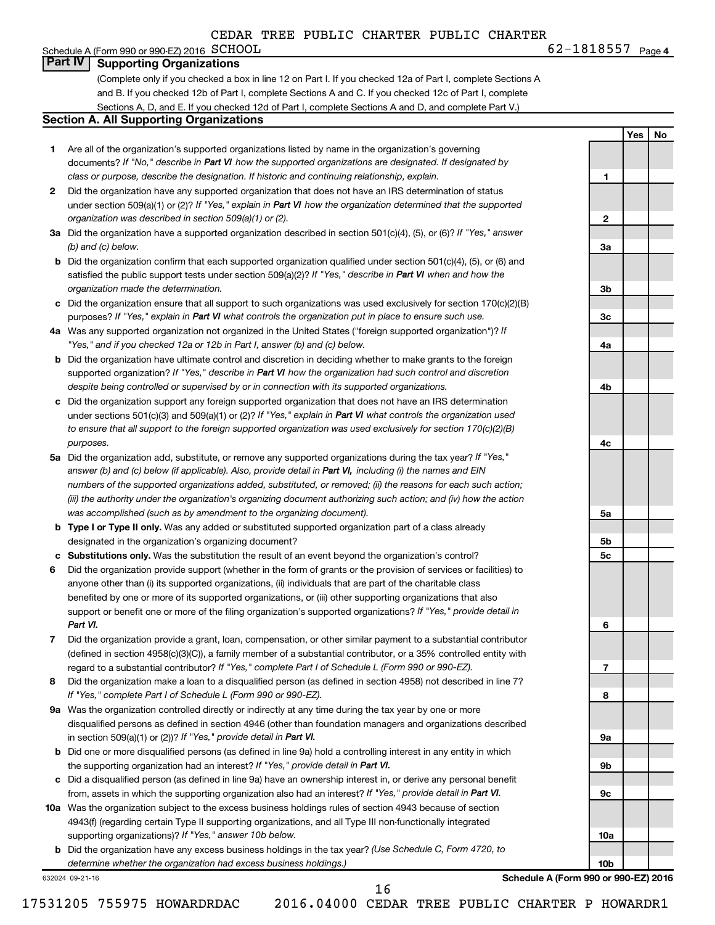#### **4**  $\text{G2}-1818557$   $\text{Page 4}$ Schedule A (Form 990 or 990-EZ) 2016  $SCHOOL$ **Part IV Supporting Organizations**

(Complete only if you checked a box in line 12 on Part I. If you checked 12a of Part I, complete Sections A and B. If you checked 12b of Part I, complete Sections A and C. If you checked 12c of Part I, complete Sections A, D, and E. If you checked 12d of Part I, complete Sections A and D, and complete Part V.)

#### **Section A. All Supporting Organizations**

- **1** Are all of the organization's supported organizations listed by name in the organization's governing documents? If "No," describe in Part VI how the supported organizations are designated. If designated by *class or purpose, describe the designation. If historic and continuing relationship, explain.*
- **2** Did the organization have any supported organization that does not have an IRS determination of status under section 509(a)(1) or (2)? If "Yes," explain in Part VI how the organization determined that the supported *organization was described in section 509(a)(1) or (2).*
- **3a** Did the organization have a supported organization described in section 501(c)(4), (5), or (6)? If "Yes," answer *(b) and (c) below.*
- **b** Did the organization confirm that each supported organization qualified under section 501(c)(4), (5), or (6) and satisfied the public support tests under section 509(a)(2)? If "Yes," describe in Part VI when and how the *organization made the determination.*
- **c** Did the organization ensure that all support to such organizations was used exclusively for section 170(c)(2)(B) purposes? If "Yes," explain in Part VI what controls the organization put in place to ensure such use.
- **4 a** *If* Was any supported organization not organized in the United States ("foreign supported organization")? *"Yes," and if you checked 12a or 12b in Part I, answer (b) and (c) below.*
- **b** Did the organization have ultimate control and discretion in deciding whether to make grants to the foreign supported organization? If "Yes," describe in Part VI how the organization had such control and discretion *despite being controlled or supervised by or in connection with its supported organizations.*
- **c** Did the organization support any foreign supported organization that does not have an IRS determination under sections 501(c)(3) and 509(a)(1) or (2)? If "Yes," explain in Part VI what controls the organization used *to ensure that all support to the foreign supported organization was used exclusively for section 170(c)(2)(B) purposes.*
- **5a** Did the organization add, substitute, or remove any supported organizations during the tax year? If "Yes," answer (b) and (c) below (if applicable). Also, provide detail in Part VI, including (i) the names and EIN *numbers of the supported organizations added, substituted, or removed; (ii) the reasons for each such action; (iii) the authority under the organization's organizing document authorizing such action; and (iv) how the action was accomplished (such as by amendment to the organizing document).*
- **b Type I or Type II only.** Was any added or substituted supported organization part of a class already designated in the organization's organizing document?
- **c Substitutions only.**  Was the substitution the result of an event beyond the organization's control?
- **6** Did the organization provide support (whether in the form of grants or the provision of services or facilities) to support or benefit one or more of the filing organization's supported organizations? If "Yes," provide detail in anyone other than (i) its supported organizations, (ii) individuals that are part of the charitable class benefited by one or more of its supported organizations, or (iii) other supporting organizations that also *Part VI.*
- **7** Did the organization provide a grant, loan, compensation, or other similar payment to a substantial contributor regard to a substantial contributor? If "Yes," complete Part I of Schedule L (Form 990 or 990-EZ). (defined in section 4958(c)(3)(C)), a family member of a substantial contributor, or a 35% controlled entity with
- **8** Did the organization make a loan to a disqualified person (as defined in section 4958) not described in line 7? *If "Yes," complete Part I of Schedule L (Form 990 or 990-EZ).*
- **9 a** Was the organization controlled directly or indirectly at any time during the tax year by one or more in section 509(a)(1) or (2))? If "Yes," provide detail in Part VI. disqualified persons as defined in section 4946 (other than foundation managers and organizations described
- **b** Did one or more disqualified persons (as defined in line 9a) hold a controlling interest in any entity in which the supporting organization had an interest? If "Yes," provide detail in Part VI.
- **c** Did a disqualified person (as defined in line 9a) have an ownership interest in, or derive any personal benefit from, assets in which the supporting organization also had an interest? If "Yes," provide detail in Part VI.
- **10 a** Was the organization subject to the excess business holdings rules of section 4943 because of section supporting organizations)? If "Yes," answer 10b below. 4943(f) (regarding certain Type II supporting organizations, and all Type III non-functionally integrated
	- **b** Did the organization have any excess business holdings in the tax year? (Use Schedule C, Form 4720, to *determine whether the organization had excess business holdings.)*

632024 09-21-16

**Schedule A (Form 990 or 990-EZ) 2016**

17531205 755975 HOWARDRDAC 2016.04000 CEDAR TREE PUBLIC CHARTER P HOWARDR1

16

**Yes No**

**1**

**2**

**3a**

**3b**

**3c**

**4a**

**4b**

**4c**

**5a**

**5b 5c**

**6**

**7**

**8**

**9a**

**9b**

**9c**

**10a**

**10b**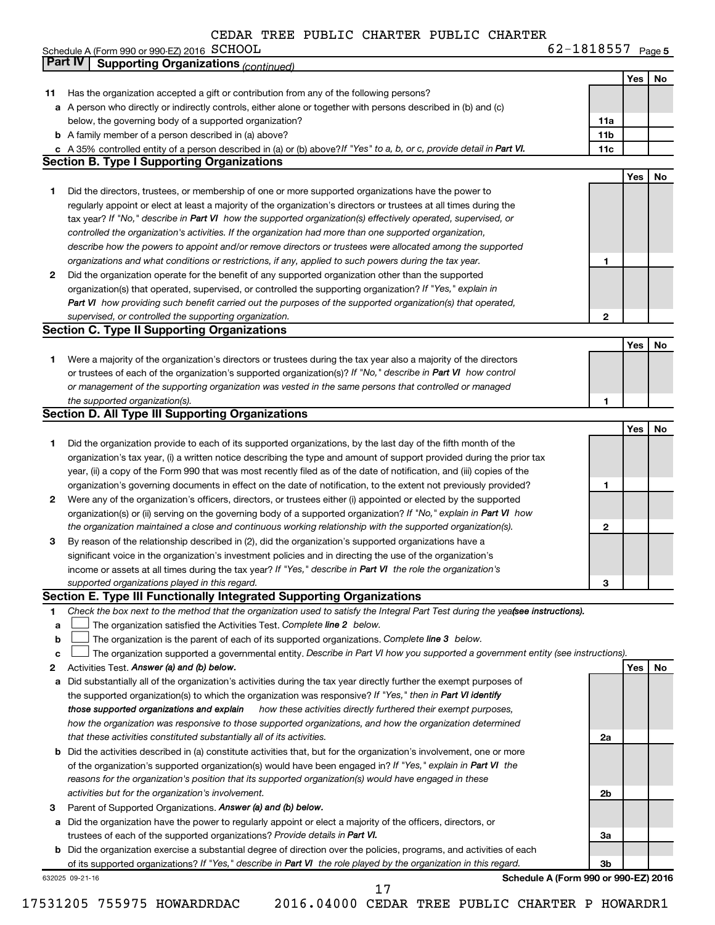|                                             | ceuar |  | IRBB PUDDIL CAARIBR PUDDIL CAARIBR |                    |        |
|---------------------------------------------|-------|--|------------------------------------|--------------------|--------|
| Schedule A (Form 990 or 990-EZ) 2016 SCHOOL |       |  |                                    | 1818557<br>$0 - 1$ | Page 5 |

|        | <b>Part IV   Supporting Organizations (continued)</b>                                                                                                                                                                            |                                      |     |    |
|--------|----------------------------------------------------------------------------------------------------------------------------------------------------------------------------------------------------------------------------------|--------------------------------------|-----|----|
|        |                                                                                                                                                                                                                                  |                                      | Yes | No |
| 11     | Has the organization accepted a gift or contribution from any of the following persons?                                                                                                                                          |                                      |     |    |
|        | a A person who directly or indirectly controls, either alone or together with persons described in (b) and (c)                                                                                                                   |                                      |     |    |
|        | below, the governing body of a supported organization?                                                                                                                                                                           | 11a                                  |     |    |
|        | <b>b</b> A family member of a person described in (a) above?                                                                                                                                                                     | 11 <sub>b</sub>                      |     |    |
|        | c A 35% controlled entity of a person described in (a) or (b) above? If "Yes" to a, b, or c, provide detail in Part VI.                                                                                                          | 11c                                  |     |    |
|        | <b>Section B. Type I Supporting Organizations</b>                                                                                                                                                                                |                                      |     |    |
|        |                                                                                                                                                                                                                                  |                                      | Yes | No |
| 1      | Did the directors, trustees, or membership of one or more supported organizations have the power to                                                                                                                              |                                      |     |    |
|        | regularly appoint or elect at least a majority of the organization's directors or trustees at all times during the                                                                                                               |                                      |     |    |
|        | tax year? If "No," describe in Part VI how the supported organization(s) effectively operated, supervised, or                                                                                                                    |                                      |     |    |
|        | controlled the organization's activities. If the organization had more than one supported organization,                                                                                                                          |                                      |     |    |
|        | describe how the powers to appoint and/or remove directors or trustees were allocated among the supported                                                                                                                        |                                      |     |    |
|        | organizations and what conditions or restrictions, if any, applied to such powers during the tax year.                                                                                                                           | 1                                    |     |    |
| 2      | Did the organization operate for the benefit of any supported organization other than the supported<br>organization(s) that operated, supervised, or controlled the supporting organization? If "Yes," explain in                |                                      |     |    |
|        | Part VI how providing such benefit carried out the purposes of the supported organization(s) that operated,                                                                                                                      |                                      |     |    |
|        | supervised, or controlled the supporting organization.                                                                                                                                                                           | $\mathbf{2}$                         |     |    |
|        | <b>Section C. Type II Supporting Organizations</b>                                                                                                                                                                               |                                      |     |    |
|        |                                                                                                                                                                                                                                  |                                      | Yes | No |
| 1      | Were a majority of the organization's directors or trustees during the tax year also a majority of the directors                                                                                                                 |                                      |     |    |
|        | or trustees of each of the organization's supported organization(s)? If "No," describe in Part VI how control                                                                                                                    |                                      |     |    |
|        | or management of the supporting organization was vested in the same persons that controlled or managed                                                                                                                           |                                      |     |    |
|        | the supported organization(s).                                                                                                                                                                                                   | 1                                    |     |    |
|        | <b>Section D. All Type III Supporting Organizations</b>                                                                                                                                                                          |                                      |     |    |
|        |                                                                                                                                                                                                                                  |                                      | Yes | No |
| 1      | Did the organization provide to each of its supported organizations, by the last day of the fifth month of the                                                                                                                   |                                      |     |    |
|        | organization's tax year, (i) a written notice describing the type and amount of support provided during the prior tax                                                                                                            |                                      |     |    |
|        | year, (ii) a copy of the Form 990 that was most recently filed as of the date of notification, and (iii) copies of the                                                                                                           |                                      |     |    |
|        | organization's governing documents in effect on the date of notification, to the extent not previously provided?                                                                                                                 | 1                                    |     |    |
| 2      | Were any of the organization's officers, directors, or trustees either (i) appointed or elected by the supported                                                                                                                 |                                      |     |    |
|        | organization(s) or (ii) serving on the governing body of a supported organization? If "No," explain in Part VI how                                                                                                               |                                      |     |    |
|        | the organization maintained a close and continuous working relationship with the supported organization(s).                                                                                                                      | 2                                    |     |    |
| 3      | By reason of the relationship described in (2), did the organization's supported organizations have a                                                                                                                            |                                      |     |    |
|        | significant voice in the organization's investment policies and in directing the use of the organization's                                                                                                                       |                                      |     |    |
|        | income or assets at all times during the tax year? If "Yes," describe in Part VI the role the organization's                                                                                                                     |                                      |     |    |
|        | supported organizations played in this regard.                                                                                                                                                                                   | з                                    |     |    |
|        | Section E. Type III Functionally Integrated Supporting Organizations                                                                                                                                                             |                                      |     |    |
| 1      | Check the box next to the method that the organization used to satisfy the Integral Part Test during the yea(see instructions).                                                                                                  |                                      |     |    |
| a      | The organization satisfied the Activities Test. Complete line 2 below.                                                                                                                                                           |                                      |     |    |
| b      | The organization is the parent of each of its supported organizations. Complete line 3 below.<br>The organization supported a governmental entity. Describe in Part VI how you supported a government entity (see instructions). |                                      |     |    |
| c<br>2 | Activities Test. Answer (a) and (b) below.                                                                                                                                                                                       |                                      | Yes | No |
| а      | Did substantially all of the organization's activities during the tax year directly further the exempt purposes of                                                                                                               |                                      |     |    |
|        | the supported organization(s) to which the organization was responsive? If "Yes," then in Part VI identify                                                                                                                       |                                      |     |    |
|        | how these activities directly furthered their exempt purposes,<br>those supported organizations and explain                                                                                                                      |                                      |     |    |
|        | how the organization was responsive to those supported organizations, and how the organization determined                                                                                                                        |                                      |     |    |
|        | that these activities constituted substantially all of its activities.                                                                                                                                                           | 2a                                   |     |    |
| b      | Did the activities described in (a) constitute activities that, but for the organization's involvement, one or more                                                                                                              |                                      |     |    |
|        | of the organization's supported organization(s) would have been engaged in? If "Yes," explain in Part VI the                                                                                                                     |                                      |     |    |
|        | reasons for the organization's position that its supported organization(s) would have engaged in these                                                                                                                           |                                      |     |    |
|        | activities but for the organization's involvement.                                                                                                                                                                               | 2b                                   |     |    |
| З      | Parent of Supported Organizations. Answer (a) and (b) below.                                                                                                                                                                     |                                      |     |    |
| а      | Did the organization have the power to regularly appoint or elect a majority of the officers, directors, or                                                                                                                      |                                      |     |    |
|        | trustees of each of the supported organizations? Provide details in Part VI.                                                                                                                                                     | За                                   |     |    |
|        | <b>b</b> Did the organization exercise a substantial degree of direction over the policies, programs, and activities of each                                                                                                     |                                      |     |    |
|        | of its supported organizations? If "Yes," describe in Part VI the role played by the organization in this regard.                                                                                                                | 3b                                   |     |    |
|        | 632025 09-21-16                                                                                                                                                                                                                  | Schedule A (Form 990 or 990-EZ) 2016 |     |    |
|        | 17                                                                                                                                                                                                                               |                                      |     |    |

<sup>17531205 755975</sup> HOWARDRDAC 2016.04000 CEDAR TREE PUBLIC CHARTER P HOWARDR1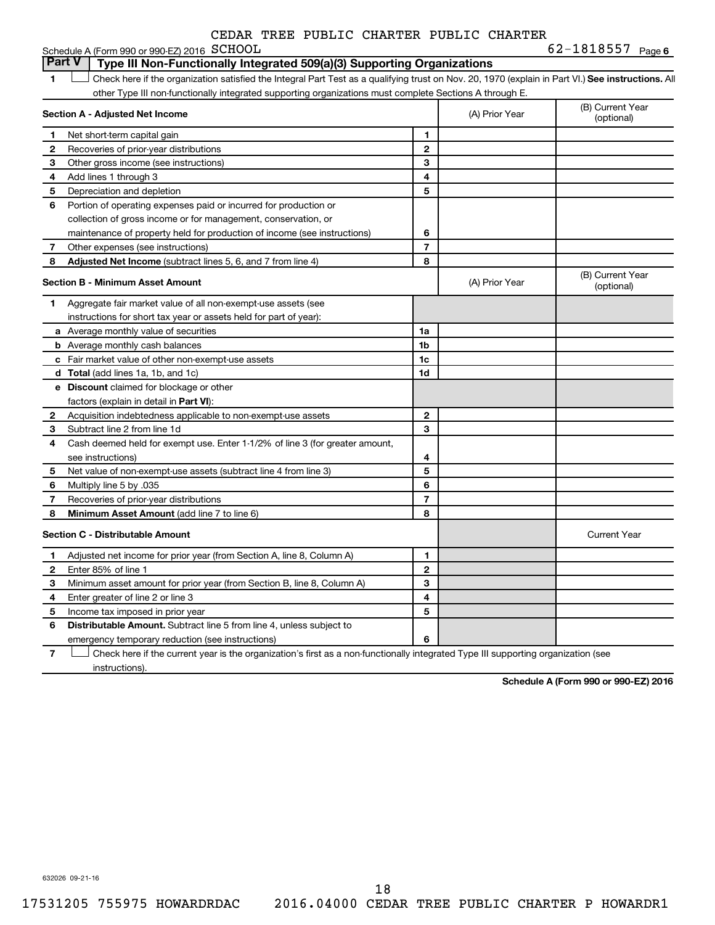| CEDAR TREE PUBLIC CHARTER PUBLIC CHARTER |
|------------------------------------------|
|------------------------------------------|

|               | Schedule A (Form 990 or 990-EZ) 2016 SCHOOL                                                                                                        |                          | 62-1818557 Page 6 |                                |
|---------------|----------------------------------------------------------------------------------------------------------------------------------------------------|--------------------------|-------------------|--------------------------------|
| <b>Part V</b> | Type III Non-Functionally Integrated 509(a)(3) Supporting Organizations                                                                            |                          |                   |                                |
| 1             | Check here if the organization satisfied the Integral Part Test as a qualifying trust on Nov. 20, 1970 (explain in Part VI.) See instructions. All |                          |                   |                                |
|               | other Type III non-functionally integrated supporting organizations must complete Sections A through E.                                            |                          |                   |                                |
|               | Section A - Adjusted Net Income                                                                                                                    |                          | (A) Prior Year    | (B) Current Year<br>(optional) |
| 1             | Net short-term capital gain                                                                                                                        | 1                        |                   |                                |
| 2             | Recoveries of prior-year distributions                                                                                                             | $\mathbf{2}$             |                   |                                |
| 3             | Other gross income (see instructions)                                                                                                              | 3                        |                   |                                |
| 4             | Add lines 1 through 3                                                                                                                              | 4                        |                   |                                |
| 5             | Depreciation and depletion                                                                                                                         | 5                        |                   |                                |
| 6             | Portion of operating expenses paid or incurred for production or                                                                                   |                          |                   |                                |
|               | collection of gross income or for management, conservation, or                                                                                     |                          |                   |                                |
|               | maintenance of property held for production of income (see instructions)                                                                           | 6                        |                   |                                |
| 7             | Other expenses (see instructions)                                                                                                                  | $\overline{7}$           |                   |                                |
| 8             | <b>Adjusted Net Income</b> (subtract lines 5, 6, and 7 from line 4)                                                                                | 8                        |                   |                                |
|               | <b>Section B - Minimum Asset Amount</b>                                                                                                            |                          | (A) Prior Year    | (B) Current Year<br>(optional) |
| 1             | Aggregate fair market value of all non-exempt-use assets (see                                                                                      |                          |                   |                                |
|               | instructions for short tax year or assets held for part of year):                                                                                  |                          |                   |                                |
|               | a Average monthly value of securities                                                                                                              | 1a                       |                   |                                |
|               | <b>b</b> Average monthly cash balances                                                                                                             | 1b                       |                   |                                |
|               | <b>c</b> Fair market value of other non-exempt-use assets                                                                                          | 1c                       |                   |                                |
|               | <b>d</b> Total (add lines 1a, 1b, and 1c)                                                                                                          | 1d                       |                   |                                |
|               | e Discount claimed for blockage or other                                                                                                           |                          |                   |                                |
|               | factors (explain in detail in Part VI):                                                                                                            |                          |                   |                                |
| 2             | Acquisition indebtedness applicable to non-exempt-use assets                                                                                       | $\mathbf{2}$             |                   |                                |
| 3             | Subtract line 2 from line 1d                                                                                                                       | 3                        |                   |                                |
| 4             | Cash deemed held for exempt use. Enter 1-1/2% of line 3 (for greater amount,                                                                       |                          |                   |                                |
|               | see instructions)                                                                                                                                  | 4                        |                   |                                |
| 5             | Net value of non-exempt-use assets (subtract line 4 from line 3)                                                                                   | 5                        |                   |                                |
| 6             | Multiply line 5 by .035                                                                                                                            | 6                        |                   |                                |
| 7             | Recoveries of prior-year distributions                                                                                                             | $\overline{\phantom{a}}$ |                   |                                |
| 8             | Minimum Asset Amount (add line 7 to line 6)                                                                                                        | 8                        |                   |                                |
|               | <b>Section C - Distributable Amount</b>                                                                                                            |                          |                   | <b>Current Year</b>            |
| 1             | Adjusted net income for prior year (from Section A, line 8, Column A)                                                                              | 1                        |                   |                                |
| 2             | Enter 85% of line 1                                                                                                                                | 2                        |                   |                                |
| 3             | Minimum asset amount for prior year (from Section B, line 8, Column A)                                                                             | 3                        |                   |                                |
| 4             | Enter greater of line 2 or line 3                                                                                                                  | 4                        |                   |                                |
| 5             | Income tax imposed in prior year                                                                                                                   | 5                        |                   |                                |
| 6             | <b>Distributable Amount.</b> Subtract line 5 from line 4, unless subject to                                                                        |                          |                   |                                |
|               | emergency temporary reduction (see instructions)                                                                                                   | 6                        |                   |                                |

**7** Let Check here if the current year is the organization's first as a non-functionally integrated Type III supporting organization (see instructions).

**Schedule A (Form 990 or 990-EZ) 2016**

632026 09-21-16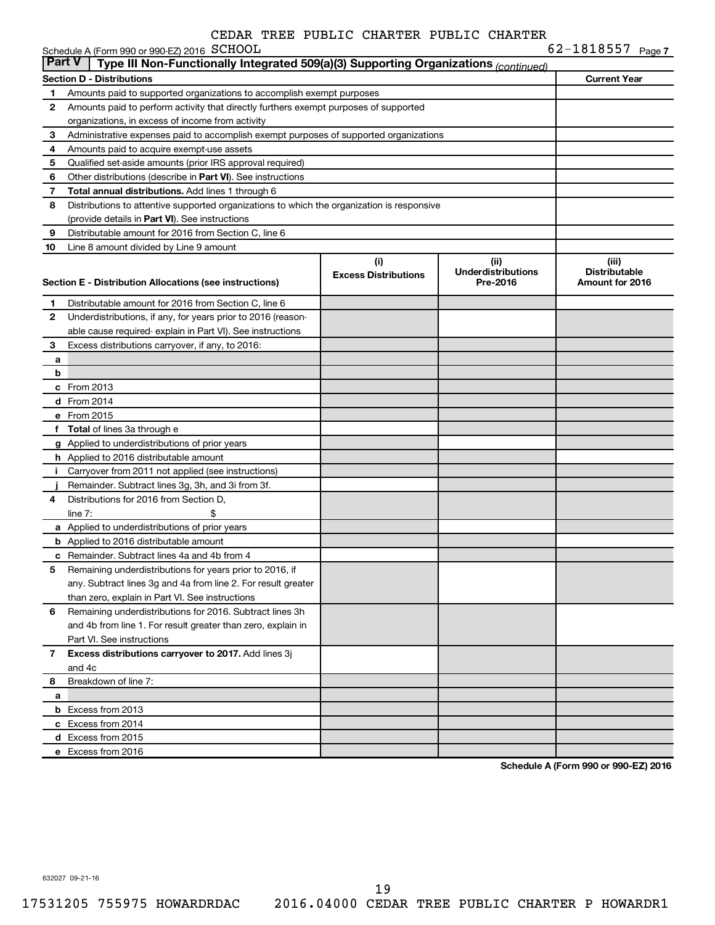|               | Schedule A (Form 990 or 990-EZ) 2016 SCHOOL                                                |                                    |                                               | 62-1818557 Page 7                                |
|---------------|--------------------------------------------------------------------------------------------|------------------------------------|-----------------------------------------------|--------------------------------------------------|
| <b>Part V</b> | Type III Non-Functionally Integrated 509(a)(3) Supporting Organizations (continued)        |                                    |                                               |                                                  |
|               | <b>Section D - Distributions</b>                                                           |                                    |                                               | <b>Current Year</b>                              |
| 1             | Amounts paid to supported organizations to accomplish exempt purposes                      |                                    |                                               |                                                  |
| $\mathbf{2}$  | Amounts paid to perform activity that directly furthers exempt purposes of supported       |                                    |                                               |                                                  |
|               | organizations, in excess of income from activity                                           |                                    |                                               |                                                  |
| 3             | Administrative expenses paid to accomplish exempt purposes of supported organizations      |                                    |                                               |                                                  |
| 4             | Amounts paid to acquire exempt-use assets                                                  |                                    |                                               |                                                  |
| 5             | Qualified set-aside amounts (prior IRS approval required)                                  |                                    |                                               |                                                  |
| 6             | Other distributions (describe in Part VI). See instructions                                |                                    |                                               |                                                  |
| 7             | Total annual distributions. Add lines 1 through 6                                          |                                    |                                               |                                                  |
| 8             | Distributions to attentive supported organizations to which the organization is responsive |                                    |                                               |                                                  |
|               | (provide details in Part VI). See instructions                                             |                                    |                                               |                                                  |
| 9             | Distributable amount for 2016 from Section C, line 6                                       |                                    |                                               |                                                  |
| 10            | Line 8 amount divided by Line 9 amount                                                     |                                    |                                               |                                                  |
|               | Section E - Distribution Allocations (see instructions)                                    | (i)<br><b>Excess Distributions</b> | (ii)<br><b>Underdistributions</b><br>Pre-2016 | (iii)<br><b>Distributable</b><br>Amount for 2016 |
| 1             | Distributable amount for 2016 from Section C, line 6                                       |                                    |                                               |                                                  |
| $\mathbf{2}$  | Underdistributions, if any, for years prior to 2016 (reason-                               |                                    |                                               |                                                  |
|               | able cause required-explain in Part VI). See instructions                                  |                                    |                                               |                                                  |
| 3             | Excess distributions carryover, if any, to 2016:                                           |                                    |                                               |                                                  |
| a             |                                                                                            |                                    |                                               |                                                  |
| b             |                                                                                            |                                    |                                               |                                                  |
|               | c From 2013                                                                                |                                    |                                               |                                                  |
|               | <b>d</b> From 2014                                                                         |                                    |                                               |                                                  |
|               | e From 2015                                                                                |                                    |                                               |                                                  |
|               | f Total of lines 3a through e                                                              |                                    |                                               |                                                  |
|               | g Applied to underdistributions of prior years                                             |                                    |                                               |                                                  |
|               | <b>h</b> Applied to 2016 distributable amount                                              |                                    |                                               |                                                  |
| j.            | Carryover from 2011 not applied (see instructions)                                         |                                    |                                               |                                                  |
|               | Remainder. Subtract lines 3g, 3h, and 3i from 3f.                                          |                                    |                                               |                                                  |
| 4             | Distributions for 2016 from Section D,                                                     |                                    |                                               |                                                  |
|               | line $7:$<br>\$                                                                            |                                    |                                               |                                                  |
|               | a Applied to underdistributions of prior years                                             |                                    |                                               |                                                  |
|               | <b>b</b> Applied to 2016 distributable amount                                              |                                    |                                               |                                                  |
|               | <b>c</b> Remainder. Subtract lines 4a and 4b from 4                                        |                                    |                                               |                                                  |
| 5             | Remaining underdistributions for years prior to 2016, if                                   |                                    |                                               |                                                  |
|               | any. Subtract lines 3g and 4a from line 2. For result greater                              |                                    |                                               |                                                  |
|               | than zero, explain in Part VI. See instructions                                            |                                    |                                               |                                                  |
| 6             | Remaining underdistributions for 2016. Subtract lines 3h                                   |                                    |                                               |                                                  |
|               | and 4b from line 1. For result greater than zero, explain in                               |                                    |                                               |                                                  |
|               | Part VI. See instructions                                                                  |                                    |                                               |                                                  |
| $\mathbf{7}$  | Excess distributions carryover to 2017. Add lines 3j                                       |                                    |                                               |                                                  |
|               | and 4c                                                                                     |                                    |                                               |                                                  |
| 8             | Breakdown of line 7:                                                                       |                                    |                                               |                                                  |
| a             |                                                                                            |                                    |                                               |                                                  |
|               | <b>b</b> Excess from 2013                                                                  |                                    |                                               |                                                  |
|               | c Excess from 2014                                                                         |                                    |                                               |                                                  |
|               | d Excess from 2015                                                                         |                                    |                                               |                                                  |
|               | e Excess from 2016                                                                         |                                    |                                               |                                                  |

**Schedule A (Form 990 or 990-EZ) 2016**

632027 09-21-16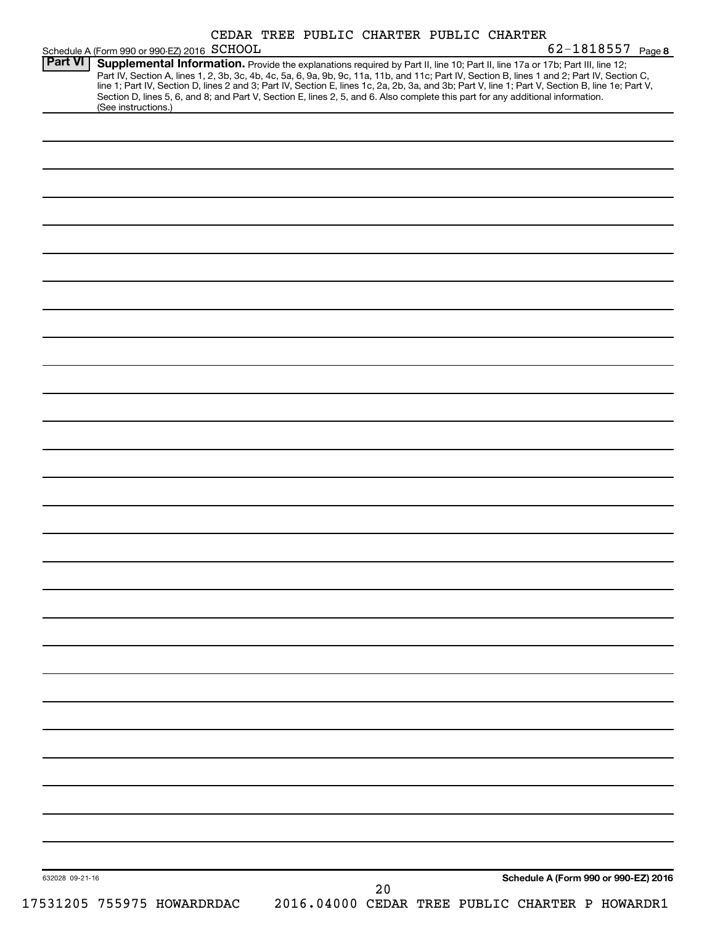| Schedule A (Form 990 or 990-EZ) 2016 SCHOOL<br><b>Part VI</b><br>(See instructions.) | 62-1818557 Page 8<br>Supplemental Information. Provide the explanations required by Part II, line 10; Part II, line 17a or 17b; Part III, line 12;<br>Part IV, Section A, lines 1, 2, 3b, 3c, 4b, 4c, 5a, 6, 9a, 9b, 9c, 11a, 11b, and 11c; Part IV, Section B, lines 1 and 2; Part IV, Section C,<br>line 1; Part IV, Section D, lines 2 and 3; Part IV, Section E, lines 1c, 2a, 2b, 3a, and 3b; Part V, line 1; Part V, Section B, line 1e; Part V,<br>Section D, lines 5, 6, and 8; and Part V, Section E, lines 2, 5, and 6. Also complete this part for any additional information. |
|--------------------------------------------------------------------------------------|-------------------------------------------------------------------------------------------------------------------------------------------------------------------------------------------------------------------------------------------------------------------------------------------------------------------------------------------------------------------------------------------------------------------------------------------------------------------------------------------------------------------------------------------------------------------------------------------|
|                                                                                      |                                                                                                                                                                                                                                                                                                                                                                                                                                                                                                                                                                                           |
|                                                                                      |                                                                                                                                                                                                                                                                                                                                                                                                                                                                                                                                                                                           |
|                                                                                      |                                                                                                                                                                                                                                                                                                                                                                                                                                                                                                                                                                                           |
|                                                                                      |                                                                                                                                                                                                                                                                                                                                                                                                                                                                                                                                                                                           |
|                                                                                      |                                                                                                                                                                                                                                                                                                                                                                                                                                                                                                                                                                                           |
|                                                                                      |                                                                                                                                                                                                                                                                                                                                                                                                                                                                                                                                                                                           |
|                                                                                      |                                                                                                                                                                                                                                                                                                                                                                                                                                                                                                                                                                                           |
|                                                                                      |                                                                                                                                                                                                                                                                                                                                                                                                                                                                                                                                                                                           |
|                                                                                      |                                                                                                                                                                                                                                                                                                                                                                                                                                                                                                                                                                                           |
|                                                                                      |                                                                                                                                                                                                                                                                                                                                                                                                                                                                                                                                                                                           |
|                                                                                      |                                                                                                                                                                                                                                                                                                                                                                                                                                                                                                                                                                                           |
|                                                                                      |                                                                                                                                                                                                                                                                                                                                                                                                                                                                                                                                                                                           |
|                                                                                      |                                                                                                                                                                                                                                                                                                                                                                                                                                                                                                                                                                                           |
|                                                                                      |                                                                                                                                                                                                                                                                                                                                                                                                                                                                                                                                                                                           |
|                                                                                      |                                                                                                                                                                                                                                                                                                                                                                                                                                                                                                                                                                                           |
|                                                                                      |                                                                                                                                                                                                                                                                                                                                                                                                                                                                                                                                                                                           |
|                                                                                      |                                                                                                                                                                                                                                                                                                                                                                                                                                                                                                                                                                                           |
|                                                                                      |                                                                                                                                                                                                                                                                                                                                                                                                                                                                                                                                                                                           |
|                                                                                      |                                                                                                                                                                                                                                                                                                                                                                                                                                                                                                                                                                                           |
|                                                                                      |                                                                                                                                                                                                                                                                                                                                                                                                                                                                                                                                                                                           |
|                                                                                      |                                                                                                                                                                                                                                                                                                                                                                                                                                                                                                                                                                                           |
|                                                                                      |                                                                                                                                                                                                                                                                                                                                                                                                                                                                                                                                                                                           |
|                                                                                      |                                                                                                                                                                                                                                                                                                                                                                                                                                                                                                                                                                                           |
|                                                                                      |                                                                                                                                                                                                                                                                                                                                                                                                                                                                                                                                                                                           |
|                                                                                      |                                                                                                                                                                                                                                                                                                                                                                                                                                                                                                                                                                                           |
|                                                                                      |                                                                                                                                                                                                                                                                                                                                                                                                                                                                                                                                                                                           |
|                                                                                      |                                                                                                                                                                                                                                                                                                                                                                                                                                                                                                                                                                                           |
|                                                                                      |                                                                                                                                                                                                                                                                                                                                                                                                                                                                                                                                                                                           |
|                                                                                      |                                                                                                                                                                                                                                                                                                                                                                                                                                                                                                                                                                                           |
|                                                                                      |                                                                                                                                                                                                                                                                                                                                                                                                                                                                                                                                                                                           |
|                                                                                      |                                                                                                                                                                                                                                                                                                                                                                                                                                                                                                                                                                                           |
|                                                                                      |                                                                                                                                                                                                                                                                                                                                                                                                                                                                                                                                                                                           |
|                                                                                      | Schedule A (Form 990 or 990-EZ) 2016                                                                                                                                                                                                                                                                                                                                                                                                                                                                                                                                                      |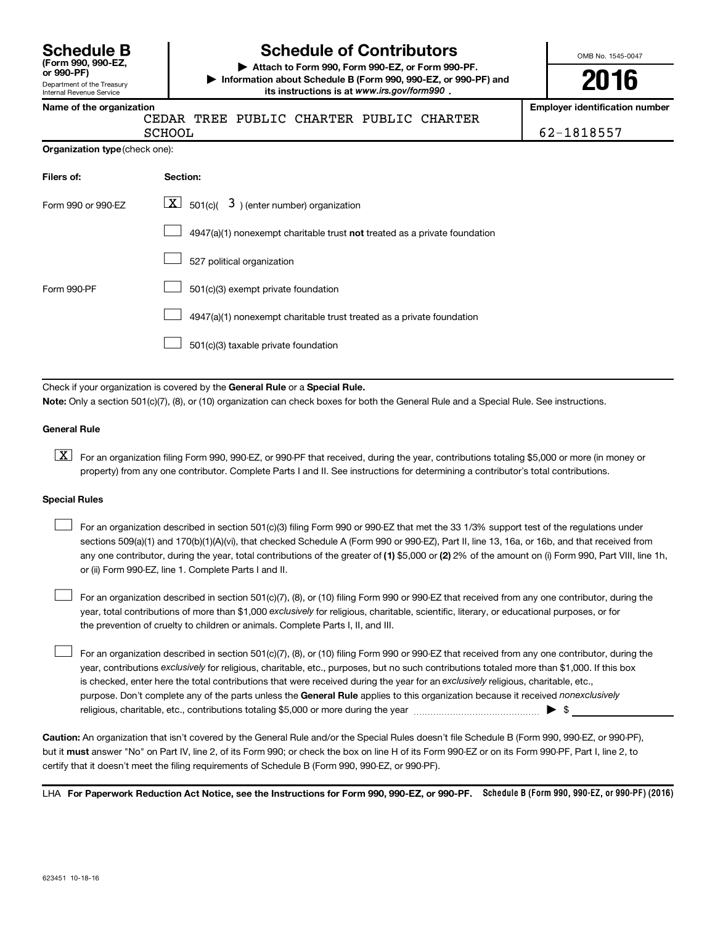| <b>Schedule B</b>     |  |  |
|-----------------------|--|--|
| (Form 990, 990-EZ,    |  |  |
| $or$ QQ $\Omega$ _DE) |  |  |

#### Department of the Treasury Internal Revenue Service

# **Schedule of Contributors**

**or 990-PF) | Attach to Form 990, Form 990-EZ, or Form 990-PF. | Information about Schedule B (Form 990, 990-EZ, or 990-PF) and** its instructions is at www.irs.gov/form990.

OMB No. 1545-0047

**2016**

**Name of the organization Employer identification number**

|  | SCHO |
|--|------|

CEDAR TREE PUBLIC CHARTER PUBLIC CHARTER SCHOOL 62-1818557

| Organization type (check one): |  |
|--------------------------------|--|
|                                |  |

| Filers of:         | Section:                                                                    |
|--------------------|-----------------------------------------------------------------------------|
| Form 990 or 990-EZ | $ \mathbf{X} $ 501(c)( 3) (enter number) organization                       |
|                    | $4947(a)(1)$ nonexempt charitable trust not treated as a private foundation |
|                    | 527 political organization                                                  |
| Form 990-PF        | 501(c)(3) exempt private foundation                                         |
|                    | 4947(a)(1) nonexempt charitable trust treated as a private foundation       |
|                    | 501(c)(3) taxable private foundation                                        |

Check if your organization is covered by the General Rule or a Special Rule.

**Note:**  Only a section 501(c)(7), (8), or (10) organization can check boxes for both the General Rule and a Special Rule. See instructions.

#### **General Rule**

**K** For an organization filing Form 990, 990-EZ, or 990-PF that received, during the year, contributions totaling \$5,000 or more (in money or property) from any one contributor. Complete Parts I and II. See instructions for determining a contributor's total contributions.

#### **Special Rules**

 $\Box$ 

any one contributor, during the year, total contributions of the greater of **(1)** \$5,000 or **(2)** 2% of the amount on (i) Form 990, Part VIII, line 1h, For an organization described in section 501(c)(3) filing Form 990 or 990-EZ that met the 33 1/3% support test of the regulations under sections 509(a)(1) and 170(b)(1)(A)(vi), that checked Schedule A (Form 990 or 990-EZ), Part II, line 13, 16a, or 16b, and that received from or (ii) Form 990-EZ, line 1. Complete Parts I and II.  $\Box$ 

year, total contributions of more than \$1,000 *exclusively* for religious, charitable, scientific, literary, or educational purposes, or for For an organization described in section 501(c)(7), (8), or (10) filing Form 990 or 990-EZ that received from any one contributor, during the the prevention of cruelty to children or animals. Complete Parts I, II, and III.  $\Box$ 

purpose. Don't complete any of the parts unless the General Rule applies to this organization because it received nonexclusively year, contributions exclusively for religious, charitable, etc., purposes, but no such contributions totaled more than \$1,000. If this box is checked, enter here the total contributions that were received during the year for an exclusively religious, charitable, etc., For an organization described in section 501(c)(7), (8), or (10) filing Form 990 or 990-EZ that received from any one contributor, during the religious, charitable, etc., contributions totaling \$5,000 or more during the year  $\ldots$  $\ldots$  $\ldots$  $\ldots$  $\ldots$  $\ldots$ 

**Caution:**  An organization that isn't covered by the General Rule and/or the Special Rules doesn't file Schedule B (Form 990, 990-EZ, or 990-PF),  **must** but it answer "No" on Part IV, line 2, of its Form 990; or check the box on line H of its Form 990-EZ or on its Form 990-PF, Part I, line 2, to certify that it doesn't meet the filing requirements of Schedule B (Form 990, 990-EZ, or 990-PF).

LHA For Paperwork Reduction Act Notice, see the Instructions for Form 990, 990-EZ, or 990-PF. Schedule B (Form 990, 990-EZ, or 990-PF) (2016)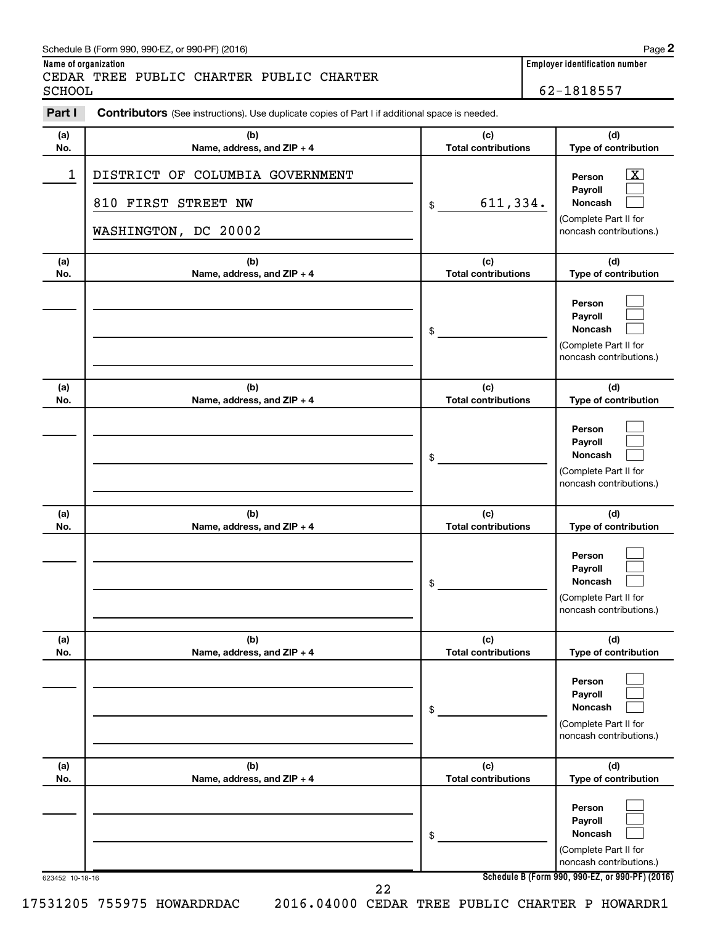#### Schedule B (Form 990, 990-EZ, or 990-PF) (2016)

CEDAR TREE PUBLIC CHARTER PUBLIC CHARTER<br>SCHOOL

62-1818557

| (a)          | (b)                                                                            | (c)                               | (d)                                                                                                         |
|--------------|--------------------------------------------------------------------------------|-----------------------------------|-------------------------------------------------------------------------------------------------------------|
| No.          | Name, address, and ZIP + 4                                                     | <b>Total contributions</b>        | Type of contribution                                                                                        |
| $\mathbf{1}$ | DISTRICT OF COLUMBIA GOVERNMENT<br>810 FIRST STREET NW<br>WASHINGTON, DC 20002 | 611,334.<br>\$                    | $\overline{\mathbf{X}}$<br>Person<br>Payroll<br>Noncash<br>(Complete Part II for<br>noncash contributions.) |
| (a)<br>No.   | (b)<br>Name, address, and ZIP + 4                                              | (c)<br><b>Total contributions</b> | (d)<br>Type of contribution                                                                                 |
|              |                                                                                | \$                                | Person<br>Payroll<br>Noncash<br>(Complete Part II for<br>noncash contributions.)                            |
| (a)<br>No.   | (b)<br>Name, address, and ZIP + 4                                              | (c)<br><b>Total contributions</b> | (d)<br>Type of contribution                                                                                 |
|              |                                                                                | \$                                | Person<br>Payroll<br>Noncash<br>(Complete Part II for<br>noncash contributions.)                            |
| (a)<br>No.   | (b)<br>Name, address, and ZIP + 4                                              | (c)<br><b>Total contributions</b> | (d)<br>Type of contribution                                                                                 |
|              |                                                                                | \$                                | Person<br>Payroll<br>Noncash<br>(Complete Part II for<br>noncash contributions.)                            |
| (a)<br>No.   | (b)<br>Name, address, and ZIP + 4                                              | (c)<br><b>Total contributions</b> | (d)<br>Type of contribution                                                                                 |
|              |                                                                                | \$                                | Person<br>Payroll<br>Noncash<br>(Complete Part II for<br>noncash contributions.)                            |
| (a)<br>No.   | (b)<br>Name, address, and ZIP + 4                                              | (c)<br><b>Total contributions</b> | (d)<br>Type of contribution                                                                                 |
|              |                                                                                |                                   | Person<br>Payroll                                                                                           |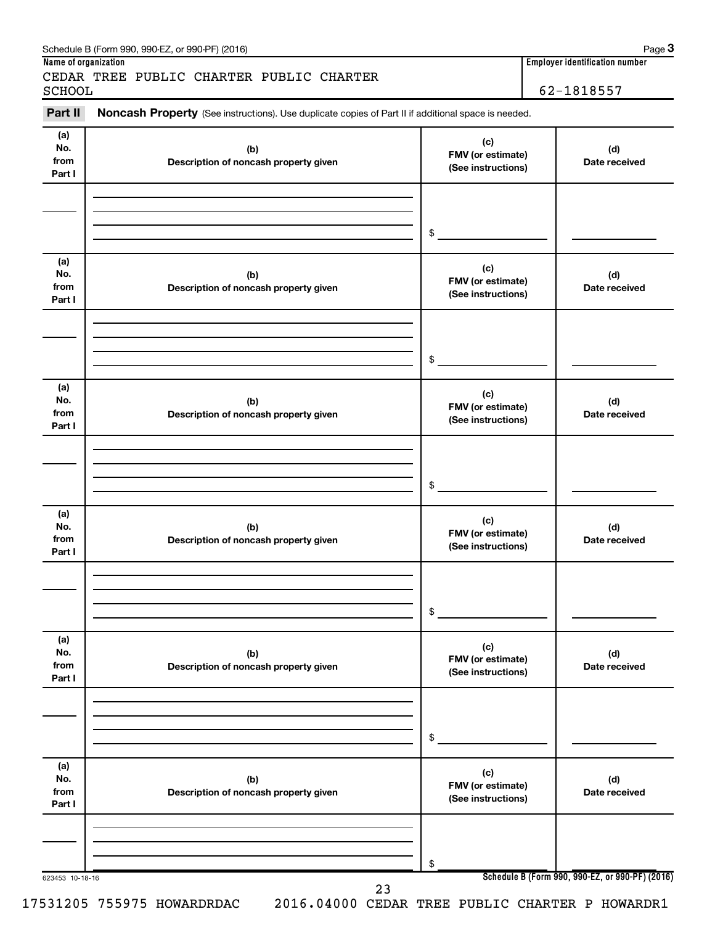| Part II                      | Noncash Property (See instructions). Use duplicate copies of Part II if additional space is needed. |                                                |                      |
|------------------------------|-----------------------------------------------------------------------------------------------------|------------------------------------------------|----------------------|
| (a)<br>No.<br>from<br>Part I | (b)<br>Description of noncash property given                                                        | (c)<br>FMV (or estimate)<br>(See instructions) | (d)<br>Date received |
|                              |                                                                                                     | \$                                             |                      |
| (a)<br>No.<br>from<br>Part I | (b)<br>Description of noncash property given                                                        | (c)<br>FMV (or estimate)<br>(See instructions) | (d)<br>Date received |
|                              |                                                                                                     | \$                                             |                      |
| (a)<br>No.<br>from<br>Part I | (b)<br>Description of noncash property given                                                        | (c)<br>FMV (or estimate)<br>(See instructions) | (d)<br>Date received |
|                              |                                                                                                     | \$                                             |                      |
| (a)<br>No.<br>from<br>Part I | (b)<br>Description of noncash property given                                                        | (c)<br>FMV (or estimate)<br>(See instructions) | (d)<br>Date received |
|                              |                                                                                                     | \$                                             |                      |
| (a)<br>No.<br>from<br>Part I | (b)<br>Description of noncash property given                                                        | (c)<br>FMV (or estimate)<br>(See instructions) | (d)<br>Date received |
|                              |                                                                                                     | \$                                             |                      |
| (a)<br>No.<br>from<br>Part I | (b)<br>Description of noncash property given                                                        | (c)<br>FMV (or estimate)<br>(See instructions) | (d)<br>Date received |
|                              |                                                                                                     | \$                                             |                      |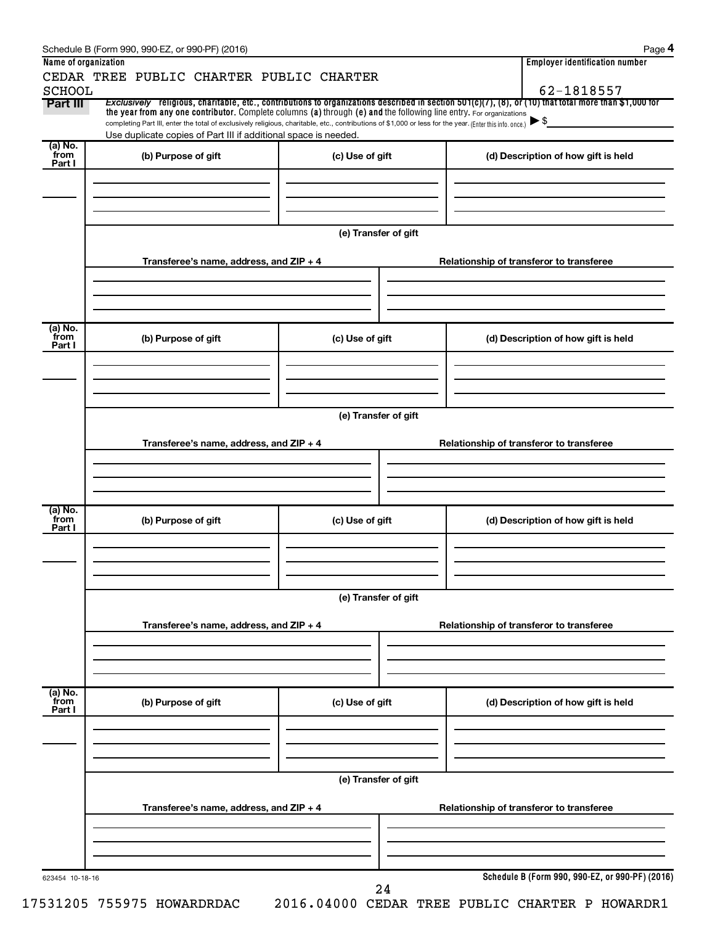|                           | Schedule B (Form 990, 990-EZ, or 990-PF) (2016)                                                                                                                                                                             |                        |                                          | Page 4                                                                   |  |  |  |  |  |
|---------------------------|-----------------------------------------------------------------------------------------------------------------------------------------------------------------------------------------------------------------------------|------------------------|------------------------------------------|--------------------------------------------------------------------------|--|--|--|--|--|
| Name of organization      |                                                                                                                                                                                                                             |                        |                                          | <b>Employer identification number</b>                                    |  |  |  |  |  |
|                           | CEDAR TREE PUBLIC CHARTER PUBLIC CHARTER                                                                                                                                                                                    |                        |                                          |                                                                          |  |  |  |  |  |
| <b>SCHOOL</b><br>Part III | Exclusively religious, charitable, etc., contributions to organizations described in section 501(c)(7), (8), or (10) that total more than \$1,000 for                                                                       |                        |                                          | 62-1818557                                                               |  |  |  |  |  |
|                           | the year from any one contributor. Complete columns (a) through (e) and the following line entry. For organizations                                                                                                         |                        |                                          |                                                                          |  |  |  |  |  |
|                           | completing Part III, enter the total of exclusively religious, charitable, etc., contributions of \$1,000 or less for the year. (Enter this info. once.)<br>Use duplicate copies of Part III if additional space is needed. |                        |                                          | $\blacktriangleright$ \$                                                 |  |  |  |  |  |
| (a) No.                   |                                                                                                                                                                                                                             |                        |                                          |                                                                          |  |  |  |  |  |
| from<br>Part I            | (b) Purpose of gift                                                                                                                                                                                                         | (c) Use of gift        |                                          | (d) Description of how gift is held                                      |  |  |  |  |  |
|                           |                                                                                                                                                                                                                             |                        |                                          |                                                                          |  |  |  |  |  |
|                           |                                                                                                                                                                                                                             |                        |                                          |                                                                          |  |  |  |  |  |
|                           |                                                                                                                                                                                                                             |                        |                                          |                                                                          |  |  |  |  |  |
|                           |                                                                                                                                                                                                                             |                        |                                          |                                                                          |  |  |  |  |  |
|                           |                                                                                                                                                                                                                             | (e) Transfer of gift   |                                          |                                                                          |  |  |  |  |  |
|                           | Transferee's name, address, and ZIP + 4                                                                                                                                                                                     |                        |                                          |                                                                          |  |  |  |  |  |
|                           |                                                                                                                                                                                                                             |                        | Relationship of transferor to transferee |                                                                          |  |  |  |  |  |
|                           |                                                                                                                                                                                                                             |                        |                                          |                                                                          |  |  |  |  |  |
|                           |                                                                                                                                                                                                                             |                        |                                          |                                                                          |  |  |  |  |  |
|                           |                                                                                                                                                                                                                             |                        |                                          |                                                                          |  |  |  |  |  |
| (a) No.<br>from           | (b) Purpose of gift                                                                                                                                                                                                         | (c) Use of gift        |                                          | (d) Description of how gift is held                                      |  |  |  |  |  |
| Part I                    |                                                                                                                                                                                                                             |                        |                                          |                                                                          |  |  |  |  |  |
|                           |                                                                                                                                                                                                                             |                        |                                          |                                                                          |  |  |  |  |  |
|                           |                                                                                                                                                                                                                             |                        |                                          |                                                                          |  |  |  |  |  |
|                           |                                                                                                                                                                                                                             |                        |                                          |                                                                          |  |  |  |  |  |
|                           |                                                                                                                                                                                                                             | (e) Transfer of gift   |                                          |                                                                          |  |  |  |  |  |
|                           |                                                                                                                                                                                                                             |                        |                                          |                                                                          |  |  |  |  |  |
|                           | Transferee's name, address, and ZIP + 4                                                                                                                                                                                     |                        |                                          | Relationship of transferor to transferee                                 |  |  |  |  |  |
|                           |                                                                                                                                                                                                                             |                        |                                          |                                                                          |  |  |  |  |  |
|                           |                                                                                                                                                                                                                             |                        |                                          |                                                                          |  |  |  |  |  |
|                           |                                                                                                                                                                                                                             |                        |                                          |                                                                          |  |  |  |  |  |
| (a) No.<br>from           | (b) Purpose of gift                                                                                                                                                                                                         | (c) Use of gift        |                                          | (d) Description of how gift is held                                      |  |  |  |  |  |
| Part I                    |                                                                                                                                                                                                                             |                        |                                          |                                                                          |  |  |  |  |  |
|                           |                                                                                                                                                                                                                             |                        |                                          |                                                                          |  |  |  |  |  |
|                           |                                                                                                                                                                                                                             |                        |                                          |                                                                          |  |  |  |  |  |
|                           |                                                                                                                                                                                                                             |                        |                                          |                                                                          |  |  |  |  |  |
|                           |                                                                                                                                                                                                                             | (e) Transfer of gift   |                                          |                                                                          |  |  |  |  |  |
|                           |                                                                                                                                                                                                                             |                        |                                          |                                                                          |  |  |  |  |  |
|                           | Transferee's name, address, and ZIP + 4                                                                                                                                                                                     |                        | Relationship of transferor to transferee |                                                                          |  |  |  |  |  |
|                           |                                                                                                                                                                                                                             |                        |                                          |                                                                          |  |  |  |  |  |
|                           |                                                                                                                                                                                                                             |                        |                                          |                                                                          |  |  |  |  |  |
|                           |                                                                                                                                                                                                                             |                        |                                          |                                                                          |  |  |  |  |  |
| (a) No.<br>from           |                                                                                                                                                                                                                             |                        |                                          |                                                                          |  |  |  |  |  |
| Part I                    | (b) Purpose of gift                                                                                                                                                                                                         | (c) Use of gift        |                                          | (d) Description of how gift is held                                      |  |  |  |  |  |
|                           |                                                                                                                                                                                                                             |                        |                                          |                                                                          |  |  |  |  |  |
|                           |                                                                                                                                                                                                                             |                        |                                          |                                                                          |  |  |  |  |  |
|                           |                                                                                                                                                                                                                             |                        |                                          |                                                                          |  |  |  |  |  |
|                           |                                                                                                                                                                                                                             |                        |                                          |                                                                          |  |  |  |  |  |
|                           |                                                                                                                                                                                                                             | (e) Transfer of gift   |                                          |                                                                          |  |  |  |  |  |
|                           | Transferee's name, address, and ZIP + 4                                                                                                                                                                                     |                        |                                          | Relationship of transferor to transferee                                 |  |  |  |  |  |
|                           |                                                                                                                                                                                                                             |                        |                                          |                                                                          |  |  |  |  |  |
|                           |                                                                                                                                                                                                                             |                        |                                          |                                                                          |  |  |  |  |  |
|                           |                                                                                                                                                                                                                             |                        |                                          |                                                                          |  |  |  |  |  |
|                           |                                                                                                                                                                                                                             |                        |                                          |                                                                          |  |  |  |  |  |
| 623454 10-18-16           |                                                                                                                                                                                                                             |                        |                                          | Schedule B (Form 990, 990-EZ, or 990-PF) (2016)                          |  |  |  |  |  |
|                           | ESISAE SEEASE HOWARDDRAG                                                                                                                                                                                                    | 24<br>2016 ALAAA ARDID |                                          | $mnmin$ $\tau \wedge nmin$ $\tau$ $\wedge$ $nmin$ $\tau$ $\wedge$ $nmin$ |  |  |  |  |  |

17531205 755975 HOWARDRDAC 2016.04000 CEDAR TREE PUBLIC CHARTER P HOWARDR1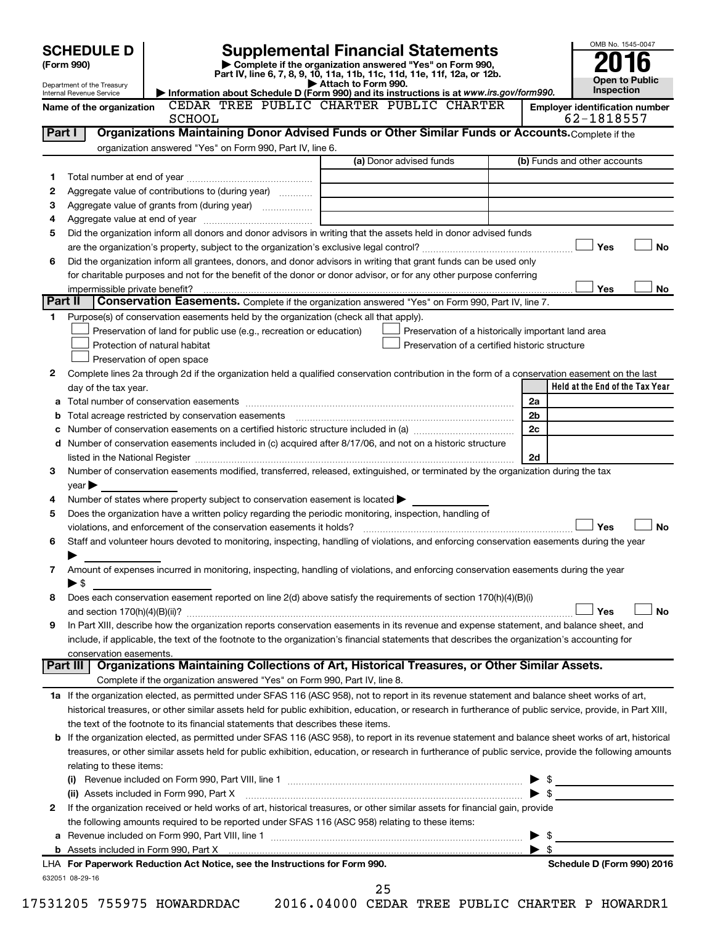|         | <b>SCHEDULE D</b><br>(Form 990)                        |                                                                                                                                                                                                    | <b>Supplemental Financial Statements</b><br>Complete if the organization answered "Yes" on Form 990, |                     |                                                    |                          | OMB No. 1545-0047                               |
|---------|--------------------------------------------------------|----------------------------------------------------------------------------------------------------------------------------------------------------------------------------------------------------|------------------------------------------------------------------------------------------------------|---------------------|----------------------------------------------------|--------------------------|-------------------------------------------------|
|         | Department of the Treasury<br>Internal Revenue Service | Information about Schedule D (Form 990) and its instructions is at www.irs.gov/form990.                                                                                                            | Part IV, line 6, 7, 8, 9, 10, 11a, 11b, 11c, 11d, 11e, 11f, 12a, or 12b.                             | Attach to Form 990. |                                                    |                          | <b>Open to Public</b><br>Inspection             |
|         | Name of the organization                               |                                                                                                                                                                                                    | CEDAR TREE PUBLIC CHARTER PUBLIC CHARTER                                                             |                     |                                                    |                          | <b>Employer identification number</b>           |
|         |                                                        | <b>SCHOOL</b>                                                                                                                                                                                      |                                                                                                      |                     |                                                    |                          | 62-1818557                                      |
| Part I  |                                                        | Organizations Maintaining Donor Advised Funds or Other Similar Funds or Accounts. Complete if the<br>organization answered "Yes" on Form 990, Part IV, line 6.                                     |                                                                                                      |                     |                                                    |                          |                                                 |
|         |                                                        |                                                                                                                                                                                                    |                                                                                                      |                     | (a) Donor advised funds                            |                          | (b) Funds and other accounts                    |
| 1       |                                                        |                                                                                                                                                                                                    |                                                                                                      |                     |                                                    |                          |                                                 |
| 2       |                                                        | Aggregate value of contributions to (during year)                                                                                                                                                  |                                                                                                      |                     |                                                    |                          |                                                 |
| 3       |                                                        |                                                                                                                                                                                                    |                                                                                                      |                     |                                                    |                          |                                                 |
| 4       |                                                        |                                                                                                                                                                                                    |                                                                                                      |                     |                                                    |                          |                                                 |
| 5       |                                                        | Did the organization inform all donors and donor advisors in writing that the assets held in donor advised funds                                                                                   |                                                                                                      |                     |                                                    |                          |                                                 |
|         |                                                        |                                                                                                                                                                                                    |                                                                                                      |                     |                                                    |                          | <b>No</b><br>Yes                                |
| 6       |                                                        | Did the organization inform all grantees, donors, and donor advisors in writing that grant funds can be used only                                                                                  |                                                                                                      |                     |                                                    |                          |                                                 |
|         |                                                        | for charitable purposes and not for the benefit of the donor or donor advisor, or for any other purpose conferring                                                                                 |                                                                                                      |                     |                                                    |                          |                                                 |
|         |                                                        |                                                                                                                                                                                                    |                                                                                                      |                     |                                                    |                          | Yes<br>No                                       |
| Part II |                                                        | Conservation Easements. Complete if the organization answered "Yes" on Form 990, Part IV, line 7.                                                                                                  |                                                                                                      |                     |                                                    |                          |                                                 |
| 1       |                                                        | Purpose(s) of conservation easements held by the organization (check all that apply).                                                                                                              |                                                                                                      |                     |                                                    |                          |                                                 |
|         |                                                        | Preservation of land for public use (e.g., recreation or education)                                                                                                                                |                                                                                                      |                     | Preservation of a historically important land area |                          |                                                 |
|         |                                                        | Protection of natural habitat                                                                                                                                                                      |                                                                                                      |                     | Preservation of a certified historic structure     |                          |                                                 |
|         |                                                        | Preservation of open space                                                                                                                                                                         |                                                                                                      |                     |                                                    |                          |                                                 |
| 2       |                                                        | Complete lines 2a through 2d if the organization held a qualified conservation contribution in the form of a conservation easement on the last                                                     |                                                                                                      |                     |                                                    |                          |                                                 |
|         | day of the tax year.                                   |                                                                                                                                                                                                    |                                                                                                      |                     |                                                    |                          | Held at the End of the Tax Year                 |
|         |                                                        |                                                                                                                                                                                                    |                                                                                                      |                     |                                                    | 2a                       |                                                 |
|         |                                                        |                                                                                                                                                                                                    |                                                                                                      |                     |                                                    | 2 <sub>b</sub>           |                                                 |
|         |                                                        |                                                                                                                                                                                                    |                                                                                                      |                     |                                                    | 2c                       |                                                 |
|         |                                                        | d Number of conservation easements included in (c) acquired after 8/17/06, and not on a historic structure                                                                                         |                                                                                                      |                     |                                                    |                          |                                                 |
| з       |                                                        | Number of conservation easements modified, transferred, released, extinguished, or terminated by the organization during the tax                                                                   |                                                                                                      |                     |                                                    | 2d                       |                                                 |
|         | $year \blacktriangleright$                             |                                                                                                                                                                                                    |                                                                                                      |                     |                                                    |                          |                                                 |
| 4       |                                                        | Number of states where property subject to conservation easement is located >                                                                                                                      |                                                                                                      |                     |                                                    |                          |                                                 |
| 5       |                                                        | Does the organization have a written policy regarding the periodic monitoring, inspection, handling of                                                                                             |                                                                                                      |                     |                                                    |                          |                                                 |
|         |                                                        |                                                                                                                                                                                                    |                                                                                                      |                     |                                                    |                          | Yes<br><b>No</b>                                |
| 6       |                                                        | Staff and volunteer hours devoted to monitoring, inspecting, handling of violations, and enforcing conservation easements during the year                                                          |                                                                                                      |                     |                                                    |                          |                                                 |
|         |                                                        |                                                                                                                                                                                                    |                                                                                                      |                     |                                                    |                          |                                                 |
| 7       |                                                        | Amount of expenses incurred in monitoring, inspecting, handling of violations, and enforcing conservation easements during the year                                                                |                                                                                                      |                     |                                                    |                          |                                                 |
|         | $\blacktriangleright$ \$                               |                                                                                                                                                                                                    |                                                                                                      |                     |                                                    |                          |                                                 |
| 8       |                                                        | Does each conservation easement reported on line 2(d) above satisfy the requirements of section 170(h)(4)(B)(i)                                                                                    |                                                                                                      |                     |                                                    |                          |                                                 |
|         |                                                        |                                                                                                                                                                                                    |                                                                                                      |                     |                                                    |                          | <b>No</b><br>Yes                                |
| 9       |                                                        | In Part XIII, describe how the organization reports conservation easements in its revenue and expense statement, and balance sheet, and                                                            |                                                                                                      |                     |                                                    |                          |                                                 |
|         |                                                        | include, if applicable, the text of the footnote to the organization's financial statements that describes the organization's accounting for                                                       |                                                                                                      |                     |                                                    |                          |                                                 |
|         | conservation easements.                                |                                                                                                                                                                                                    |                                                                                                      |                     |                                                    |                          |                                                 |
|         | Part III                                               | Organizations Maintaining Collections of Art, Historical Treasures, or Other Similar Assets.                                                                                                       |                                                                                                      |                     |                                                    |                          |                                                 |
|         |                                                        | Complete if the organization answered "Yes" on Form 990, Part IV, line 8.                                                                                                                          |                                                                                                      |                     |                                                    |                          |                                                 |
|         |                                                        | 1a If the organization elected, as permitted under SFAS 116 (ASC 958), not to report in its revenue statement and balance sheet works of art,                                                      |                                                                                                      |                     |                                                    |                          |                                                 |
|         |                                                        | historical treasures, or other similar assets held for public exhibition, education, or research in furtherance of public service, provide, in Part XIII,                                          |                                                                                                      |                     |                                                    |                          |                                                 |
|         |                                                        | the text of the footnote to its financial statements that describes these items.                                                                                                                   |                                                                                                      |                     |                                                    |                          |                                                 |
|         |                                                        | <b>b</b> If the organization elected, as permitted under SFAS 116 (ASC 958), to report in its revenue statement and balance sheet works of art, historical                                         |                                                                                                      |                     |                                                    |                          |                                                 |
|         |                                                        | treasures, or other similar assets held for public exhibition, education, or research in furtherance of public service, provide the following amounts                                              |                                                                                                      |                     |                                                    |                          |                                                 |
|         | relating to these items:                               |                                                                                                                                                                                                    |                                                                                                      |                     |                                                    |                          |                                                 |
|         |                                                        | (i) Revenue included on Form 990, Part VIII, line 1 $\ldots$ $\ldots$ $\ldots$ $\ldots$ $\ldots$ $\ldots$ $\ldots$ $\ldots$ $\ldots$ $\ldots$ $\ldots$<br>(ii) Assets included in Form 990, Part X |                                                                                                      |                     |                                                    |                          | $\mathbb{S}$                                    |
| 2       |                                                        | If the organization received or held works of art, historical treasures, or other similar assets for financial gain, provide                                                                       |                                                                                                      |                     |                                                    |                          |                                                 |
|         |                                                        | the following amounts required to be reported under SFAS 116 (ASC 958) relating to these items:                                                                                                    |                                                                                                      |                     |                                                    |                          |                                                 |
|         |                                                        |                                                                                                                                                                                                    |                                                                                                      |                     |                                                    | $\blacktriangleright$ \$ |                                                 |
|         |                                                        |                                                                                                                                                                                                    |                                                                                                      |                     |                                                    | $\blacktriangleright$ s  |                                                 |
|         |                                                        | LHA For Paperwork Reduction Act Notice, see the Instructions for Form 990.                                                                                                                         |                                                                                                      |                     |                                                    |                          | Schedule D (Form 990) 2016                      |
|         | 632051 08-29-16                                        |                                                                                                                                                                                                    |                                                                                                      |                     |                                                    |                          |                                                 |
|         |                                                        |                                                                                                                                                                                                    |                                                                                                      | 25                  |                                                    |                          |                                                 |
|         |                                                        | 17531205 755975 HOWARDRDAC                                                                                                                                                                         |                                                                                                      |                     |                                                    |                          | 2016.04000 CEDAR TREE PUBLIC CHARTER P HOWARDR1 |

| I<br>ı |  |  |
|--------|--|--|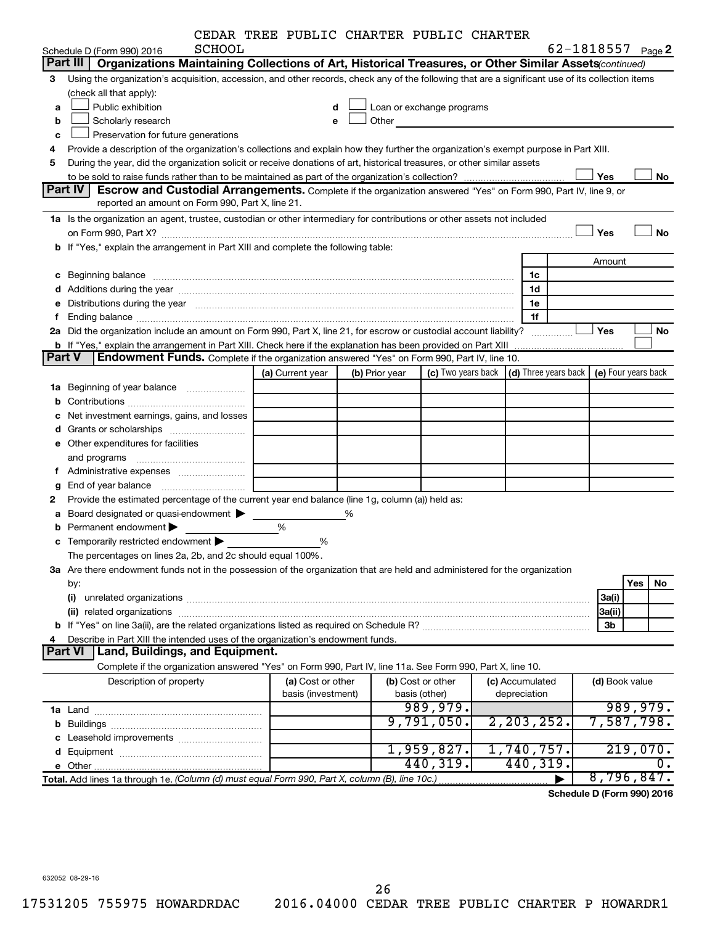|  |  |  | CEDAR TREE PUBLIC CHARTER PUBLIC CHARTER |  |  |
|--|--|--|------------------------------------------|--|--|
|--|--|--|------------------------------------------|--|--|

|        |                                                                                                                                                                                                                                | CEDAR TREE PUBLIC CHARTER PUBLIC CHARTER |   |                |                                                                                                                                                                                                                               |                                                         |                              |     |                     |
|--------|--------------------------------------------------------------------------------------------------------------------------------------------------------------------------------------------------------------------------------|------------------------------------------|---|----------------|-------------------------------------------------------------------------------------------------------------------------------------------------------------------------------------------------------------------------------|---------------------------------------------------------|------------------------------|-----|---------------------|
|        | SCHOOL<br>Schedule D (Form 990) 2016                                                                                                                                                                                           |                                          |   |                |                                                                                                                                                                                                                               |                                                         | 62-1818557 <sub>Page</sub> 2 |     |                     |
|        | Organizations Maintaining Collections of Art, Historical Treasures, or Other Similar Assets(continued)<br>Part III                                                                                                             |                                          |   |                |                                                                                                                                                                                                                               |                                                         |                              |     |                     |
| 3      | Using the organization's acquisition, accession, and other records, check any of the following that are a significant use of its collection items                                                                              |                                          |   |                |                                                                                                                                                                                                                               |                                                         |                              |     |                     |
|        | (check all that apply):                                                                                                                                                                                                        |                                          |   |                |                                                                                                                                                                                                                               |                                                         |                              |     |                     |
| a      | Public exhibition                                                                                                                                                                                                              | d                                        |   |                | Loan or exchange programs                                                                                                                                                                                                     |                                                         |                              |     |                     |
| b      | Scholarly research                                                                                                                                                                                                             | e                                        |   |                | Other and the contract of the contract of the contract of the contract of the contract of the contract of the contract of the contract of the contract of the contract of the contract of the contract of the contract of the |                                                         |                              |     |                     |
| с      | Preservation for future generations                                                                                                                                                                                            |                                          |   |                |                                                                                                                                                                                                                               |                                                         |                              |     |                     |
| 4      | Provide a description of the organization's collections and explain how they further the organization's exempt purpose in Part XIII.                                                                                           |                                          |   |                |                                                                                                                                                                                                                               |                                                         |                              |     |                     |
| 5      | During the year, did the organization solicit or receive donations of art, historical treasures, or other similar assets                                                                                                       |                                          |   |                |                                                                                                                                                                                                                               |                                                         |                              |     |                     |
|        |                                                                                                                                                                                                                                |                                          |   |                |                                                                                                                                                                                                                               |                                                         | Yes                          |     | No                  |
|        | Part IV<br><b>Escrow and Custodial Arrangements.</b> Complete if the organization answered "Yes" on Form 990, Part IV, line 9, or                                                                                              |                                          |   |                |                                                                                                                                                                                                                               |                                                         |                              |     |                     |
|        | reported an amount on Form 990, Part X, line 21.                                                                                                                                                                               |                                          |   |                |                                                                                                                                                                                                                               |                                                         |                              |     |                     |
|        | 1a Is the organization an agent, trustee, custodian or other intermediary for contributions or other assets not included                                                                                                       |                                          |   |                |                                                                                                                                                                                                                               |                                                         |                              |     |                     |
|        |                                                                                                                                                                                                                                |                                          |   |                |                                                                                                                                                                                                                               |                                                         | Yes                          |     | <b>No</b>           |
|        | b If "Yes," explain the arrangement in Part XIII and complete the following table:                                                                                                                                             |                                          |   |                |                                                                                                                                                                                                                               |                                                         |                              |     |                     |
|        |                                                                                                                                                                                                                                |                                          |   |                |                                                                                                                                                                                                                               |                                                         | Amount                       |     |                     |
|        | c Beginning balance                                                                                                                                                                                                            |                                          |   |                |                                                                                                                                                                                                                               | 1c                                                      |                              |     |                     |
|        |                                                                                                                                                                                                                                |                                          |   |                |                                                                                                                                                                                                                               | 1d                                                      |                              |     |                     |
| е      | Distributions during the year manufactured and continuum control of the state of the control of the state of the state of the state of the state of the state of the state of the state of the state of the state of the state |                                          |   |                |                                                                                                                                                                                                                               | 1e                                                      |                              |     |                     |
| f      |                                                                                                                                                                                                                                |                                          |   |                |                                                                                                                                                                                                                               | 1f                                                      |                              |     |                     |
| 2a     | Did the organization include an amount on Form 990, Part X, line 21, for escrow or custodial account liability?                                                                                                                |                                          |   |                |                                                                                                                                                                                                                               |                                                         | Yes                          |     | No                  |
|        | b If "Yes," explain the arrangement in Part XIII. Check here if the explanation has been provided on Part XIII                                                                                                                 |                                          |   |                |                                                                                                                                                                                                                               |                                                         |                              |     |                     |
| Part V | <b>Endowment Funds.</b> Complete if the organization answered "Yes" on Form 990, Part IV, line 10.                                                                                                                             |                                          |   |                |                                                                                                                                                                                                                               |                                                         |                              |     |                     |
|        |                                                                                                                                                                                                                                | (a) Current year                         |   | (b) Prior year |                                                                                                                                                                                                                               | (c) Two years back $\vert$ (d) Three years back $\vert$ |                              |     | (e) Four years back |
|        | 1a Beginning of year balance                                                                                                                                                                                                   |                                          |   |                |                                                                                                                                                                                                                               |                                                         |                              |     |                     |
|        |                                                                                                                                                                                                                                |                                          |   |                |                                                                                                                                                                                                                               |                                                         |                              |     |                     |
| с      | Net investment earnings, gains, and losses                                                                                                                                                                                     |                                          |   |                |                                                                                                                                                                                                                               |                                                         |                              |     |                     |
|        |                                                                                                                                                                                                                                |                                          |   |                |                                                                                                                                                                                                                               |                                                         |                              |     |                     |
|        | e Other expenditures for facilities                                                                                                                                                                                            |                                          |   |                |                                                                                                                                                                                                                               |                                                         |                              |     |                     |
|        |                                                                                                                                                                                                                                |                                          |   |                |                                                                                                                                                                                                                               |                                                         |                              |     |                     |
| f.     | and programs                                                                                                                                                                                                                   |                                          |   |                |                                                                                                                                                                                                                               |                                                         |                              |     |                     |
|        | Administrative expenses                                                                                                                                                                                                        |                                          |   |                |                                                                                                                                                                                                                               |                                                         |                              |     |                     |
| g      | Provide the estimated percentage of the current year end balance (line 1g, column (a)) held as:                                                                                                                                |                                          |   |                |                                                                                                                                                                                                                               |                                                         |                              |     |                     |
| 2      |                                                                                                                                                                                                                                |                                          |   |                |                                                                                                                                                                                                                               |                                                         |                              |     |                     |
|        | a Board designated or quasi-endowment >                                                                                                                                                                                        |                                          | % |                |                                                                                                                                                                                                                               |                                                         |                              |     |                     |
|        | <b>b</b> Permanent endowment $\blacktriangleright$                                                                                                                                                                             | %                                        |   |                |                                                                                                                                                                                                                               |                                                         |                              |     |                     |
|        | <b>c</b> Temporarily restricted endowment $\blacktriangleright$                                                                                                                                                                | %                                        |   |                |                                                                                                                                                                                                                               |                                                         |                              |     |                     |
|        | The percentages on lines 2a, 2b, and 2c should equal 100%                                                                                                                                                                      |                                          |   |                |                                                                                                                                                                                                                               |                                                         |                              |     |                     |
|        | 3a Are there endowment funds not in the possession of the organization that are held and administered for the organization                                                                                                     |                                          |   |                |                                                                                                                                                                                                                               |                                                         |                              |     |                     |
|        | by:                                                                                                                                                                                                                            |                                          |   |                |                                                                                                                                                                                                                               |                                                         |                              | Yes | No                  |
|        | (i)                                                                                                                                                                                                                            |                                          |   |                |                                                                                                                                                                                                                               |                                                         | 3a(i)                        |     |                     |
|        |                                                                                                                                                                                                                                |                                          |   |                |                                                                                                                                                                                                                               |                                                         | 3a(ii)                       |     |                     |
|        |                                                                                                                                                                                                                                |                                          |   |                |                                                                                                                                                                                                                               |                                                         | 3b                           |     |                     |
| 4      | Describe in Part XIII the intended uses of the organization's endowment funds.                                                                                                                                                 |                                          |   |                |                                                                                                                                                                                                                               |                                                         |                              |     |                     |
|        | Land, Buildings, and Equipment.<br><b>Part VI</b>                                                                                                                                                                              |                                          |   |                |                                                                                                                                                                                                                               |                                                         |                              |     |                     |
|        | Complete if the organization answered "Yes" on Form 990, Part IV, line 11a. See Form 990, Part X, line 10.                                                                                                                     |                                          |   |                |                                                                                                                                                                                                                               |                                                         |                              |     |                     |
|        | Description of property                                                                                                                                                                                                        | (a) Cost or other                        |   |                | (b) Cost or other                                                                                                                                                                                                             | (c) Accumulated                                         | (d) Book value               |     |                     |
|        |                                                                                                                                                                                                                                | basis (investment)                       |   |                | basis (other)                                                                                                                                                                                                                 | depreciation                                            |                              |     |                     |
|        |                                                                                                                                                                                                                                |                                          |   |                | 989,979.                                                                                                                                                                                                                      |                                                         |                              |     | 989,979.            |
|        |                                                                                                                                                                                                                                |                                          |   |                | 9,791,050.                                                                                                                                                                                                                    | 2, 203, 252.                                            |                              |     | 7,587,798.          |
|        |                                                                                                                                                                                                                                |                                          |   |                |                                                                                                                                                                                                                               |                                                         |                              |     |                     |
|        |                                                                                                                                                                                                                                |                                          |   |                | 1,959,827.                                                                                                                                                                                                                    | 1,740,757.                                              |                              |     | 219,070.            |
|        |                                                                                                                                                                                                                                |                                          |   |                | 440,319.                                                                                                                                                                                                                      | 440,319.                                                |                              |     | 0.                  |
|        | Total. Add lines 1a through 1e. (Column (d) must equal Form 990, Part X, column (B), line 10c.)                                                                                                                                |                                          |   |                |                                                                                                                                                                                                                               |                                                         |                              |     | 8,796,847.          |

**Schedule D (Form 990) 2016**

632052 08-29-16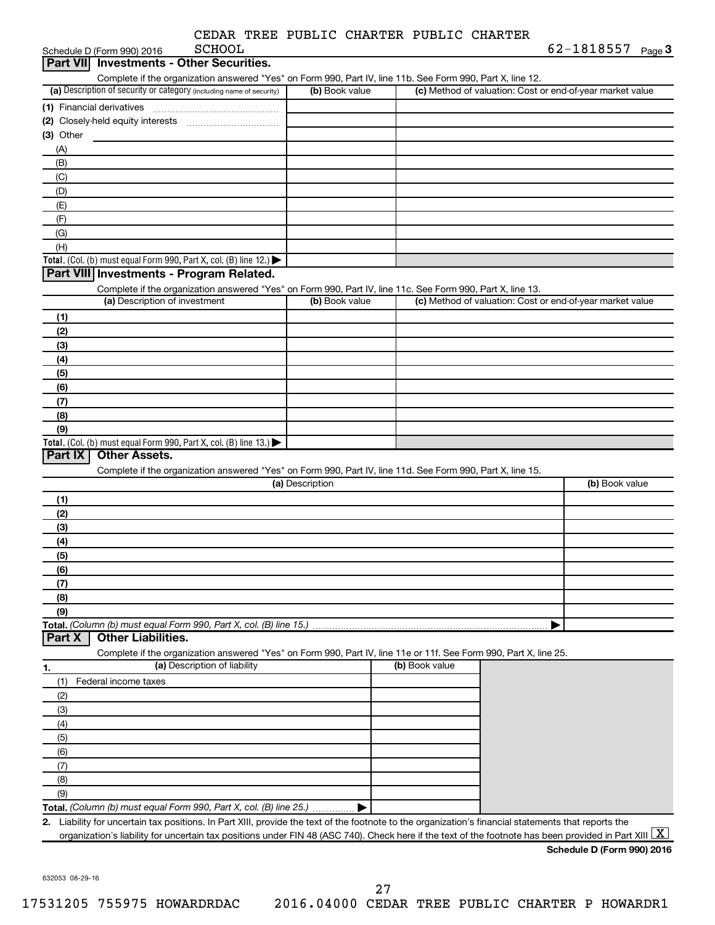|  | CEDAR TREE PUBLIC CHARTER PUBLIC CHARTER |  |
|--|------------------------------------------|--|
|  |                                          |  |

| <b>Part VII</b> Investments - Other Securities.<br>Complete if the organization answered "Yes" on Form 990, Part IV, line 11b. See Form 990, Part X, line 12.<br>(a) Description of security or category (including name of security)<br>(1) Financial derivatives | (b) Book value                                                                                                                                                                                                                                                                                                                 |                                                                                                                                                                               |                | (c) Method of valuation: Cost or end-of-year market value                                                                                                                                                                                                                                                                                                                                                  |
|--------------------------------------------------------------------------------------------------------------------------------------------------------------------------------------------------------------------------------------------------------------------|--------------------------------------------------------------------------------------------------------------------------------------------------------------------------------------------------------------------------------------------------------------------------------------------------------------------------------|-------------------------------------------------------------------------------------------------------------------------------------------------------------------------------|----------------|------------------------------------------------------------------------------------------------------------------------------------------------------------------------------------------------------------------------------------------------------------------------------------------------------------------------------------------------------------------------------------------------------------|
|                                                                                                                                                                                                                                                                    |                                                                                                                                                                                                                                                                                                                                |                                                                                                                                                                               |                |                                                                                                                                                                                                                                                                                                                                                                                                            |
|                                                                                                                                                                                                                                                                    |                                                                                                                                                                                                                                                                                                                                |                                                                                                                                                                               |                |                                                                                                                                                                                                                                                                                                                                                                                                            |
|                                                                                                                                                                                                                                                                    |                                                                                                                                                                                                                                                                                                                                |                                                                                                                                                                               |                |                                                                                                                                                                                                                                                                                                                                                                                                            |
|                                                                                                                                                                                                                                                                    |                                                                                                                                                                                                                                                                                                                                |                                                                                                                                                                               |                |                                                                                                                                                                                                                                                                                                                                                                                                            |
|                                                                                                                                                                                                                                                                    |                                                                                                                                                                                                                                                                                                                                |                                                                                                                                                                               |                |                                                                                                                                                                                                                                                                                                                                                                                                            |
|                                                                                                                                                                                                                                                                    |                                                                                                                                                                                                                                                                                                                                |                                                                                                                                                                               |                |                                                                                                                                                                                                                                                                                                                                                                                                            |
|                                                                                                                                                                                                                                                                    |                                                                                                                                                                                                                                                                                                                                |                                                                                                                                                                               |                |                                                                                                                                                                                                                                                                                                                                                                                                            |
|                                                                                                                                                                                                                                                                    |                                                                                                                                                                                                                                                                                                                                |                                                                                                                                                                               |                |                                                                                                                                                                                                                                                                                                                                                                                                            |
|                                                                                                                                                                                                                                                                    |                                                                                                                                                                                                                                                                                                                                |                                                                                                                                                                               |                |                                                                                                                                                                                                                                                                                                                                                                                                            |
|                                                                                                                                                                                                                                                                    |                                                                                                                                                                                                                                                                                                                                |                                                                                                                                                                               |                |                                                                                                                                                                                                                                                                                                                                                                                                            |
|                                                                                                                                                                                                                                                                    |                                                                                                                                                                                                                                                                                                                                |                                                                                                                                                                               |                |                                                                                                                                                                                                                                                                                                                                                                                                            |
|                                                                                                                                                                                                                                                                    |                                                                                                                                                                                                                                                                                                                                |                                                                                                                                                                               |                |                                                                                                                                                                                                                                                                                                                                                                                                            |
|                                                                                                                                                                                                                                                                    |                                                                                                                                                                                                                                                                                                                                |                                                                                                                                                                               |                |                                                                                                                                                                                                                                                                                                                                                                                                            |
|                                                                                                                                                                                                                                                                    |                                                                                                                                                                                                                                                                                                                                |                                                                                                                                                                               |                |                                                                                                                                                                                                                                                                                                                                                                                                            |
|                                                                                                                                                                                                                                                                    |                                                                                                                                                                                                                                                                                                                                |                                                                                                                                                                               |                |                                                                                                                                                                                                                                                                                                                                                                                                            |
|                                                                                                                                                                                                                                                                    |                                                                                                                                                                                                                                                                                                                                |                                                                                                                                                                               |                |                                                                                                                                                                                                                                                                                                                                                                                                            |
|                                                                                                                                                                                                                                                                    |                                                                                                                                                                                                                                                                                                                                |                                                                                                                                                                               |                |                                                                                                                                                                                                                                                                                                                                                                                                            |
|                                                                                                                                                                                                                                                                    |                                                                                                                                                                                                                                                                                                                                |                                                                                                                                                                               |                |                                                                                                                                                                                                                                                                                                                                                                                                            |
|                                                                                                                                                                                                                                                                    |                                                                                                                                                                                                                                                                                                                                |                                                                                                                                                                               |                |                                                                                                                                                                                                                                                                                                                                                                                                            |
|                                                                                                                                                                                                                                                                    |                                                                                                                                                                                                                                                                                                                                |                                                                                                                                                                               |                |                                                                                                                                                                                                                                                                                                                                                                                                            |
|                                                                                                                                                                                                                                                                    |                                                                                                                                                                                                                                                                                                                                |                                                                                                                                                                               |                |                                                                                                                                                                                                                                                                                                                                                                                                            |
|                                                                                                                                                                                                                                                                    |                                                                                                                                                                                                                                                                                                                                |                                                                                                                                                                               |                |                                                                                                                                                                                                                                                                                                                                                                                                            |
|                                                                                                                                                                                                                                                                    |                                                                                                                                                                                                                                                                                                                                |                                                                                                                                                                               |                |                                                                                                                                                                                                                                                                                                                                                                                                            |
|                                                                                                                                                                                                                                                                    |                                                                                                                                                                                                                                                                                                                                |                                                                                                                                                                               |                |                                                                                                                                                                                                                                                                                                                                                                                                            |
|                                                                                                                                                                                                                                                                    |                                                                                                                                                                                                                                                                                                                                |                                                                                                                                                                               |                |                                                                                                                                                                                                                                                                                                                                                                                                            |
|                                                                                                                                                                                                                                                                    |                                                                                                                                                                                                                                                                                                                                |                                                                                                                                                                               |                |                                                                                                                                                                                                                                                                                                                                                                                                            |
|                                                                                                                                                                                                                                                                    |                                                                                                                                                                                                                                                                                                                                |                                                                                                                                                                               |                |                                                                                                                                                                                                                                                                                                                                                                                                            |
|                                                                                                                                                                                                                                                                    |                                                                                                                                                                                                                                                                                                                                |                                                                                                                                                                               |                |                                                                                                                                                                                                                                                                                                                                                                                                            |
|                                                                                                                                                                                                                                                                    |                                                                                                                                                                                                                                                                                                                                |                                                                                                                                                                               |                |                                                                                                                                                                                                                                                                                                                                                                                                            |
|                                                                                                                                                                                                                                                                    |                                                                                                                                                                                                                                                                                                                                |                                                                                                                                                                               |                | (b) Book value                                                                                                                                                                                                                                                                                                                                                                                             |
|                                                                                                                                                                                                                                                                    |                                                                                                                                                                                                                                                                                                                                |                                                                                                                                                                               |                |                                                                                                                                                                                                                                                                                                                                                                                                            |
|                                                                                                                                                                                                                                                                    |                                                                                                                                                                                                                                                                                                                                |                                                                                                                                                                               |                |                                                                                                                                                                                                                                                                                                                                                                                                            |
|                                                                                                                                                                                                                                                                    |                                                                                                                                                                                                                                                                                                                                |                                                                                                                                                                               |                |                                                                                                                                                                                                                                                                                                                                                                                                            |
|                                                                                                                                                                                                                                                                    |                                                                                                                                                                                                                                                                                                                                |                                                                                                                                                                               |                |                                                                                                                                                                                                                                                                                                                                                                                                            |
|                                                                                                                                                                                                                                                                    |                                                                                                                                                                                                                                                                                                                                |                                                                                                                                                                               |                |                                                                                                                                                                                                                                                                                                                                                                                                            |
|                                                                                                                                                                                                                                                                    |                                                                                                                                                                                                                                                                                                                                |                                                                                                                                                                               |                |                                                                                                                                                                                                                                                                                                                                                                                                            |
|                                                                                                                                                                                                                                                                    |                                                                                                                                                                                                                                                                                                                                |                                                                                                                                                                               |                |                                                                                                                                                                                                                                                                                                                                                                                                            |
|                                                                                                                                                                                                                                                                    |                                                                                                                                                                                                                                                                                                                                |                                                                                                                                                                               |                |                                                                                                                                                                                                                                                                                                                                                                                                            |
|                                                                                                                                                                                                                                                                    |                                                                                                                                                                                                                                                                                                                                |                                                                                                                                                                               |                |                                                                                                                                                                                                                                                                                                                                                                                                            |
|                                                                                                                                                                                                                                                                    |                                                                                                                                                                                                                                                                                                                                |                                                                                                                                                                               |                |                                                                                                                                                                                                                                                                                                                                                                                                            |
|                                                                                                                                                                                                                                                                    |                                                                                                                                                                                                                                                                                                                                |                                                                                                                                                                               |                |                                                                                                                                                                                                                                                                                                                                                                                                            |
|                                                                                                                                                                                                                                                                    |                                                                                                                                                                                                                                                                                                                                |                                                                                                                                                                               |                |                                                                                                                                                                                                                                                                                                                                                                                                            |
|                                                                                                                                                                                                                                                                    |                                                                                                                                                                                                                                                                                                                                |                                                                                                                                                                               |                |                                                                                                                                                                                                                                                                                                                                                                                                            |
|                                                                                                                                                                                                                                                                    |                                                                                                                                                                                                                                                                                                                                |                                                                                                                                                                               |                |                                                                                                                                                                                                                                                                                                                                                                                                            |
|                                                                                                                                                                                                                                                                    |                                                                                                                                                                                                                                                                                                                                |                                                                                                                                                                               |                |                                                                                                                                                                                                                                                                                                                                                                                                            |
|                                                                                                                                                                                                                                                                    |                                                                                                                                                                                                                                                                                                                                |                                                                                                                                                                               |                |                                                                                                                                                                                                                                                                                                                                                                                                            |
|                                                                                                                                                                                                                                                                    |                                                                                                                                                                                                                                                                                                                                |                                                                                                                                                                               |                |                                                                                                                                                                                                                                                                                                                                                                                                            |
|                                                                                                                                                                                                                                                                    |                                                                                                                                                                                                                                                                                                                                |                                                                                                                                                                               |                |                                                                                                                                                                                                                                                                                                                                                                                                            |
|                                                                                                                                                                                                                                                                    |                                                                                                                                                                                                                                                                                                                                |                                                                                                                                                                               |                |                                                                                                                                                                                                                                                                                                                                                                                                            |
|                                                                                                                                                                                                                                                                    |                                                                                                                                                                                                                                                                                                                                |                                                                                                                                                                               |                |                                                                                                                                                                                                                                                                                                                                                                                                            |
|                                                                                                                                                                                                                                                                    |                                                                                                                                                                                                                                                                                                                                |                                                                                                                                                                               |                |                                                                                                                                                                                                                                                                                                                                                                                                            |
|                                                                                                                                                                                                                                                                    |                                                                                                                                                                                                                                                                                                                                |                                                                                                                                                                               |                |                                                                                                                                                                                                                                                                                                                                                                                                            |
|                                                                                                                                                                                                                                                                    |                                                                                                                                                                                                                                                                                                                                |                                                                                                                                                                               |                |                                                                                                                                                                                                                                                                                                                                                                                                            |
| Liability for uncertain tax positions. In Part XIII, provide the text of the footnote to the organization's financial statements that reports the                                                                                                                  |                                                                                                                                                                                                                                                                                                                                |                                                                                                                                                                               |                |                                                                                                                                                                                                                                                                                                                                                                                                            |
|                                                                                                                                                                                                                                                                    | organization's liability for uncertain tax positions under FIN 48 (ASC 740). Check here if the text of the footnote has been provided in Part XIII $ X $                                                                                                                                                                       |                                                                                                                                                                               |                |                                                                                                                                                                                                                                                                                                                                                                                                            |
|                                                                                                                                                                                                                                                                    | Total. (Col. (b) must equal Form 990, Part X, col. (B) line 12.)<br>Part VIII Investments - Program Related.<br>(a) Description of investment<br>Total. (Col. (b) must equal Form 990, Part X, col. (B) line 13.)<br><b>Other Assets.</b><br><b>Other Liabilities.</b><br>(a) Description of liability<br>Federal income taxes | (b) Book value<br>(a) Description<br>Total. (Column (b) must equal Form 990, Part X, col. (B) line 15.)<br>Total. (Column (b) must equal Form 990, Part X, col. (B) line 25.) | (b) Book value | Complete if the organization answered "Yes" on Form 990, Part IV, line 11c. See Form 990, Part X, line 13.<br>(c) Method of valuation: Cost or end-of-year market value<br>Complete if the organization answered "Yes" on Form 990, Part IV, line 11d. See Form 990, Part X, line 15.<br>Complete if the organization answered "Yes" on Form 990, Part IV, line 11e or 11f. See Form 990, Part X, line 25. |

632053 08-29-16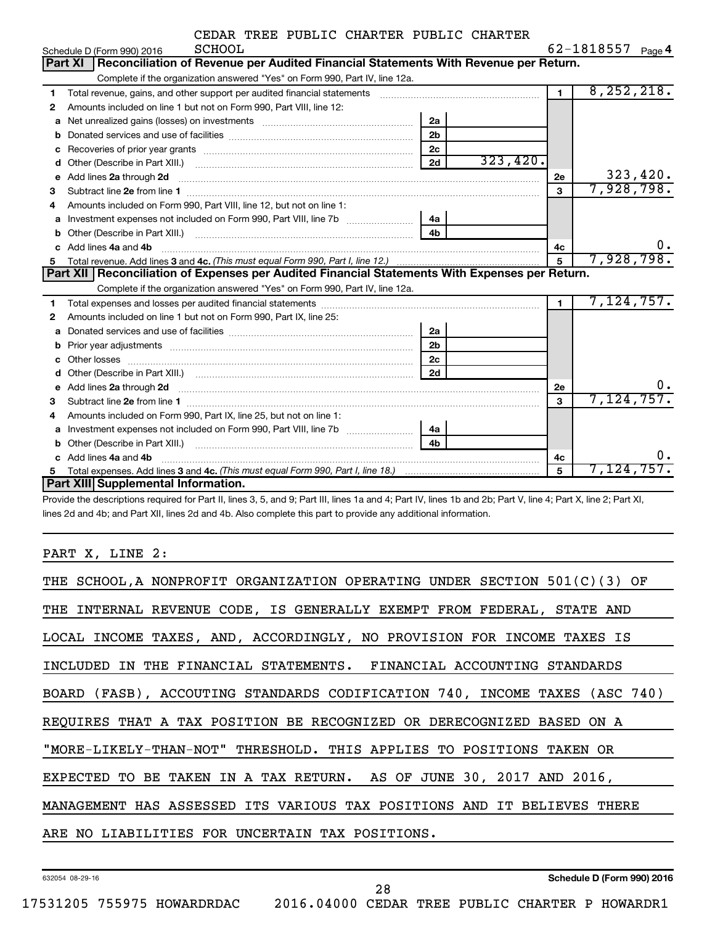| CEDAR TREE PUBLIC CHARTER PUBLIC CHARTER |  |  |  |  |  |  |
|------------------------------------------|--|--|--|--|--|--|
|------------------------------------------|--|--|--|--|--|--|

|    | SCHOOL<br>Schedule D (Form 990) 2016                                                                                                                                                                                               |                |          |                | 62-1818557<br>Page 4 |
|----|------------------------------------------------------------------------------------------------------------------------------------------------------------------------------------------------------------------------------------|----------------|----------|----------------|----------------------|
|    | Reconciliation of Revenue per Audited Financial Statements With Revenue per Return.<br>Part XI                                                                                                                                     |                |          |                |                      |
|    | Complete if the organization answered "Yes" on Form 990, Part IV, line 12a.                                                                                                                                                        |                |          |                |                      |
| 1  | Total revenue, gains, and other support per audited financial statements [111] [11] Total revenue, gains, and other support per audited financial statements                                                                       |                |          | $\blacksquare$ | 8, 252, 218.         |
| 2  | Amounts included on line 1 but not on Form 990, Part VIII, line 12:                                                                                                                                                                |                |          |                |                      |
| a  |                                                                                                                                                                                                                                    | 2a             |          |                |                      |
| b  |                                                                                                                                                                                                                                    | 2 <sub>b</sub> |          |                |                      |
| c  |                                                                                                                                                                                                                                    | 2c             |          |                |                      |
| d  |                                                                                                                                                                                                                                    | 2d             | 323,420. |                |                      |
| е  | Add lines 2a through 2d                                                                                                                                                                                                            |                |          | 2е             | 323,420.             |
| 3  |                                                                                                                                                                                                                                    |                |          | $\mathbf{3}$   | 7,928,798.           |
| 4  | Amounts included on Form 990. Part VIII. line 12, but not on line 1:                                                                                                                                                               |                |          |                |                      |
| a  | Investment expenses not included on Form 990, Part VIII, line 7b [11, 11, 11, 11, 11, 11]                                                                                                                                          | ∣ 4a ∣         |          |                |                      |
| b  |                                                                                                                                                                                                                                    | 4 <sub>h</sub> |          |                |                      |
| c. | Add lines 4a and 4b                                                                                                                                                                                                                |                |          | 4c             | υ.                   |
| 5  |                                                                                                                                                                                                                                    |                |          | 5              | 7,928,798.           |
|    | Part XII   Reconciliation of Expenses per Audited Financial Statements With Expenses per Return.                                                                                                                                   |                |          |                |                      |
|    | Complete if the organization answered "Yes" on Form 990, Part IV, line 12a.                                                                                                                                                        |                |          |                |                      |
| 1  |                                                                                                                                                                                                                                    |                |          | $\mathbf{1}$   | 7,124,757.           |
| 2  | Amounts included on line 1 but not on Form 990, Part IX, line 25:                                                                                                                                                                  |                |          |                |                      |
| a  |                                                                                                                                                                                                                                    | 2a             |          |                |                      |
| b  |                                                                                                                                                                                                                                    |                |          |                |                      |
|    |                                                                                                                                                                                                                                    | 2 <sub>b</sub> |          |                |                      |
| c  |                                                                                                                                                                                                                                    | 2 <sub>c</sub> |          |                |                      |
| d  |                                                                                                                                                                                                                                    | 2d             |          |                |                      |
| e  | Add lines 2a through 2d <b>contained a contained a contained a contained a</b> contained a contained a contained a contained a contact a contact a contact a contact a contact a contact a contact a contact a contact a contact a |                |          | 2е             | Ο.                   |
| 3  |                                                                                                                                                                                                                                    |                |          | 3              | 7,124,757.           |
| 4  | Amounts included on Form 990, Part IX, line 25, but not on line 1:                                                                                                                                                                 |                |          |                |                      |
| а  | Investment expenses not included on Form 990, Part VIII, line 7b [11, 111, 120]                                                                                                                                                    | 4a l           |          |                |                      |
| b  |                                                                                                                                                                                                                                    | 4 <sub>h</sub> |          |                |                      |
|    | Add lines 4a and 4b                                                                                                                                                                                                                |                |          | 4c             | ο.                   |
| 5  | Part XIII Supplemental Information.                                                                                                                                                                                                |                |          | 5              | 7,124,757.           |

Provide the descriptions required for Part II, lines 3, 5, and 9; Part III, lines 1a and 4; Part IV, lines 1b and 2b; Part V, line 4; Part X, line 2; Part XI, lines 2d and 4b; and Part XII, lines 2d and 4b. Also complete this part to provide any additional information.

PART X, LINE 2:

| THE SCHOOL, A NONPROFIT ORGANIZATION OPERATING UNDER SECTION 501(C)(3) OF  |  |  |  |  |  |  |
|----------------------------------------------------------------------------|--|--|--|--|--|--|
| THE INTERNAL REVENUE CODE, IS GENERALLY EXEMPT FROM FEDERAL, STATE AND     |  |  |  |  |  |  |
| LOCAL INCOME TAXES, AND, ACCORDINGLY, NO PROVISION FOR INCOME TAXES IS     |  |  |  |  |  |  |
| INCLUDED IN THE FINANCIAL STATEMENTS. FINANCIAL ACCOUNTING STANDARDS       |  |  |  |  |  |  |
| BOARD (FASB), ACCOUTING STANDARDS CODIFICATION 740, INCOME TAXES (ASC 740) |  |  |  |  |  |  |
| REQUIRES THAT A TAX POSITION BE RECOGNIZED OR DERECOGNIZED BASED ON A      |  |  |  |  |  |  |
| "MORE-LIKELY-THAN-NOT" THRESHOLD. THIS APPLIES TO POSITIONS TAKEN OR       |  |  |  |  |  |  |
| EXPECTED TO BE TAKEN IN A TAX RETURN. AS OF JUNE 30, 2017 AND 2016,        |  |  |  |  |  |  |
| MANAGEMENT HAS ASSESSED ITS VARIOUS TAX POSITIONS AND IT BELIEVES THERE    |  |  |  |  |  |  |
| ARE NO LIABILITIES FOR UNCERTAIN TAX POSITIONS.                            |  |  |  |  |  |  |
|                                                                            |  |  |  |  |  |  |

632054 08-29-16

17531205 755975 HOWARDRDAC 2016.04000 CEDAR TREE PUBLIC CHARTER P HOWARDR1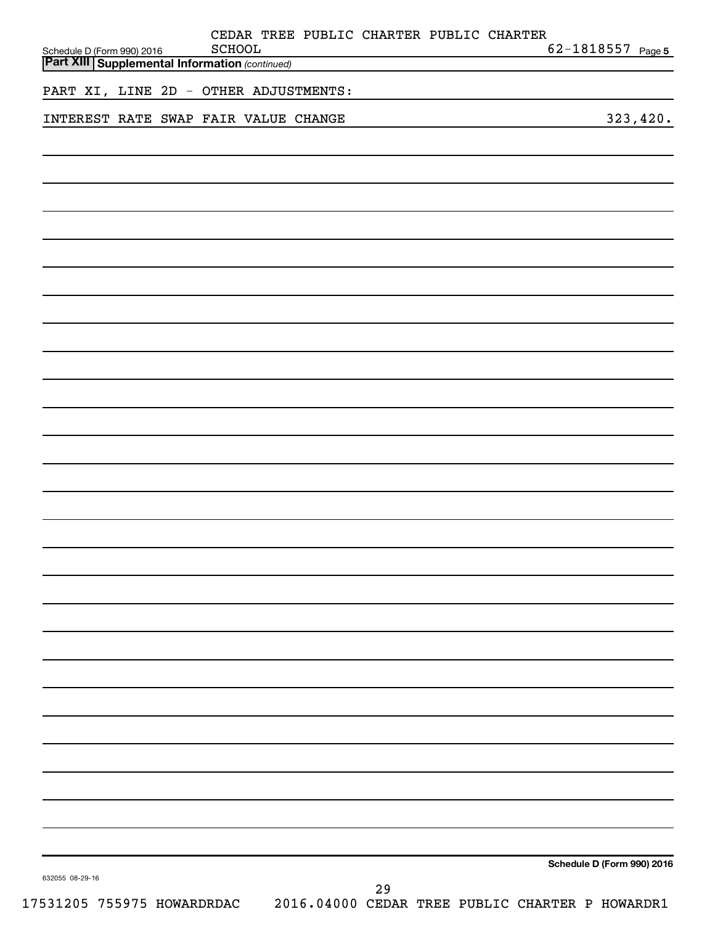| Schedule D (Form 990) 2016<br><b>Part XIII Supplemental Information (continued)</b> | CEDAR TREE PUBLIC CHARTER PUBLIC CHARTER<br>SCHOOL |    | 62-1818557 Page 5          |
|-------------------------------------------------------------------------------------|----------------------------------------------------|----|----------------------------|
|                                                                                     |                                                    |    |                            |
| PART XI, LINE 2D - OTHER ADJUSTMENTS:                                               |                                                    |    |                            |
| INTEREST RATE SWAP FAIR VALUE CHANGE                                                |                                                    |    | 323,420.                   |
|                                                                                     |                                                    |    |                            |
|                                                                                     |                                                    |    |                            |
|                                                                                     |                                                    |    |                            |
|                                                                                     |                                                    |    |                            |
|                                                                                     |                                                    |    |                            |
|                                                                                     |                                                    |    |                            |
|                                                                                     |                                                    |    |                            |
|                                                                                     |                                                    |    |                            |
|                                                                                     |                                                    |    |                            |
|                                                                                     |                                                    |    |                            |
|                                                                                     |                                                    |    |                            |
|                                                                                     |                                                    |    |                            |
|                                                                                     |                                                    |    |                            |
|                                                                                     |                                                    |    |                            |
|                                                                                     |                                                    |    |                            |
|                                                                                     |                                                    |    |                            |
|                                                                                     |                                                    |    |                            |
|                                                                                     |                                                    |    |                            |
|                                                                                     |                                                    |    |                            |
|                                                                                     |                                                    |    |                            |
|                                                                                     |                                                    |    |                            |
|                                                                                     |                                                    |    |                            |
|                                                                                     |                                                    |    |                            |
|                                                                                     |                                                    |    |                            |
|                                                                                     |                                                    |    |                            |
|                                                                                     |                                                    |    |                            |
|                                                                                     |                                                    |    |                            |
|                                                                                     |                                                    |    |                            |
|                                                                                     |                                                    |    | Schedule D (Form 990) 2016 |
| 632055 08-29-16                                                                     |                                                    | 29 |                            |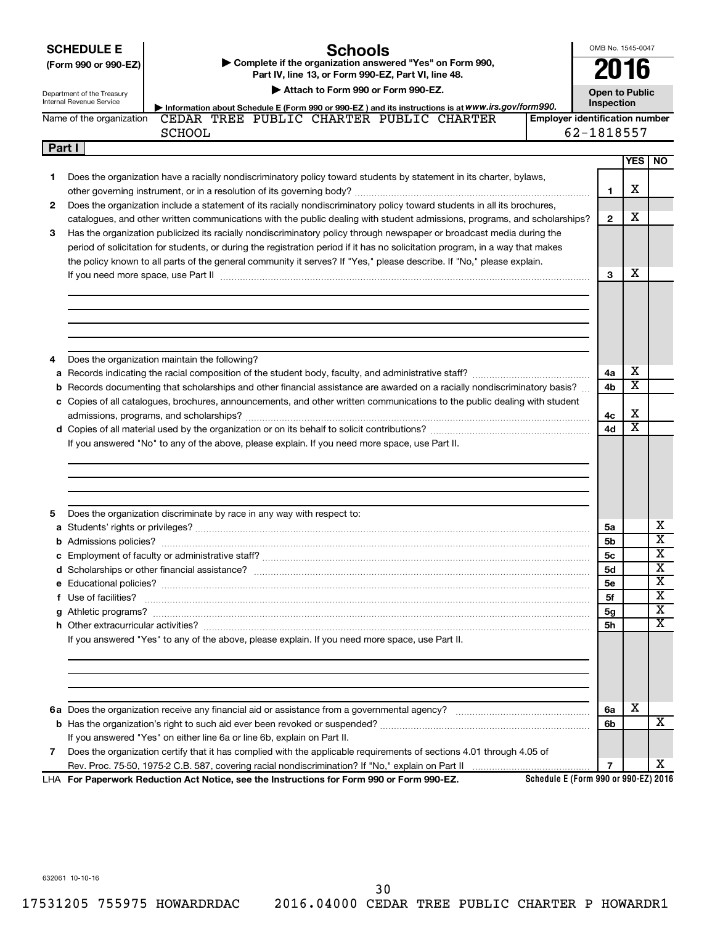|        | <b>SCHEDULE E</b><br><b>Schools</b><br>Complete if the organization answered "Yes" on Form 990,<br>(Form 990 or 990-EZ)<br>Part IV, line 13, or Form 990-EZ, Part VI, line 48.<br>Attach to Form 990 or Form 990-EZ.<br>Department of the Treasury<br><b>Internal Revenue Service</b> |                                       | OMB No. 1545-0047<br>2016<br><b>Open to Public</b><br>Inspection |                         |                         |  |  |
|--------|---------------------------------------------------------------------------------------------------------------------------------------------------------------------------------------------------------------------------------------------------------------------------------------|---------------------------------------|------------------------------------------------------------------|-------------------------|-------------------------|--|--|
|        | Information about Schedule E (Form 990 or 990-EZ) and its instructions is at WWW.irs.gov/form990.<br>CEDAR TREE PUBLIC CHARTER PUBLIC CHARTER<br>Name of the organization                                                                                                             | <b>Employer identification number</b> |                                                                  |                         |                         |  |  |
|        | <b>SCHOOL</b>                                                                                                                                                                                                                                                                         | 62-1818557                            |                                                                  |                         |                         |  |  |
| Part I |                                                                                                                                                                                                                                                                                       |                                       |                                                                  | YES                     | <b>NO</b>               |  |  |
|        |                                                                                                                                                                                                                                                                                       |                                       |                                                                  |                         |                         |  |  |
| 1      | Does the organization have a racially nondiscriminatory policy toward students by statement in its charter, bylaws,                                                                                                                                                                   |                                       |                                                                  | х                       |                         |  |  |
| 2      |                                                                                                                                                                                                                                                                                       |                                       | 1                                                                |                         |                         |  |  |
|        | Does the organization include a statement of its racially nondiscriminatory policy toward students in all its brochures,<br>catalogues, and other written communications with the public dealing with student admissions, programs, and scholarships?                                 |                                       | $\mathbf{2}$                                                     | х                       |                         |  |  |
| 3      | Has the organization publicized its racially nondiscriminatory policy through newspaper or broadcast media during the                                                                                                                                                                 |                                       |                                                                  |                         |                         |  |  |
|        | period of solicitation for students, or during the registration period if it has no solicitation program, in a way that makes                                                                                                                                                         |                                       |                                                                  |                         |                         |  |  |
|        | the policy known to all parts of the general community it serves? If "Yes," please describe. If "No," please explain.                                                                                                                                                                 |                                       |                                                                  |                         |                         |  |  |
|        | If you need more space, use Part II manufactured and continuum contract to the Part II manufactured and the contract of the space with the contract of the contract of the contract of the contract of the contract of the con                                                        |                                       | 3                                                                | х                       |                         |  |  |
|        |                                                                                                                                                                                                                                                                                       |                                       |                                                                  |                         |                         |  |  |
|        |                                                                                                                                                                                                                                                                                       |                                       |                                                                  |                         |                         |  |  |
|        |                                                                                                                                                                                                                                                                                       |                                       |                                                                  |                         |                         |  |  |
|        |                                                                                                                                                                                                                                                                                       |                                       |                                                                  |                         |                         |  |  |
|        |                                                                                                                                                                                                                                                                                       |                                       |                                                                  |                         |                         |  |  |
| 4      | Does the organization maintain the following?                                                                                                                                                                                                                                         |                                       |                                                                  |                         |                         |  |  |
| а      |                                                                                                                                                                                                                                                                                       |                                       | 4a                                                               | х                       |                         |  |  |
| b      | Records documenting that scholarships and other financial assistance are awarded on a racially nondiscriminatory basis?                                                                                                                                                               |                                       | 4b                                                               | X                       |                         |  |  |
|        | c Copies of all catalogues, brochures, announcements, and other written communications to the public dealing with student                                                                                                                                                             |                                       |                                                                  |                         |                         |  |  |
|        |                                                                                                                                                                                                                                                                                       |                                       | 4c                                                               | х                       |                         |  |  |
|        |                                                                                                                                                                                                                                                                                       |                                       | 4d                                                               | $\overline{\textbf{x}}$ |                         |  |  |
|        | If you answered "No" to any of the above, please explain. If you need more space, use Part II.                                                                                                                                                                                        |                                       |                                                                  |                         |                         |  |  |
|        |                                                                                                                                                                                                                                                                                       |                                       |                                                                  |                         |                         |  |  |
|        |                                                                                                                                                                                                                                                                                       |                                       |                                                                  |                         |                         |  |  |
|        |                                                                                                                                                                                                                                                                                       |                                       |                                                                  |                         |                         |  |  |
|        |                                                                                                                                                                                                                                                                                       |                                       |                                                                  |                         |                         |  |  |
| 5      | Does the organization discriminate by race in any way with respect to:                                                                                                                                                                                                                |                                       |                                                                  |                         |                         |  |  |
|        |                                                                                                                                                                                                                                                                                       |                                       | 5a                                                               |                         | х                       |  |  |
|        |                                                                                                                                                                                                                                                                                       |                                       | 5b                                                               |                         | $\overline{\text{x}}$   |  |  |
|        |                                                                                                                                                                                                                                                                                       |                                       | 5c                                                               |                         | $\overline{\text{x}}$   |  |  |
|        |                                                                                                                                                                                                                                                                                       |                                       | 5d                                                               |                         | $\overline{\textbf{x}}$ |  |  |
|        |                                                                                                                                                                                                                                                                                       |                                       | 5е                                                               |                         | х                       |  |  |
|        | f Use of facilities? <b>With the Contract of the Contract of the Contract of the Contract of the Contract of the Contract of the Contract of the Contract of the Contract of the Contract of the Contract of the Contract of the</b>                                                  |                                       | 5f                                                               |                         | х                       |  |  |
|        |                                                                                                                                                                                                                                                                                       |                                       | 5g                                                               |                         | х<br>x                  |  |  |
|        |                                                                                                                                                                                                                                                                                       |                                       | 5h                                                               |                         |                         |  |  |
|        | If you answered "Yes" to any of the above, please explain. If you need more space, use Part II.                                                                                                                                                                                       |                                       |                                                                  |                         |                         |  |  |
|        |                                                                                                                                                                                                                                                                                       |                                       |                                                                  |                         |                         |  |  |
|        |                                                                                                                                                                                                                                                                                       |                                       |                                                                  |                         |                         |  |  |
|        |                                                                                                                                                                                                                                                                                       |                                       |                                                                  |                         |                         |  |  |
|        |                                                                                                                                                                                                                                                                                       |                                       |                                                                  |                         |                         |  |  |
|        |                                                                                                                                                                                                                                                                                       |                                       | 6a                                                               | х                       |                         |  |  |
|        |                                                                                                                                                                                                                                                                                       |                                       | 6b                                                               |                         | X                       |  |  |
|        | If you answered "Yes" on either line 6a or line 6b, explain on Part II.                                                                                                                                                                                                               |                                       |                                                                  |                         |                         |  |  |
| 7      | Does the organization certify that it has complied with the applicable requirements of sections 4.01 through 4.05 of                                                                                                                                                                  |                                       |                                                                  |                         |                         |  |  |
|        |                                                                                                                                                                                                                                                                                       |                                       | $\overline{7}$                                                   |                         | X.                      |  |  |
|        | LHA For Paperwork Reduction Act Notice, see the Instructions for Form 990 or Form 990-EZ.                                                                                                                                                                                             | Schedule E (Form 990 or 990-EZ) 2016  |                                                                  |                         |                         |  |  |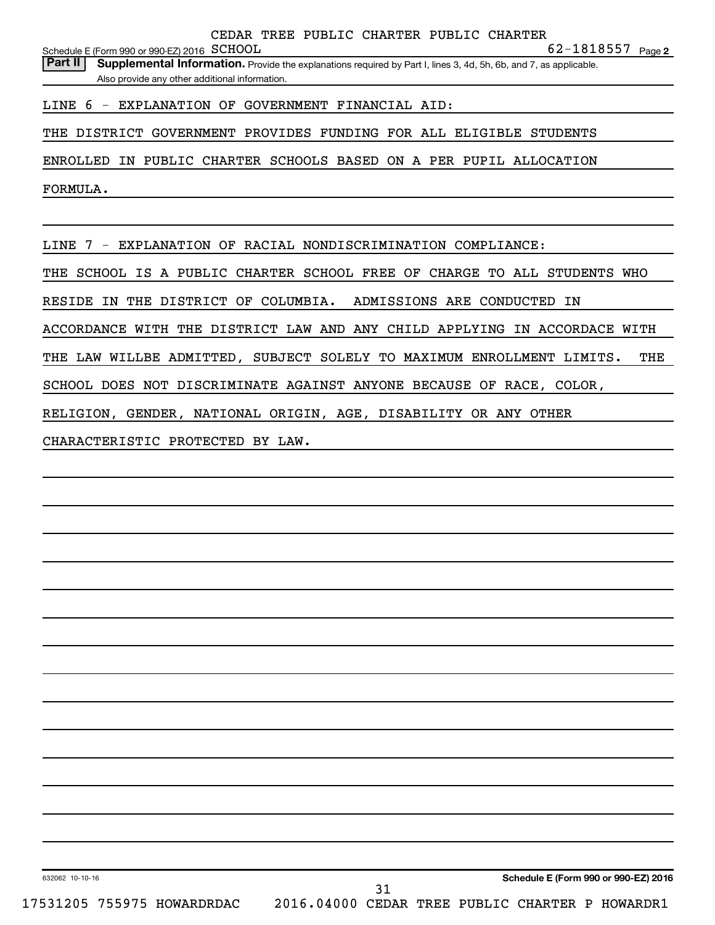**2** SCHOOL 62-1818557 Schedule E (Form 990 or 990-EZ) 2016  $\,$  SCHOOL

LINE 6 - EXPLANATION OF GOVERNMENT FINANCIAL AID:

THE DISTRICT GOVERNMENT PROVIDES FUNDING FOR ALL ELIGIBLE STUDENTS

ENROLLED IN PUBLIC CHARTER SCHOOLS BASED ON A PER PUPIL ALLOCATION

FORMULA.

LINE 7 - EXPLANATION OF RACIAL NONDISCRIMINATION COMPLIANCE:

THE SCHOOL IS A PUBLIC CHARTER SCHOOL FREE OF CHARGE TO ALL STUDENTS WHO

RESIDE IN THE DISTRICT OF COLUMBIA. ADMISSIONS ARE CONDUCTED IN

ACCORDANCE WITH THE DISTRICT LAW AND ANY CHILD APPLYING IN ACCORDACE WITH

THE LAW WILLBE ADMITTED, SUBJECT SOLELY TO MAXIMUM ENROLLMENT LIMITS. THE

SCHOOL DOES NOT DISCRIMINATE AGAINST ANYONE BECAUSE OF RACE, COLOR,

RELIGION, GENDER, NATIONAL ORIGIN, AGE, DISABILITY OR ANY OTHER

CHARACTERISTIC PROTECTED BY LAW.

632062 10-10-16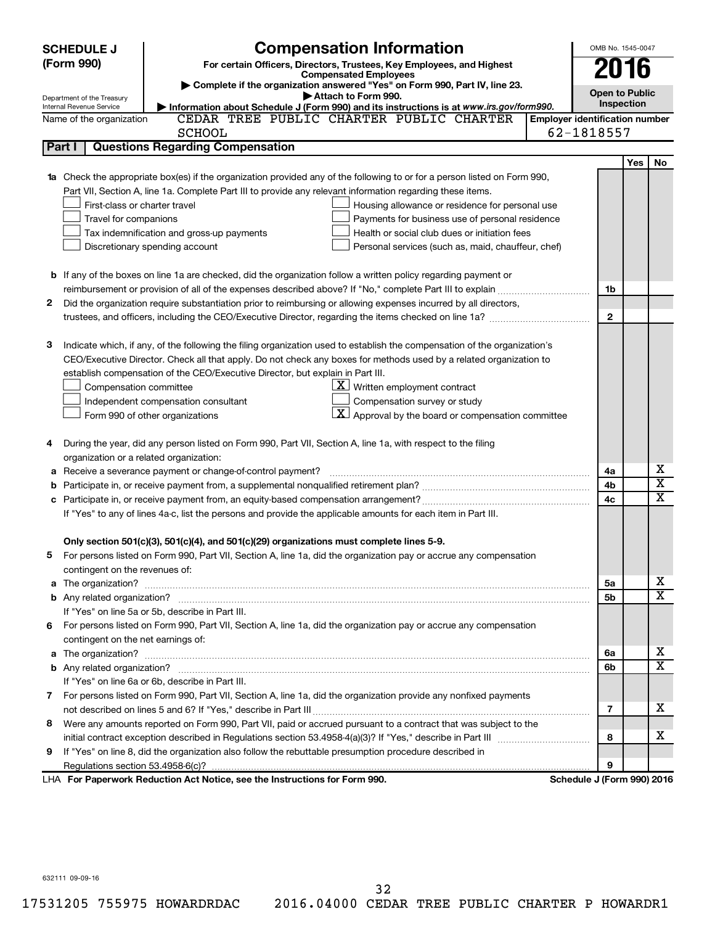|                              | <b>SCHEDULE J</b>                       | <b>Compensation Information</b>                                                                                             |                                       | OMB No. 1545-0047          |     |                         |
|------------------------------|-----------------------------------------|-----------------------------------------------------------------------------------------------------------------------------|---------------------------------------|----------------------------|-----|-------------------------|
| (Form 990)                   |                                         | For certain Officers, Directors, Trustees, Key Employees, and Highest                                                       |                                       |                            |     |                         |
| <b>Compensated Employees</b> |                                         |                                                                                                                             |                                       | 2016                       |     |                         |
|                              | Department of the Treasury              | Complete if the organization answered "Yes" on Form 990, Part IV, line 23.<br>Attach to Form 990.                           |                                       | <b>Open to Public</b>      |     |                         |
|                              | Internal Revenue Service                | Information about Schedule J (Form 990) and its instructions is at www.irs.gov/form990.                                     |                                       | Inspection                 |     |                         |
|                              | Name of the organization                | CEDAR TREE PUBLIC CHARTER PUBLIC CHARTER                                                                                    | <b>Employer identification number</b> |                            |     |                         |
|                              |                                         | <b>SCHOOL</b>                                                                                                               |                                       | 62-1818557                 |     |                         |
|                              | Part I                                  | <b>Questions Regarding Compensation</b>                                                                                     |                                       |                            |     |                         |
|                              |                                         |                                                                                                                             |                                       |                            | Yes | No                      |
| 1a                           |                                         | Check the appropriate box(es) if the organization provided any of the following to or for a person listed on Form 990,      |                                       |                            |     |                         |
|                              |                                         | Part VII, Section A, line 1a. Complete Part III to provide any relevant information regarding these items.                  |                                       |                            |     |                         |
|                              | First-class or charter travel           | Housing allowance or residence for personal use                                                                             |                                       |                            |     |                         |
|                              | Travel for companions                   | Payments for business use of personal residence                                                                             |                                       |                            |     |                         |
|                              |                                         | Health or social club dues or initiation fees<br>Tax indemnification and gross-up payments                                  |                                       |                            |     |                         |
|                              |                                         | Discretionary spending account<br>Personal services (such as, maid, chauffeur, chef)                                        |                                       |                            |     |                         |
|                              |                                         |                                                                                                                             |                                       |                            |     |                         |
|                              |                                         | <b>b</b> If any of the boxes on line 1a are checked, did the organization follow a written policy regarding payment or      |                                       |                            |     |                         |
|                              |                                         |                                                                                                                             |                                       | 1b                         |     |                         |
| 2                            |                                         | Did the organization require substantiation prior to reimbursing or allowing expenses incurred by all directors,            |                                       |                            |     |                         |
|                              |                                         |                                                                                                                             |                                       | $\mathbf{2}$               |     |                         |
|                              |                                         |                                                                                                                             |                                       |                            |     |                         |
| з                            |                                         | Indicate which, if any, of the following the filing organization used to establish the compensation of the organization's   |                                       |                            |     |                         |
|                              |                                         | CEO/Executive Director. Check all that apply. Do not check any boxes for methods used by a related organization to          |                                       |                            |     |                         |
|                              |                                         | establish compensation of the CEO/Executive Director, but explain in Part III.                                              |                                       |                            |     |                         |
|                              | Compensation committee                  | $\underline{\mathbf{X}}$ Written employment contract                                                                        |                                       |                            |     |                         |
|                              |                                         | Compensation survey or study<br>Independent compensation consultant                                                         |                                       |                            |     |                         |
|                              |                                         | $\lfloor \underline{\textbf{X}} \rfloor$ Approval by the board or compensation committee<br>Form 990 of other organizations |                                       |                            |     |                         |
|                              |                                         |                                                                                                                             |                                       |                            |     |                         |
| 4                            |                                         | During the year, did any person listed on Form 990, Part VII, Section A, line 1a, with respect to the filing                |                                       |                            |     |                         |
|                              | organization or a related organization: |                                                                                                                             |                                       |                            |     | х                       |
| а                            |                                         | Receive a severance payment or change-of-control payment?                                                                   |                                       | 4a                         |     | $\overline{\textbf{x}}$ |
| b                            |                                         |                                                                                                                             |                                       | 4b                         |     | $\overline{\textbf{x}}$ |
| c                            |                                         |                                                                                                                             |                                       | 4c                         |     |                         |
|                              |                                         | If "Yes" to any of lines 4a-c, list the persons and provide the applicable amounts for each item in Part III.               |                                       |                            |     |                         |
|                              |                                         | Only section 501(c)(3), 501(c)(4), and 501(c)(29) organizations must complete lines 5-9.                                    |                                       |                            |     |                         |
|                              |                                         | For persons listed on Form 990, Part VII, Section A, line 1a, did the organization pay or accrue any compensation           |                                       |                            |     |                         |
|                              | contingent on the revenues of:          |                                                                                                                             |                                       |                            |     |                         |
|                              |                                         |                                                                                                                             |                                       | 5а                         |     | х                       |
|                              |                                         |                                                                                                                             |                                       | 5b                         |     | х                       |
|                              |                                         | If "Yes" on line 5a or 5b, describe in Part III.                                                                            |                                       |                            |     |                         |
|                              |                                         | 6 For persons listed on Form 990, Part VII, Section A, line 1a, did the organization pay or accrue any compensation         |                                       |                            |     |                         |
|                              | contingent on the net earnings of:      |                                                                                                                             |                                       |                            |     |                         |
|                              |                                         |                                                                                                                             |                                       | 6a                         |     | х                       |
|                              |                                         |                                                                                                                             |                                       | 6b                         |     | х                       |
|                              |                                         | If "Yes" on line 6a or 6b, describe in Part III.                                                                            |                                       |                            |     |                         |
|                              |                                         | 7 For persons listed on Form 990, Part VII, Section A, line 1a, did the organization provide any nonfixed payments          |                                       |                            |     |                         |
|                              |                                         |                                                                                                                             |                                       | 7                          |     | х                       |
|                              |                                         | 8 Were any amounts reported on Form 990, Part VII, paid or accrued pursuant to a contract that was subject to the           |                                       |                            |     |                         |
|                              |                                         |                                                                                                                             |                                       | 8                          |     | х                       |
| 9.                           |                                         | If "Yes" on line 8, did the organization also follow the rebuttable presumption procedure described in                      |                                       |                            |     |                         |
|                              |                                         |                                                                                                                             |                                       | 9                          |     |                         |
|                              |                                         | LHA For Paperwork Reduction Act Notice, see the Instructions for Form 990.                                                  |                                       | Schedule J (Form 990) 2016 |     |                         |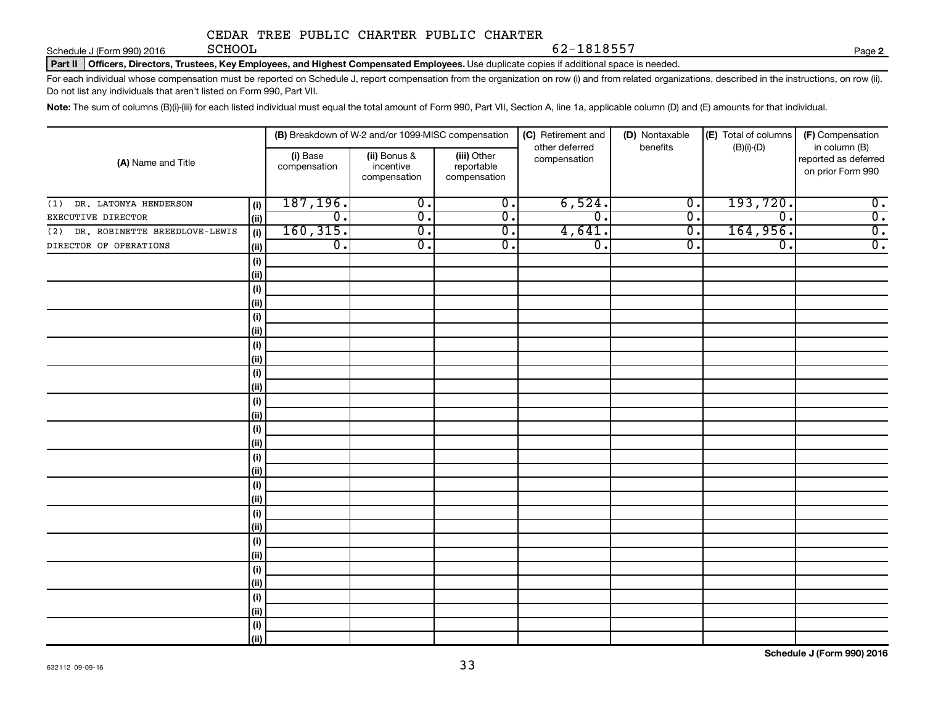Schedule J (Form 990) 2016 **SCHOOL** 

62-1818557

**2**

Part II | Officers, Directors, Trustees, Key Employees, and Highest Compensated Employees. Use duplicate copies if additional space is needed.

For each individual whose compensation must be reported on Schedule J, report compensation from the organization on row (i) and from related organizations, described in the instructions, on row (ii). Do not list any individuals that aren't listed on Form 990, Part VII.

Note: The sum of columns (B)(i)-(iii) for each listed individual must equal the total amount of Form 990, Part VII, Section A, line 1a, applicable column (D) and (E) amounts for that individual.

| (A) Name and Title                |             | (B) Breakdown of W-2 and/or 1099-MISC compensation |                                           |                                           | (C) Retirement and             | (D) Nontaxable            | (E) Total of columns | (F) Compensation                                           |
|-----------------------------------|-------------|----------------------------------------------------|-------------------------------------------|-------------------------------------------|--------------------------------|---------------------------|----------------------|------------------------------------------------------------|
|                                   |             | (i) Base<br>compensation                           | (ii) Bonus &<br>incentive<br>compensation | (iii) Other<br>reportable<br>compensation | other deferred<br>compensation | benefits                  | $(B)(i)-(D)$         | in column (B)<br>reported as deferred<br>on prior Form 990 |
| (1) DR. LATONYA HENDERSON         | (i)         | 187, 196.                                          | $\overline{0}$ .                          | $\overline{0}$ .                          | 6,524.                         | $\overline{\mathbf{0}}$ . | 193,720.             | $\overline{\mathbf{0}}$ .                                  |
| EXECUTIVE DIRECTOR                | (ii)        | $\overline{\mathfrak{o}}$ .                        | $\overline{0}$ .                          | $\overline{0}$ .                          | $\overline{0}$ .               | $\overline{0}$ .          | 0.                   | $\overline{0}$ .                                           |
| (2) DR. ROBINETTE BREEDLOVE-LEWIS | (i)         | 160, 315.                                          | $\overline{0}$ .                          | $\overline{0}$ .                          | 4,641.                         | $\overline{0}$ .          | 164,956.             | $\overline{0}$ .                                           |
| DIRECTOR OF OPERATIONS            | (i)         | $\overline{0}$ .                                   | $\overline{0}$ .                          | $\overline{0}$ .                          | $\overline{0}$ .               | $\overline{0}$ .          | $\overline{0}$ .     | $\overline{0}$ .                                           |
|                                   | (i)         |                                                    |                                           |                                           |                                |                           |                      |                                                            |
|                                   | (ii)        |                                                    |                                           |                                           |                                |                           |                      |                                                            |
|                                   | (i)         |                                                    |                                           |                                           |                                |                           |                      |                                                            |
|                                   | (ii)        |                                                    |                                           |                                           |                                |                           |                      |                                                            |
|                                   | (i)         |                                                    |                                           |                                           |                                |                           |                      |                                                            |
|                                   | (ii)        |                                                    |                                           |                                           |                                |                           |                      |                                                            |
|                                   | (i)         |                                                    |                                           |                                           |                                |                           |                      |                                                            |
|                                   | (ii)        |                                                    |                                           |                                           |                                |                           |                      |                                                            |
|                                   | (i)         |                                                    |                                           |                                           |                                |                           |                      |                                                            |
|                                   | (ii)        |                                                    |                                           |                                           |                                |                           |                      |                                                            |
|                                   | (i)         |                                                    |                                           |                                           |                                |                           |                      |                                                            |
|                                   | (ii)        |                                                    |                                           |                                           |                                |                           |                      |                                                            |
|                                   | (i)<br>(ii) |                                                    |                                           |                                           |                                |                           |                      |                                                            |
|                                   | (i)         |                                                    |                                           |                                           |                                |                           |                      |                                                            |
|                                   | (ii)        |                                                    |                                           |                                           |                                |                           |                      |                                                            |
|                                   | (i)         |                                                    |                                           |                                           |                                |                           |                      |                                                            |
|                                   | (ii)        |                                                    |                                           |                                           |                                |                           |                      |                                                            |
|                                   | (i)         |                                                    |                                           |                                           |                                |                           |                      |                                                            |
|                                   | (ii)        |                                                    |                                           |                                           |                                |                           |                      |                                                            |
|                                   | (i)         |                                                    |                                           |                                           |                                |                           |                      |                                                            |
|                                   | (ii)        |                                                    |                                           |                                           |                                |                           |                      |                                                            |
|                                   | (i)         |                                                    |                                           |                                           |                                |                           |                      |                                                            |
|                                   | (ii)        |                                                    |                                           |                                           |                                |                           |                      |                                                            |
|                                   | (i)         |                                                    |                                           |                                           |                                |                           |                      |                                                            |
|                                   | (ii)        |                                                    |                                           |                                           |                                |                           |                      |                                                            |
|                                   | (i)         |                                                    |                                           |                                           |                                |                           |                      |                                                            |
|                                   | (ii)        |                                                    |                                           |                                           |                                |                           |                      |                                                            |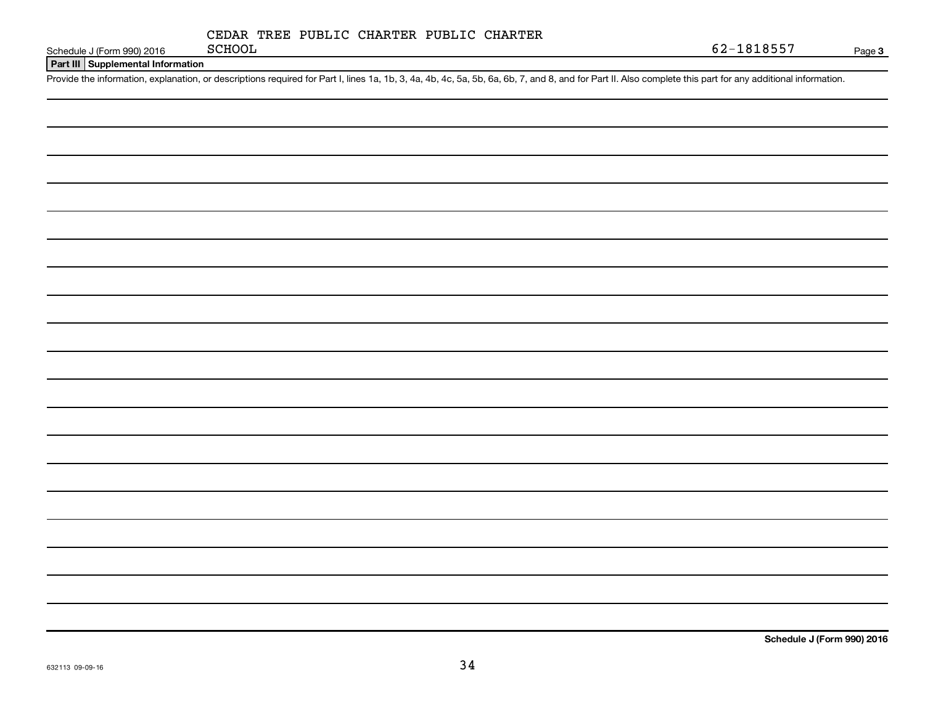|  |  |  | CEDAR TREE PUBLIC CHARTER PUBLIC CHARTER |  |  |
|--|--|--|------------------------------------------|--|--|
|--|--|--|------------------------------------------|--|--|

Schedule J (Form 990) 2016 **Page SCHOOL** 

**Part III Supplemental Information**

Provide the information, explanation, or descriptions required for Part I, lines 1a, 1b, 3, 4a, 4b, 4c, 5a, 5b, 6a, 6b, 7, and 8, and for Part II. Also complete this part for any additional information.

**Schedule J (Form 990) 2016**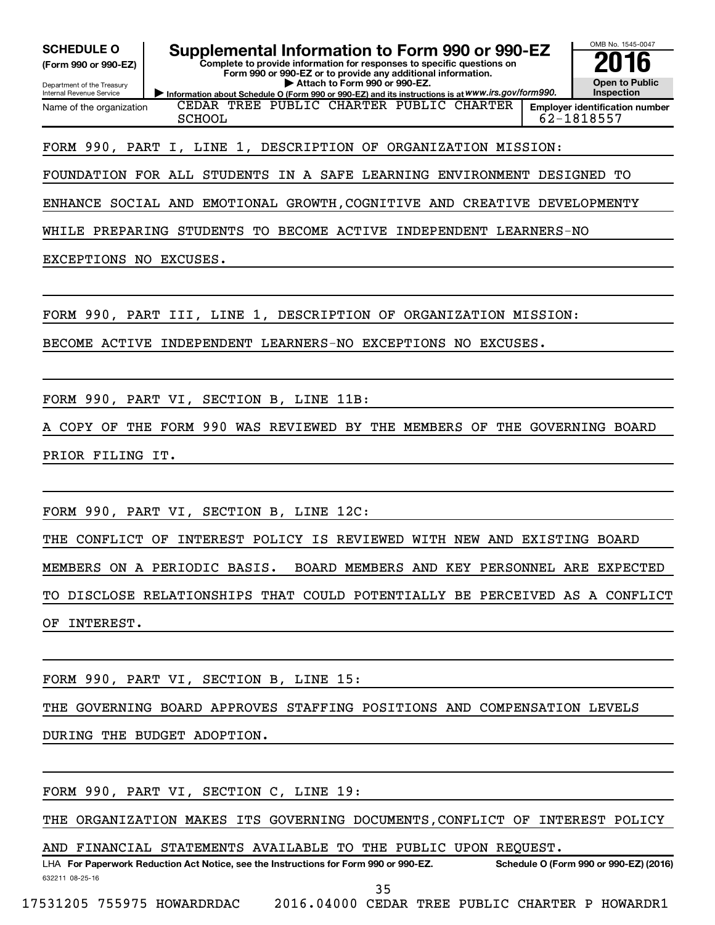**(Form 990 or 990-EZ)**

Department of the Treasury Internal Revenue Service

Name of the organization

**Complete to provide information for responses to specific questions on Form 990 or 990-EZ or to provide any additional information. | Attach to Form 990 or 990-EZ.** SCHEDULE O **Supplemental Information to Form 990 or 990-EZ 2016**<br>(Form 990 or 990-EZ) Complete to provide information for responses to specific questions on

**Information about Schedule O (Form 990 or 990-EZ) and its instructions is at WWW.irs.gov/form990.** CEDAR TREE PUBLIC CHARTER PUBLIC CHARTER SCHOOL 62-1818557

**Open to Public Inspection Employer identification number**

OMB No. 1545-0047

FORM 990, PART I, LINE 1, DESCRIPTION OF ORGANIZATION MISSION:

FOUNDATION FOR ALL STUDENTS IN A SAFE LEARNING ENVIRONMENT DESIGNED TO

ENHANCE SOCIAL AND EMOTIONAL GROWTH,COGNITIVE AND CREATIVE DEVELOPMENTY

WHILE PREPARING STUDENTS TO BECOME ACTIVE INDEPENDENT LEARNERS-NO

EXCEPTIONS NO EXCUSES.

FORM 990, PART III, LINE 1, DESCRIPTION OF ORGANIZATION MISSION:

BECOME ACTIVE INDEPENDENT LEARNERS-NO EXCEPTIONS NO EXCUSES.

FORM 990, PART VI, SECTION B, LINE 11B:

A COPY OF THE FORM 990 WAS REVIEWED BY THE MEMBERS OF THE GOVERNING BOARD PRIOR FILING IT.

FORM 990, PART VI, SECTION B, LINE 12C:

THE CONFLICT OF INTEREST POLICY IS REVIEWED WITH NEW AND EXISTING BOARD MEMBERS ON A PERIODIC BASIS. BOARD MEMBERS AND KEY PERSONNEL ARE EXPECTED TO DISCLOSE RELATIONSHIPS THAT COULD POTENTIALLY BE PERCEIVED AS A CONFLICT OF INTEREST.

FORM 990, PART VI, SECTION B, LINE 15:

THE GOVERNING BOARD APPROVES STAFFING POSITIONS AND COMPENSATION LEVELS

DURING THE BUDGET ADOPTION.

FORM 990, PART VI, SECTION C, LINE 19:

THE ORGANIZATION MAKES ITS GOVERNING DOCUMENTS,CONFLICT OF INTEREST POLICY

AND FINANCIAL STATEMENTS AVAILABLE TO THE PUBLIC UPON REQUEST.

632211 08-25-16 LHA For Paperwork Reduction Act Notice, see the Instructions for Form 990 or 990-EZ. Schedule O (Form 990 or 990-EZ) (2016) 35

17531205 755975 HOWARDRDAC 2016.04000 CEDAR TREE PUBLIC CHARTER P HOWARDR1